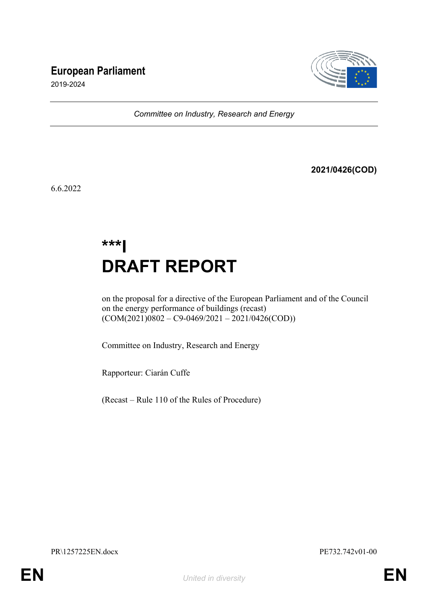# **European Parliament**



2019-2024

*Committee on Industry, Research and Energy*

**2021/0426(COD)**

6.6.2022

# **\*\*\*I DRAFT REPORT**

on the proposal for a directive of the European Parliament and of the Council on the energy performance of buildings (recast)  $(COM(2021)0802 - C9 - 0469/2021 - 2021/0426(COD))$ 

Committee on Industry, Research and Energy

Rapporteur: Ciarán Cuffe

(Recast – Rule 110 of the Rules of Procedure)

PR\1257225EN.docx PE732.742v01-00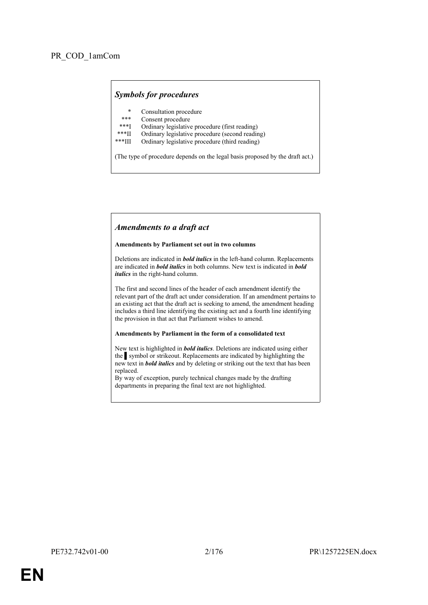# *Symbols for procedures*

- \* Consultation procedure
- Consent procedure
- \*\*\*I Ordinary legislative procedure (first reading)<br>\*\*\*II Ordinary legislative procedure (second reading)
- \*\*\*II Ordinary legislative procedure (second reading)
- Ordinary legislative procedure (third reading)

(The type of procedure depends on the legal basis proposed by the draft act.)

# *Amendments to a draft act*

### **Amendments by Parliament set out in two columns**

Deletions are indicated in *bold italics* in the left-hand column. Replacements are indicated in *bold italics* in both columns. New text is indicated in *bold italics* in the right-hand column.

The first and second lines of the header of each amendment identify the relevant part of the draft act under consideration. If an amendment pertains to an existing act that the draft act is seeking to amend, the amendment heading includes a third line identifying the existing act and a fourth line identifying the provision in that act that Parliament wishes to amend.

### **Amendments by Parliament in the form of a consolidated text**

New text is highlighted in *bold italics*. Deletions are indicated using either the symbol or strikeout. Replacements are indicated by highlighting the new text in *bold italics* and by deleting or striking out the text that has been replaced.

By way of exception, purely technical changes made by the drafting departments in preparing the final text are not highlighted.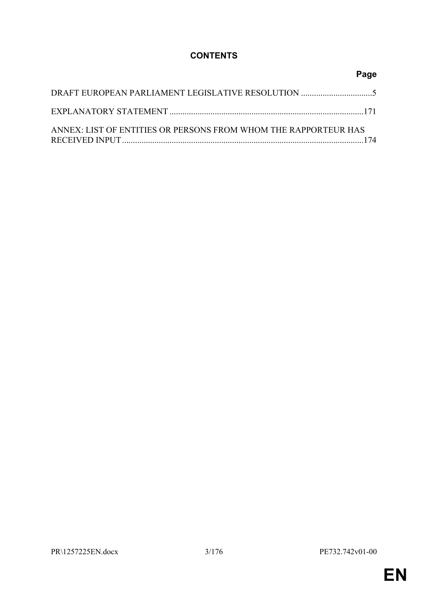# **CONTENTS**

|                                                                 | Page |
|-----------------------------------------------------------------|------|
|                                                                 |      |
|                                                                 |      |
| ANNEX: LIST OF ENTITIES OR PERSONS FROM WHOM THE RAPPORTEUR HAS |      |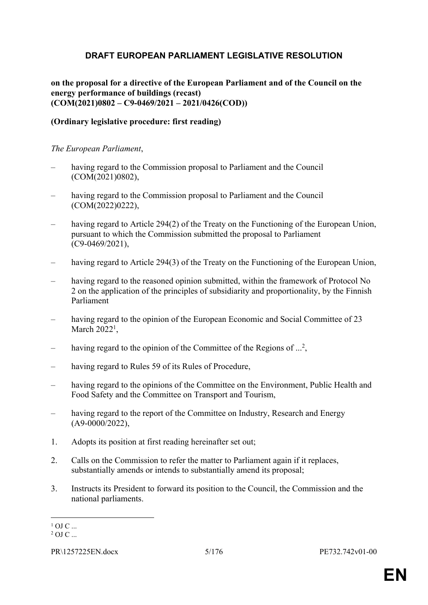# <span id="page-4-0"></span>**DRAFT EUROPEAN PARLIAMENT LEGISLATIVE RESOLUTION**

**on the proposal for a directive of the European Parliament and of the Council on the energy performance of buildings (recast) (COM(2021)0802 – C9-0469/2021 – 2021/0426(COD))**

# **(Ordinary legislative procedure: first reading)**

*The European Parliament*,

- having regard to the Commission proposal to Parliament and the Council (COM(2021)0802),
- having regard to the Commission proposal to Parliament and the Council (COM(2022)0222),
- having regard to Article 294(2) of the Treaty on the Functioning of the European Union, pursuant to which the Commission submitted the proposal to Parliament (C9-0469/2021),
- having regard to Article 294(3) of the Treaty on the Functioning of the European Union,
- having regard to the reasoned opinion submitted, within the framework of Protocol No 2 on the application of the principles of subsidiarity and proportionality, by the Finnish Parliament
- having regard to the opinion of the European Economic and Social Committee of 23 March  $2022<sup>1</sup>$ ,
- having regard to the opinion of the Committee of the Regions of ...<sup>2</sup>,
- having regard to Rules 59 of its Rules of Procedure,
- having regard to the opinions of the Committee on the Environment, Public Health and Food Safety and the Committee on Transport and Tourism,
- having regard to the report of the Committee on Industry, Research and Energy  $(A9-0000/2022)$
- 1. Adopts its position at first reading hereinafter set out;
- 2. Calls on the Commission to refer the matter to Parliament again if it replaces, substantially amends or intends to substantially amend its proposal;
- 3. Instructs its President to forward its position to the Council, the Commission and the national parliaments.

 $1$  OJ C ...  $2$  OJ C ...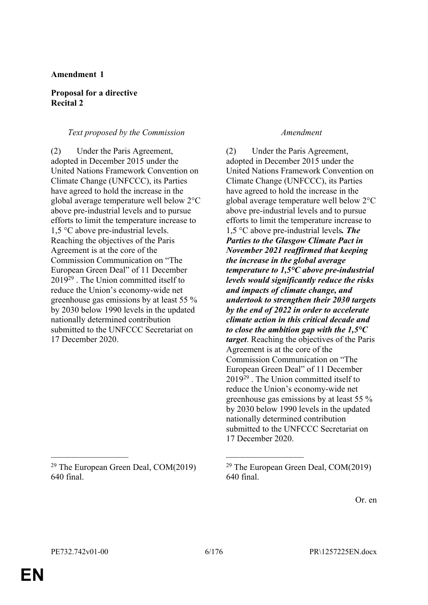# **Proposal for a directive Recital 2**

# *Text proposed by the Commission Amendment*

(2) Under the Paris Agreement, adopted in December 2015 under the United Nations Framework Convention on Climate Change (UNFCCC), its Parties have agreed to hold the increase in the global average temperature well below 2°C above pre-industrial levels and to pursue efforts to limit the temperature increase to 1,5 °C above pre-industrial levels. Reaching the objectives of the Paris Agreement is at the core of the Commission Communication on "The European Green Deal" of 11 December 2019<sup>29</sup> . The Union committed itself to reduce the Union's economy-wide net greenhouse gas emissions by at least 55 % by 2030 below 1990 levels in the updated nationally determined contribution submitted to the UNFCCC Secretariat on 17 December 2020.

<sup>29</sup> The European Green Deal, COM(2019) 640 final.

(2) Under the Paris Agreement, adopted in December 2015 under the United Nations Framework Convention on Climate Change (UNFCCC), its Parties have agreed to hold the increase in the global average temperature well below 2°C above pre-industrial levels and to pursue efforts to limit the temperature increase to 1,5 °C above pre-industrial levels*. The Parties to the Glasgow Climate Pact in November 2021 reaffirmed that keeping the increase in the global average temperature to 1,5°C above pre-industrial levels would significantly reduce the risks and impacts of climate change, and undertook to strengthen their 2030 targets by the end of 2022 in order to accelerate climate action in this critical decade and to close the ambition gap with the 1,5°C target*. Reaching the objectives of the Paris Agreement is at the core of the Commission Communication on "The European Green Deal" of 11 December 2019<sup>29</sup> . The Union committed itself to reduce the Union's economy-wide net greenhouse gas emissions by at least 55 % by 2030 below 1990 levels in the updated nationally determined contribution submitted to the UNFCCC Secretariat on 17 December 2020.

Or. en

 $\mathcal{L}_\text{max}$  , and the contract of the contract of the contract of the contract of the contract of the contract of

 $29$  The European Green Deal, COM(2019) 640 final.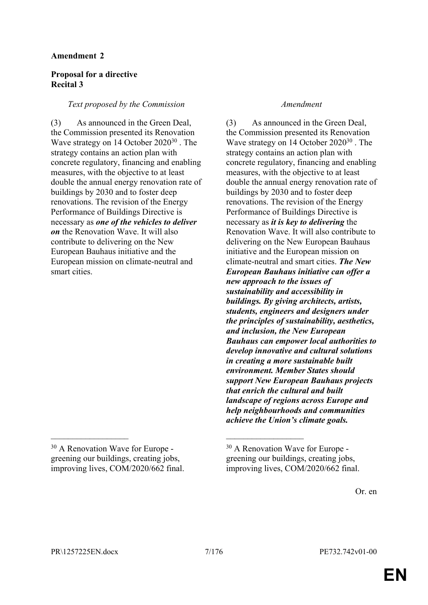# **Proposal for a directive Recital 3**

# *Text proposed by the Commission Amendment*

(3) As announced in the Green Deal, the Commission presented its Renovation Wave strategy on 14 October 2020<sup>30</sup> . The strategy contains an action plan with concrete regulatory, financing and enabling measures, with the objective to at least double the annual energy renovation rate of buildings by 2030 and to foster deep renovations. The revision of the Energy Performance of Buildings Directive is necessary as *one of the vehicles to deliver on* the Renovation Wave. It will also contribute to delivering on the New European Bauhaus initiative and the European mission on climate-neutral and smart cities.

(3) As announced in the Green Deal, the Commission presented its Renovation Wave strategy on 14 October 2020<sup>30</sup> . The strategy contains an action plan with concrete regulatory, financing and enabling measures, with the objective to at least double the annual energy renovation rate of buildings by 2030 and to foster deep renovations. The revision of the Energy Performance of Buildings Directive is necessary as *it is key to delivering* the Renovation Wave. It will also contribute to delivering on the New European Bauhaus initiative and the European mission on climate-neutral and smart cities. *The New European Bauhaus initiative can offer a new approach to the issues of sustainability and accessibility in buildings. By giving architects, artists, students, engineers and designers under the principles of sustainability, aesthetics, and inclusion, the New European Bauhaus can empower local authorities to develop innovative and cultural solutions in creating a more sustainable built environment. Member States should support New European Bauhaus projects that enrich the cultural and built landscape of regions across Europe and help neighbourhoods and communities achieve the Union's climate goals.*

 $\mathcal{L}_\text{max}$  , and the contract of the contract of the contract of the contract of the contract of the contract of

<sup>30</sup> A Renovation Wave for Europe greening our buildings, creating jobs, improving lives, COM/2020/662 final.

<sup>30</sup> A Renovation Wave for Europe greening our buildings, creating jobs, improving lives, COM/2020/662 final.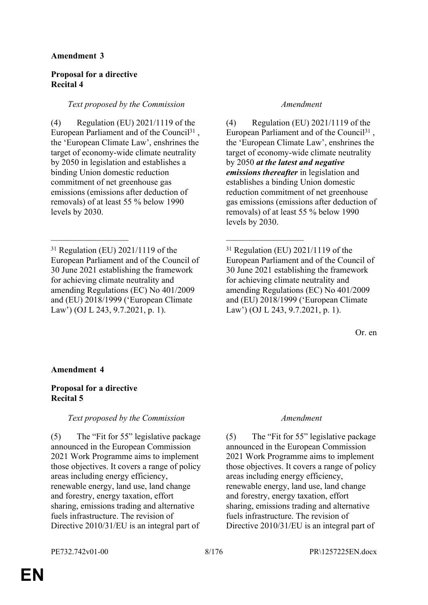# **Proposal for a directive Recital 4**

# *Text proposed by the Commission Amendment*

(4) Regulation (EU) 2021/1119 of the European Parliament and of the Council<sup>31</sup>, the 'European Climate Law', enshrines the target of economy-wide climate neutrality by 2050 in legislation and establishes a binding Union domestic reduction commitment of net greenhouse gas emissions (emissions after deduction of removals) of at least 55 % below 1990 levels by 2030.

 $\mathcal{L}_\text{max}$  , and the contract of the contract of the contract of the contract of the contract of the contract of

(4) Regulation (EU) 2021/1119 of the European Parliament and of the Council<sup>31</sup>, the 'European Climate Law', enshrines the target of economy-wide climate neutrality by 2050 *at the latest and negative emissions thereafter* in legislation and establishes a binding Union domestic reduction commitment of net greenhouse gas emissions (emissions after deduction of removals) of at least 55 % below 1990 levels by 2030.

<sup>31</sup> Regulation (EU) 2021/1119 of the European Parliament and of the Council of 30 June 2021 establishing the framework for achieving climate neutrality and amending Regulations (EC) No 401/2009 and (EU) 2018/1999 ('European Climate Law') (OJ L 243, 9.7.2021, p. 1).

Or. en

# **Amendment 4**

# **Proposal for a directive Recital 5**

# *Text proposed by the Commission Amendment*

(5) The "Fit for 55" legislative package announced in the European Commission 2021 Work Programme aims to implement those objectives. It covers a range of policy areas including energy efficiency, renewable energy, land use, land change and forestry, energy taxation, effort sharing, emissions trading and alternative fuels infrastructure. The revision of Directive 2010/31/EU is an integral part of

(5) The "Fit for 55" legislative package announced in the European Commission 2021 Work Programme aims to implement those objectives. It covers a range of policy areas including energy efficiency, renewable energy, land use, land change and forestry, energy taxation, effort sharing, emissions trading and alternative fuels infrastructure. The revision of Directive 2010/31/EU is an integral part of

<sup>31</sup> Regulation (EU) 2021/1119 of the European Parliament and of the Council of 30 June 2021 establishing the framework for achieving climate neutrality and amending Regulations (EC) No 401/2009 and (EU) 2018/1999 ('European Climate Law') (OJ L 243, 9.7.2021, p. 1).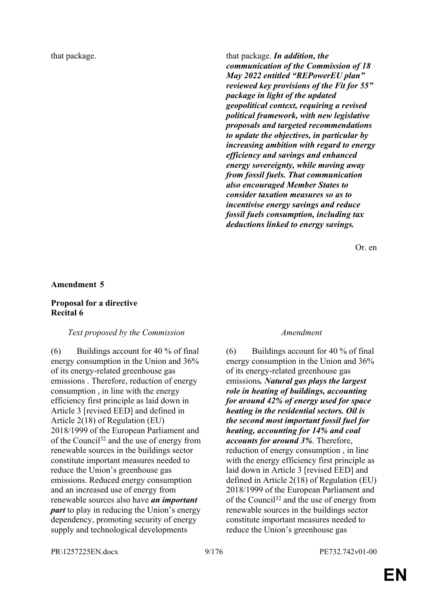that package. **that package. that package. In addition, the** *communication of the Commission of 18 May 2022 entitled "REPowerEU plan" reviewed key provisions of the Fit for 55" package in light of the updated geopolitical context, requiring a revised political framework, with new legislative proposals and targeted recommendations to update the objectives, in particular by increasing ambition with regard to energy efficiency and savings and enhanced energy sovereignty, while moving away from fossil fuels. That communication also encouraged Member States to consider taxation measures so as to incentivise energy savings and reduce fossil fuels consumption, including tax deductions linked to energy savings.*

Or. en

# **Amendment 5**

### **Proposal for a directive Recital 6**

### *Text proposed by the Commission Amendment*

 $(6)$  Buildings account for 40 % of final energy consumption in the Union and 36% of its energy-related greenhouse gas emissions . Therefore, reduction of energy consumption , in line with the energy efficiency first principle as laid down in Article 3 [revised EED] and defined in Article 2(18) of Regulation (EU) 2018/1999 of the European Parliament and of the Council<sup>32</sup> and the use of energy from renewable sources in the buildings sector constitute important measures needed to reduce the Union's greenhouse gas emissions. Reduced energy consumption and an increased use of energy from renewable sources also have *an important part* to play in reducing the Union's energy dependency, promoting security of energy supply and technological developments

 $(6)$  Buildings account for 40 % of final energy consumption in the Union and 36% of its energy-related greenhouse gas emissions*. Natural gas plays the largest role in heating of buildings, accounting for around 42% of energy used for space heating in the residential sectors. Oil is the second most important fossil fuel for heating, accounting for 14% and coal accounts for around 3%*. Therefore, reduction of energy consumption , in line with the energy efficiency first principle as laid down in Article 3 [revised EED] and defined in Article 2(18) of Regulation (EU) 2018/1999 of the European Parliament and of the Council<sup>32</sup> and the use of energy from renewable sources in the buildings sector constitute important measures needed to reduce the Union's greenhouse gas

PR\1257225EN.docx 9/176 PE732.742v01-00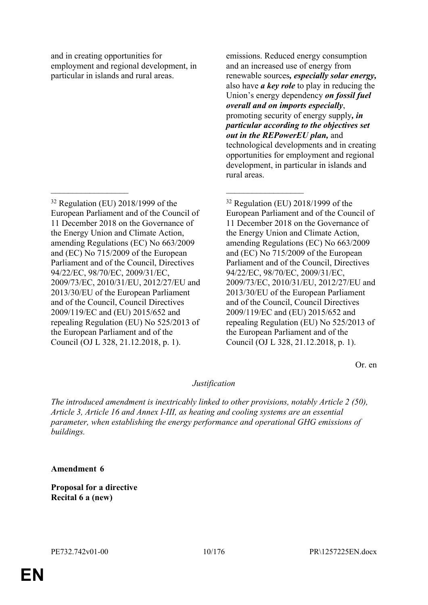and in creating opportunities for employment and regional development, in particular in islands and rural areas.

 $\mathcal{L}_\text{max}$  and  $\mathcal{L}_\text{max}$  and  $\mathcal{L}_\text{max}$  and  $\mathcal{L}_\text{max}$ 

emissions. Reduced energy consumption and an increased use of energy from renewable sources*, especially solar energy,* also have *a key role* to play in reducing the Union's energy dependency *on fossil fuel overall and on imports especially*, promoting security of energy supply*, in particular according to the objectives set out in the REPowerEU plan,* and technological developments and in creating opportunities for employment and regional development, in particular in islands and rural areas.

<sup>32</sup> Regulation (EU) 2018/1999 of the European Parliament and of the Council of 11 December 2018 on the Governance of the Energy Union and Climate Action, amending Regulations (EC) No 663/2009 and (EC) No 715/2009 of the European Parliament and of the Council, Directives 94/22/EC, 98/70/EC, 2009/31/EC, 2009/73/EC, 2010/31/EU, 2012/27/EU and 2013/30/EU of the European Parliament and of the Council, Council Directives 2009/119/EC and (EU) 2015/652 and repealing Regulation (EU) No 525/2013 of the European Parliament and of the Council (OJ L 328, 21.12.2018, p. 1).

Or. en

# *Justification*

*The introduced amendment is inextricably linked to other provisions, notably Article 2 (50), Article 3, Article 16 and Annex I-III, as heating and cooling systems are an essential parameter, when establishing the energy performance and operational GHG emissions of buildings.*

# **Amendment 6**

**Proposal for a directive Recital 6 a (new)**

<sup>32</sup> Regulation (EU) 2018/1999 of the European Parliament and of the Council of 11 December 2018 on the Governance of the Energy Union and Climate Action, amending Regulations (EC) No 663/2009 and (EC) No 715/2009 of the European Parliament and of the Council, Directives 94/22/EC, 98/70/EC, 2009/31/EC, 2009/73/EC, 2010/31/EU, 2012/27/EU and 2013/30/EU of the European Parliament and of the Council, Council Directives 2009/119/EC and (EU) 2015/652 and repealing Regulation (EU) No 525/2013 of the European Parliament and of the Council (OJ L 328, 21.12.2018, p. 1).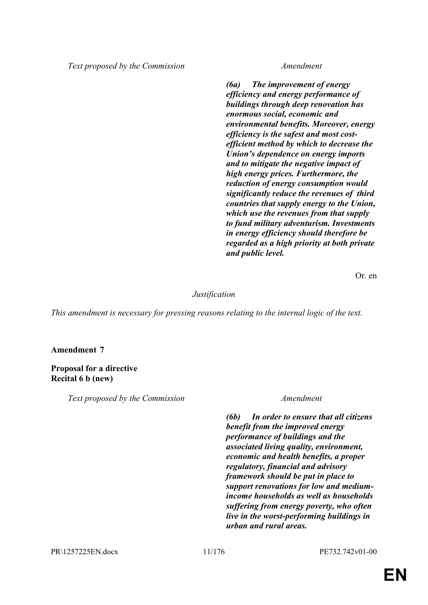*Text proposed by the Commission Amendment*

*(6a) The improvement of energy efficiency and energy performance of buildings through deep renovation has enormous social, economic and environmental benefits. Moreover, energy efficiency is the safest and most costefficient method by which to decrease the Union's dependence on energy imports and to mitigate the negative impact of high energy prices. Furthermore, the reduction of energy consumption would significantly reduce the revenues of third countries that supply energy to the Union, which use the revenues from that supply to fund military adventurism. Investments in energy efficiency should therefore be regarded as a high priority at both private and public level.*

Or. en

# *Justification*

*This amendment is necessary for pressing reasons relating to the internal logic of the text.*

**Amendment 7**

**Proposal for a directive Recital 6 b (new)**

*Text proposed by the Commission Amendment*

*(6b) In order to ensure that all citizens benefit from the improved energy performance of buildings and the associated living quality, environment, economic and health benefits, a proper regulatory, financial and advisory framework should be put in place to support renovations for low and mediumincome households as well as households suffering from energy poverty, who often live in the worst-performing buildings in urban and rural areas.*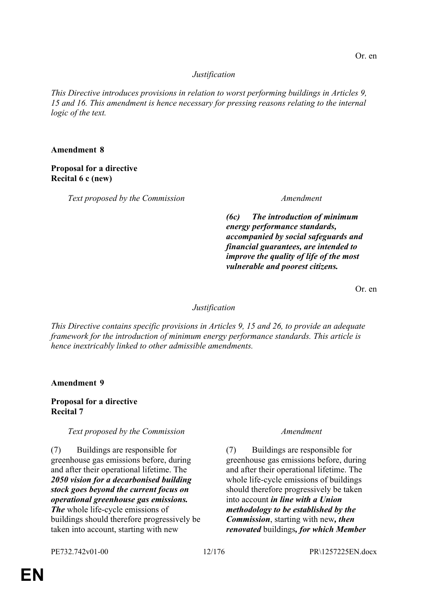# *Justification*

*This Directive introduces provisions in relation to worst performing buildings in Articles 9, 15 and 16. This amendment is hence necessary for pressing reasons relating to the internal logic of the text.*

### **Amendment 8**

# **Proposal for a directive Recital 6 c (new)**

*Text proposed by the Commission Amendment*

*(6c) The introduction of minimum energy performance standards, accompanied by social safeguards and financial guarantees, are intended to improve the quality of life of the most vulnerable and poorest citizens.*

Or. en

# *Justification*

*This Directive contains specific provisions in Articles 9, 15 and 26, to provide an adequate framework for the introduction of minimum energy performance standards. This article is hence inextricably linked to other admissible amendments.*

**Amendment 9**

**Proposal for a directive Recital 7**

*Text proposed by the Commission Amendment*

(7) Buildings are responsible for greenhouse gas emissions before, during and after their operational lifetime. The *2050 vision for a decarbonised building stock goes beyond the current focus on operational greenhouse gas emissions. The* whole life-cycle emissions of buildings should therefore progressively be taken into account, starting with new

(7) Buildings are responsible for greenhouse gas emissions before, during and after their operational lifetime. The whole life-cycle emissions of buildings should therefore progressively be taken into account *in line with a Union methodology to be established by the Commission*, starting with new*, then renovated* buildings*, for which Member*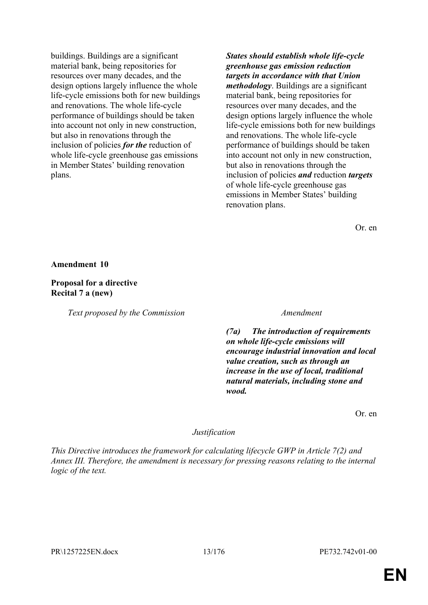buildings. Buildings are a significant material bank, being repositories for resources over many decades, and the design options largely influence the whole life-cycle emissions both for new buildings and renovations. The whole life-cycle performance of buildings should be taken into account not only in new construction, but also in renovations through the inclusion of policies *for the* reduction of whole life-cycle greenhouse gas emissions in Member States' building renovation plans.

*States should establish whole life-cycle greenhouse gas emission reduction targets in accordance with that Union methodology*. Buildings are a significant material bank, being repositories for resources over many decades, and the design options largely influence the whole life-cycle emissions both for new buildings and renovations. The whole life-cycle performance of buildings should be taken into account not only in new construction, but also in renovations through the inclusion of policies *and* reduction *targets* of whole life-cycle greenhouse gas emissions in Member States' building renovation plans.

Or. en

**Amendment 10**

**Proposal for a directive Recital 7 a (new)**

*Text proposed by the Commission Amendment*

*(7a) The introduction of requirements on whole life-cycle emissions will encourage industrial innovation and local value creation, such as through an increase in the use of local, traditional natural materials, including stone and wood.*

Or. en

# *Justification*

*This Directive introduces the framework for calculating lifecycle GWP in Article 7(2) and Annex III. Therefore, the amendment is necessary for pressing reasons relating to the internal logic of the text.*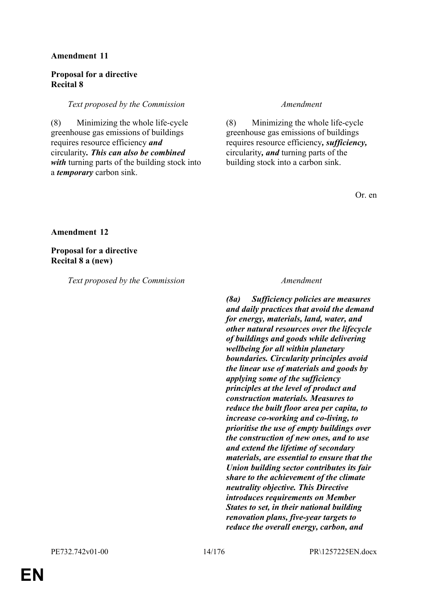# **Proposal for a directive Recital 8**

# *Text proposed by the Commission Amendment*

(8) Minimizing the whole life-cycle greenhouse gas emissions of buildings requires resource efficiency *and* circularity*. This can also be combined with* turning parts of the building stock into a *temporary* carbon sink.

(8) Minimizing the whole life-cycle greenhouse gas emissions of buildings requires resource efficiency*, sufficiency,* circularity*, and* turning parts of the building stock into a carbon sink.

Or. en

**Amendment 12**

**Proposal for a directive Recital 8 a (new)**

*Text proposed by the Commission Amendment*

*(8a) Sufficiency policies are measures and daily practices that avoid the demand for energy, materials, land, water, and other natural resources over the lifecycle of buildings and goods while delivering wellbeing for all within planetary boundaries. Circularity principles avoid the linear use of materials and goods by applying some of the sufficiency principles at the level of product and construction materials. Measures to reduce the built floor area per capita, to increase co-working and co-living, to prioritise the use of empty buildings over the construction of new ones, and to use and extend the lifetime of secondary materials, are essential to ensure that the Union building sector contributes its fair share to the achievement of the climate neutrality objective. This Directive introduces requirements on Member States to set, in their national building renovation plans, five-year targets to reduce the overall energy, carbon, and*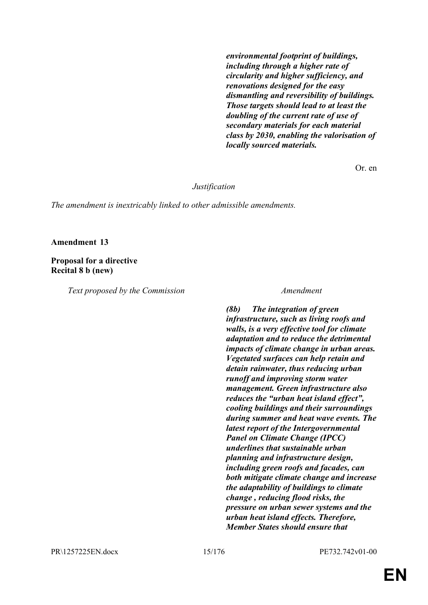*environmental footprint of buildings, including through a higher rate of circularity and higher sufficiency, and renovations designed for the easy dismantling and reversibility of buildings. Those targets should lead to at least the doubling of the current rate of use of secondary materials for each material class by 2030, enabling the valorisation of locally sourced materials.*

Or. en

*Justification*

*The amendment is inextricably linked to other admissible amendments.*

### **Amendment 13**

# **Proposal for a directive Recital 8 b (new)**

*Text proposed by the Commission Amendment*

*(8b) The integration of green infrastructure, such as living roofs and walls, is a very effective tool for climate adaptation and to reduce the detrimental impacts of climate change in urban areas. Vegetated surfaces can help retain and detain rainwater, thus reducing urban runoff and improving storm water management. Green infrastructure also reduces the "urban heat island effect", cooling buildings and their surroundings during summer and heat wave events. The latest report of the Intergovernmental Panel on Climate Change (IPCC) underlines that sustainable urban planning and infrastructure design, including green roofs and facades, can both mitigate climate change and increase the adaptability of buildings to climate change , reducing flood risks, the pressure on urban sewer systems and the urban heat island effects. Therefore, Member States should ensure that*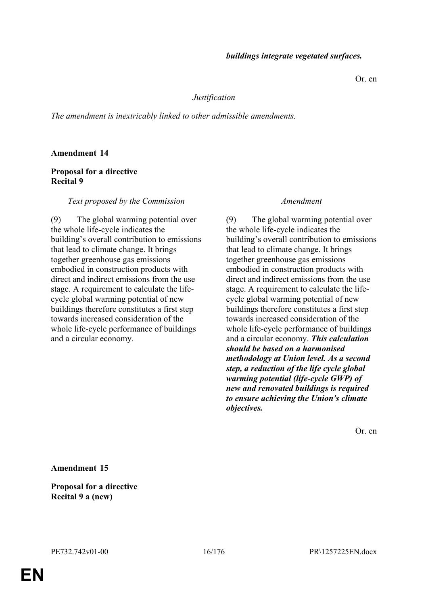Or. en

# *Justification*

*The amendment is inextricably linked to other admissible amendments.*

# **Amendment 14**

# **Proposal for a directive Recital 9**

*Text proposed by the Commission Amendment*

(9) The global warming potential over the whole life-cycle indicates the building's overall contribution to emissions that lead to climate change. It brings together greenhouse gas emissions embodied in construction products with direct and indirect emissions from the use stage. A requirement to calculate the lifecycle global warming potential of new buildings therefore constitutes a first step towards increased consideration of the whole life-cycle performance of buildings and a circular economy.

(9) The global warming potential over the whole life-cycle indicates the building's overall contribution to emissions that lead to climate change. It brings together greenhouse gas emissions embodied in construction products with direct and indirect emissions from the use stage. A requirement to calculate the lifecycle global warming potential of new buildings therefore constitutes a first step towards increased consideration of the whole life-cycle performance of buildings and a circular economy. *This calculation should be based on a harmonised methodology at Union level. As a second step, a reduction of the life cycle global warming potential (life-cycle GWP) of new and renovated buildings is required to ensure achieving the Union's climate objectives.*

Or. en

**Amendment 15**

**Proposal for a directive Recital 9 a (new)**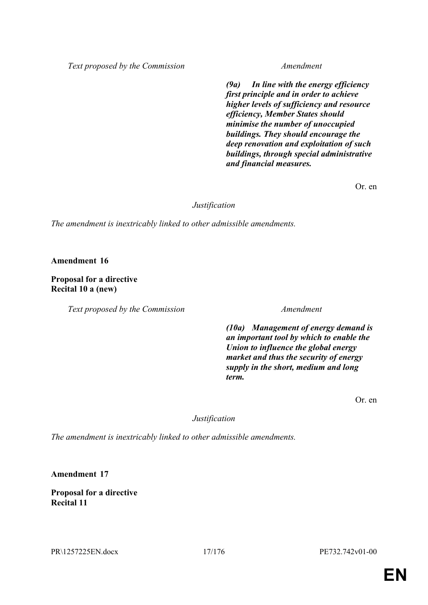*Text proposed by the Commission Amendment*

*(9a) In line with the energy efficiency first principle and in order to achieve higher levels of sufficiency and resource efficiency, Member States should minimise the number of unoccupied buildings. They should encourage the deep renovation and exploitation of such buildings, through special administrative and financial measures.*

Or. en

### *Justification*

*The amendment is inextricably linked to other admissible amendments.*

**Amendment 16**

# **Proposal for a directive Recital 10 a (new)**

*Text proposed by the Commission Amendment*

*(10a) Management of energy demand is an important tool by which to enable the Union to influence the global energy market and thus the security of energy supply in the short, medium and long term.*

Or. en

# *Justification*

*The amendment is inextricably linked to other admissible amendments.*

**Amendment 17**

**Proposal for a directive Recital 11**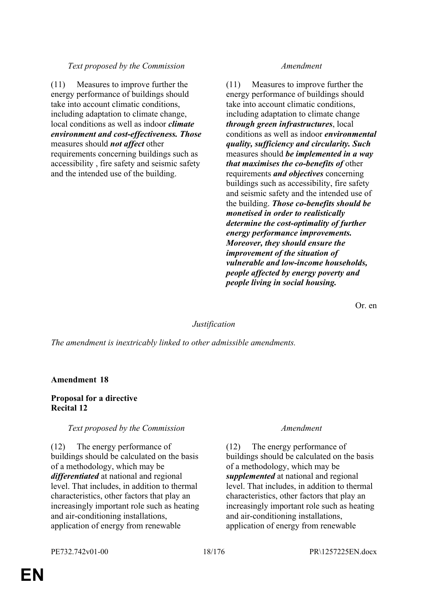# *Text proposed by the Commission Amendment*

(11) Measures to improve further the energy performance of buildings should take into account climatic conditions, including adaptation to climate change, local conditions as well as indoor *climate environment and cost-effectiveness. Those* measures should *not affect* other requirements concerning buildings such as accessibility , fire safety and seismic safety and the intended use of the building.

(11) Measures to improve further the energy performance of buildings should take into account climatic conditions, including adaptation to climate change *through green infrastructures*, local conditions as well as indoor *environmental quality, sufficiency and circularity. Such* measures should *be implemented in a way that maximises the co-benefits of* other requirements *and objectives* concerning buildings such as accessibility, fire safety and seismic safety and the intended use of the building. *Those co-benefits should be monetised in order to realistically determine the cost-optimality of further energy performance improvements. Moreover, they should ensure the improvement of the situation of vulnerable and low-income households, people affected by energy poverty and people living in social housing.*

Or. en

# *Justification*

*The amendment is inextricably linked to other admissible amendments.*

# **Amendment 18**

# **Proposal for a directive Recital 12**

### *Text proposed by the Commission Amendment*

(12) The energy performance of buildings should be calculated on the basis of a methodology, which may be *differentiated* at national and regional level. That includes, in addition to thermal characteristics, other factors that play an increasingly important role such as heating and air-conditioning installations, application of energy from renewable

(12) The energy performance of buildings should be calculated on the basis of a methodology, which may be *supplemented* at national and regional level. That includes, in addition to thermal characteristics, other factors that play an increasingly important role such as heating and air-conditioning installations, application of energy from renewable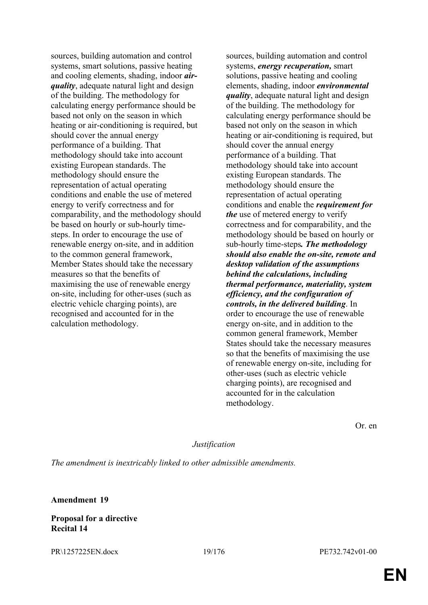sources, building automation and control systems, smart solutions, passive heating and cooling elements, shading, indoor *airquality*, adequate natural light and design of the building. The methodology for calculating energy performance should be based not only on the season in which heating or air-conditioning is required, but should cover the annual energy performance of a building. That methodology should take into account existing European standards. The methodology should ensure the representation of actual operating conditions and enable the use of metered energy to verify correctness and for comparability, and the methodology should be based on hourly or sub-hourly timesteps. In order to encourage the use of renewable energy on-site, and in addition to the common general framework, Member States should take the necessary measures so that the benefits of maximising the use of renewable energy on-site, including for other-uses (such as electric vehicle charging points), are recognised and accounted for in the calculation methodology.

sources, building automation and control systems, *energy recuperation,* smart solutions, passive heating and cooling elements, shading, indoor *environmental quality*, adequate natural light and design of the building. The methodology for calculating energy performance should be based not only on the season in which heating or air-conditioning is required, but should cover the annual energy performance of a building. That methodology should take into account existing European standards. The methodology should ensure the representation of actual operating conditions and enable the *requirement for the* use of metered energy to verify correctness and for comparability, and the methodology should be based on hourly or sub-hourly time-steps*. The methodology should also enable the on-site, remote and desktop validation of the assumptions behind the calculations, including thermal performance, materiality, system efficiency, and the configuration of controls, in the delivered building*. In order to encourage the use of renewable energy on-site, and in addition to the common general framework, Member States should take the necessary measures so that the benefits of maximising the use of renewable energy on-site, including for other-uses (such as electric vehicle charging points), are recognised and accounted for in the calculation methodology.

Or. en

# *Justification*

*The amendment is inextricably linked to other admissible amendments.*

**Amendment 19**

**Proposal for a directive Recital 14**

PR\1257225EN.docx 19/176 PE732.742v01-00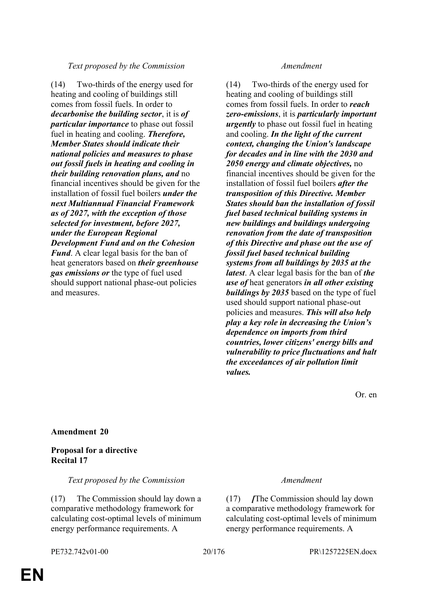# *Text proposed by the Commission Amendment*

(14) Two-thirds of the energy used for heating and cooling of buildings still comes from fossil fuels. In order to *decarbonise the building sector*, it is *of particular importance* to phase out fossil fuel in heating and cooling. *Therefore, Member States should indicate their national policies and measures to phase out fossil fuels in heating and cooling in their building renovation plans, and* no financial incentives should be given for the installation of fossil fuel boilers *under the next Multiannual Financial Framework as of 2027, with the exception of those selected for investment, before 2027, under the European Regional Development Fund and on the Cohesion Fund*. A clear legal basis for the ban of heat generators based on *their greenhouse gas emissions or* the type of fuel used should support national phase-out policies and measures.

(14) Two-thirds of the energy used for heating and cooling of buildings still comes from fossil fuels. In order to *reach zero-emissions*, it is *particularly important urgently* to phase out fossil fuel in heating and cooling. *In the light of the current context, changing the Union's landscape for decades and in line with the 2030 and 2050 energy and climate objectives,* no financial incentives should be given for the installation of fossil fuel boilers *after the transposition of this Directive. Member States should ban the installation of fossil fuel based technical building systems in new buildings and buildings undergoing renovation from the date of transposition of this Directive and phase out the use of fossil fuel based technical building systems from all buildings by 2035 at the latest*. A clear legal basis for the ban of *the use of* heat generators *in all other existing buildings by 2035* based on the type of fuel used should support national phase-out policies and measures. *This will also help play a key role in decreasing the Union's dependence on imports from third countries, lower citizens' energy bills and vulnerability to price fluctuations and halt the exceedances of air pollution limit values.*

Or. en

# **Amendment 20**

# **Proposal for a directive Recital 17**

*Text proposed by the Commission Amendment*

(17) The Commission should lay down a comparative methodology framework for calculating cost-optimal levels of minimum energy performance requirements. A

(17) *[*The Commission should lay down a comparative methodology framework for calculating cost-optimal levels of minimum energy performance requirements. A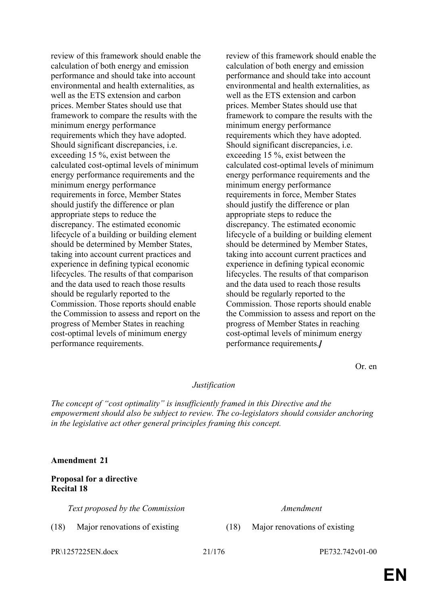review of this framework should enable the calculation of both energy and emission performance and should take into account environmental and health externalities, as well as the ETS extension and carbon prices. Member States should use that framework to compare the results with the minimum energy performance requirements which they have adopted. Should significant discrepancies, i.e. exceeding 15 %, exist between the calculated cost-optimal levels of minimum energy performance requirements and the minimum energy performance requirements in force, Member States should justify the difference or plan appropriate steps to reduce the discrepancy. The estimated economic lifecycle of a building or building element should be determined by Member States, taking into account current practices and experience in defining typical economic lifecycles. The results of that comparison and the data used to reach those results should be regularly reported to the Commission. Those reports should enable the Commission to assess and report on the progress of Member States in reaching cost-optimal levels of minimum energy performance requirements.

review of this framework should enable the calculation of both energy and emission performance and should take into account environmental and health externalities, as well as the ETS extension and carbon prices. Member States should use that framework to compare the results with the minimum energy performance requirements which they have adopted. Should significant discrepancies, i.e. exceeding 15 %, exist between the calculated cost-optimal levels of minimum energy performance requirements and the minimum energy performance requirements in force, Member States should justify the difference or plan appropriate steps to reduce the discrepancy. The estimated economic lifecycle of a building or building element should be determined by Member States, taking into account current practices and experience in defining typical economic lifecycles. The results of that comparison and the data used to reach those results should be regularly reported to the Commission. Those reports should enable the Commission to assess and report on the progress of Member States in reaching cost-optimal levels of minimum energy performance requirements.*]*

Or. en

# *Justification*

*The concept of "cost optimality" is insufficiently framed in this Directive and the empowerment should also be subject to review. The co-legislators should consider anchoring in the legislative act other general principles framing this concept.*

### **Amendment 21**

# **Proposal for a directive Recital 18**

*Text proposed by the Commission Amendment*

(18) Major renovations of existing (18) Major renovations of existing

PR\1257225EN.docx 21/176 PE732.742v01-00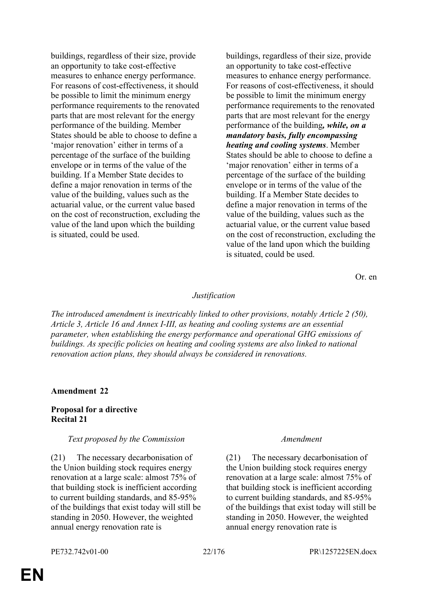buildings, regardless of their size, provide an opportunity to take cost-effective measures to enhance energy performance. For reasons of cost-effectiveness, it should be possible to limit the minimum energy performance requirements to the renovated parts that are most relevant for the energy performance of the building. Member States should be able to choose to define a 'major renovation' either in terms of a percentage of the surface of the building envelope or in terms of the value of the building. If a Member State decides to define a major renovation in terms of the value of the building, values such as the actuarial value, or the current value based on the cost of reconstruction, excluding the value of the land upon which the building is situated, could be used.

buildings, regardless of their size, provide an opportunity to take cost-effective measures to enhance energy performance. For reasons of cost-effectiveness, it should be possible to limit the minimum energy performance requirements to the renovated parts that are most relevant for the energy performance of the building*, while, on a mandatory basis, fully encompassing heating and cooling systems*. Member States should be able to choose to define a 'major renovation' either in terms of a percentage of the surface of the building envelope or in terms of the value of the building. If a Member State decides to define a major renovation in terms of the value of the building, values such as the actuarial value, or the current value based on the cost of reconstruction, excluding the value of the land upon which the building is situated, could be used.

Or. en

### *Justification*

*The introduced amendment is inextricably linked to other provisions, notably Article 2 (50), Article 3, Article 16 and Annex I-III, as heating and cooling systems are an essential parameter, when establishing the energy performance and operational GHG emissions of buildings. As specific policies on heating and cooling systems are also linked to national renovation action plans, they should always be considered in renovations.*

### **Amendment 22**

# **Proposal for a directive Recital 21**

### *Text proposed by the Commission Amendment*

(21) The necessary decarbonisation of the Union building stock requires energy renovation at a large scale: almost 75% of that building stock is inefficient according to current building standards, and 85-95% of the buildings that exist today will still be standing in 2050. However, the weighted annual energy renovation rate is

(21) The necessary decarbonisation of the Union building stock requires energy renovation at a large scale: almost 75% of that building stock is inefficient according to current building standards, and 85-95% of the buildings that exist today will still be standing in 2050. However, the weighted annual energy renovation rate is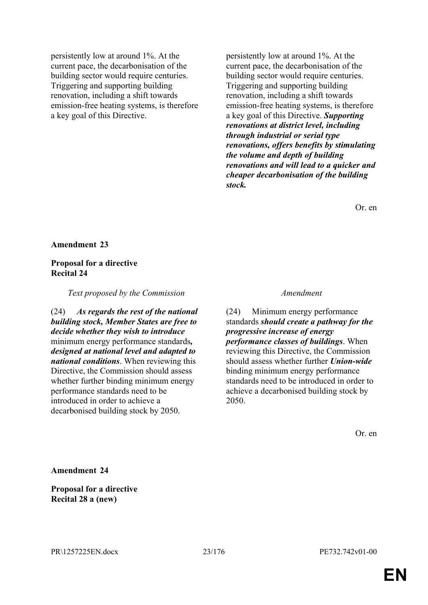persistently low at around 1%. At the current pace, the decarbonisation of the building sector would require centuries. Triggering and supporting building renovation, including a shift towards emission-free heating systems, is therefore a key goal of this Directive.

persistently low at around 1%. At the current pace, the decarbonisation of the building sector would require centuries. Triggering and supporting building renovation, including a shift towards emission-free heating systems, is therefore a key goal of this Directive. *Supporting renovations at district level, including through industrial or serial type renovations, offers benefits by stimulating the volume and depth of building renovations and will lead to a quicker and cheaper decarbonisation of the building stock.*

Or. en

### **Amendment 23**

### **Proposal for a directive Recital 24**

*Text proposed by the Commission Amendment*

(24) *As regards the rest of the national building stock, Member States are free to decide whether they wish to introduce* minimum energy performance standards*, designed at national level and adapted to national conditions*. When reviewing this Directive, the Commission should assess whether further binding minimum energy performance standards need to be introduced in order to achieve a decarbonised building stock by 2050.

(24) Minimum energy performance standards *should create a pathway for the progressive increase of energy performance classes of buildings*. When reviewing this Directive, the Commission should assess whether further *Union-wide* binding minimum energy performance standards need to be introduced in order to achieve a decarbonised building stock by 2050.

Or. en

**Amendment 24**

**Proposal for a directive Recital 28 a (new)**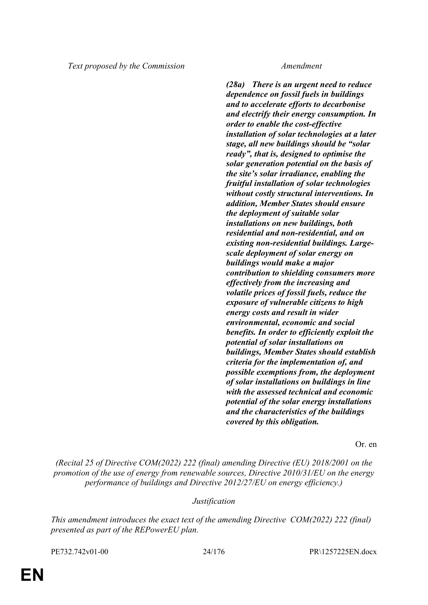*(28a) There is an urgent need to reduce dependence on fossil fuels in buildings and to accelerate efforts to decarbonise and electrify their energy consumption. In order to enable the cost-effective installation of solar technologies at a later stage, all new buildings should be "solar ready", that is, designed to optimise the solar generation potential on the basis of the site's solar irradiance, enabling the fruitful installation of solar technologies without costly structural interventions. In addition, Member States should ensure the deployment of suitable solar installations on new buildings, both residential and non-residential, and on existing non-residential buildings. Largescale deployment of solar energy on buildings would make a major contribution to shielding consumers more effectively from the increasing and volatile prices of fossil fuels, reduce the exposure of vulnerable citizens to high energy costs and result in wider environmental, economic and social benefits. In order to efficiently exploit the potential of solar installations on buildings, Member States should establish criteria for the implementation of, and possible exemptions from, the deployment of solar installations on buildings in line with the assessed technical and economic potential of the solar energy installations and the characteristics of the buildings covered by this obligation.*

Or. en

*(Recital 25 of Directive COM(2022) 222 (final) amending Directive (EU) 2018/2001 on the promotion of the use of energy from renewable sources, Directive 2010/31/EU on the energy performance of buildings and Directive 2012/27/EU on energy efficiency.)*

# *Justification*

*This amendment introduces the exact text of the amending Directive COM(2022) 222 (final) presented as part of the REPowerEU plan.*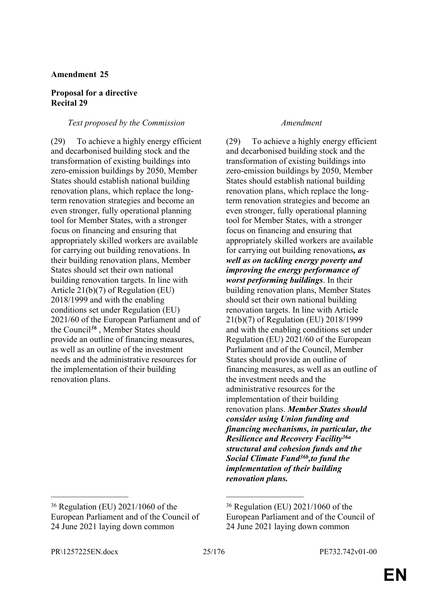# **Proposal for a directive Recital 29**

# *Text proposed by the Commission Amendment*

(29) To achieve a highly energy efficient and decarbonised building stock and the transformation of existing buildings into zero-emission buildings by 2050, Member States should establish national building renovation plans, which replace the longterm renovation strategies and become an even stronger, fully operational planning tool for Member States, with a stronger focus on financing and ensuring that appropriately skilled workers are available for carrying out building renovations. In their building renovation plans, Member States should set their own national building renovation targets. In line with Article 21(b)(7) of Regulation (EU) 2018/1999 and with the enabling conditions set under Regulation (EU) 2021/60 of the European Parliament and of the Council*<sup>36</sup>* , Member States should provide an outline of financing measures, as well as an outline of the investment needs and the administrative resources for the implementation of their building renovation plans.

# <sup>36</sup> Regulation (EU) 2021/1060 of the European Parliament and of the Council of 24 June 2021 laying down common

(29) To achieve a highly energy efficient and decarbonised building stock and the transformation of existing buildings into zero-emission buildings by 2050, Member States should establish national building renovation plans, which replace the longterm renovation strategies and become an even stronger, fully operational planning tool for Member States, with a stronger focus on financing and ensuring that appropriately skilled workers are available for carrying out building renovations*, as well as on tackling energy poverty and improving the energy performance of worst performing buildings*. In their building renovation plans, Member States should set their own national building renovation targets. In line with Article 21(b)(7) of Regulation (EU) 2018/1999 and with the enabling conditions set under Regulation (EU) 2021/60 of the European Parliament and of the Council, Member States should provide an outline of financing measures, as well as an outline of the investment needs and the administrative resources for the implementation of their building renovation plans. *Member States should consider using Union funding and financing mechanisms, in particular, the Resilience and Recovery Facility36a structural and cohesion funds and the Social Climate Fund36b,to fund the implementation of their building renovation plans.*

 $\mathcal{L}_\text{max}$  , and the contract of the contract of the contract of the contract of the contract of the contract of

<sup>36</sup> Regulation (EU) 2021/1060 of the European Parliament and of the Council of 24 June 2021 laying down common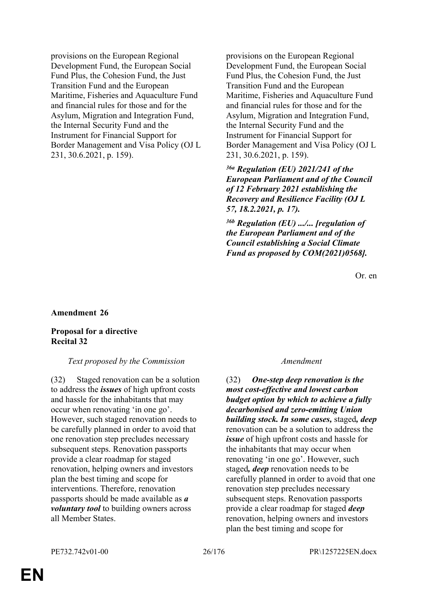provisions on the European Regional Development Fund, the European Social Fund Plus, the Cohesion Fund, the Just Transition Fund and the European Maritime, Fisheries and Aquaculture Fund and financial rules for those and for the Asylum, Migration and Integration Fund, the Internal Security Fund and the Instrument for Financial Support for Border Management and Visa Policy (OJ L 231, 30.6.2021, p. 159).

provisions on the European Regional Development Fund, the European Social Fund Plus, the Cohesion Fund, the Just Transition Fund and the European Maritime, Fisheries and Aquaculture Fund and financial rules for those and for the Asylum, Migration and Integration Fund, the Internal Security Fund and the Instrument for Financial Support for Border Management and Visa Policy (OJ L 231, 30.6.2021, p. 159).

*36a Regulation (EU) 2021/241 of the European Parliament and of the Council of 12 February 2021 establishing the Recovery and Resilience Facility (OJ L 57, 18.2.2021, p. 17).*

*36b Regulation (EU) .../... [regulation of the European Parliament and of the Council establishing a Social Climate Fund as proposed by COM(2021)0568].*

Or. en

# **Amendment 26**

# **Proposal for a directive Recital 32**

### *Text proposed by the Commission Amendment*

(32) Staged renovation can be a solution to address the *issues* of high upfront costs and hassle for the inhabitants that may occur when renovating 'in one go'. However, such staged renovation needs to be carefully planned in order to avoid that one renovation step precludes necessary subsequent steps. Renovation passports provide a clear roadmap for staged renovation, helping owners and investors plan the best timing and scope for interventions. Therefore, renovation passports should be made available as *a voluntary tool* to building owners across all Member States.

(32) *One-step deep renovation is the most cost-effective and lowest carbon budget option by which to achieve a fully decarbonised and zero-emitting Union building stock. In some cases,* staged*, deep* renovation can be a solution to address the *issue* of high upfront costs and hassle for the inhabitants that may occur when renovating 'in one go'. However, such staged*, deep* renovation needs to be carefully planned in order to avoid that one renovation step precludes necessary subsequent steps. Renovation passports provide a clear roadmap for staged *deep* renovation, helping owners and investors plan the best timing and scope for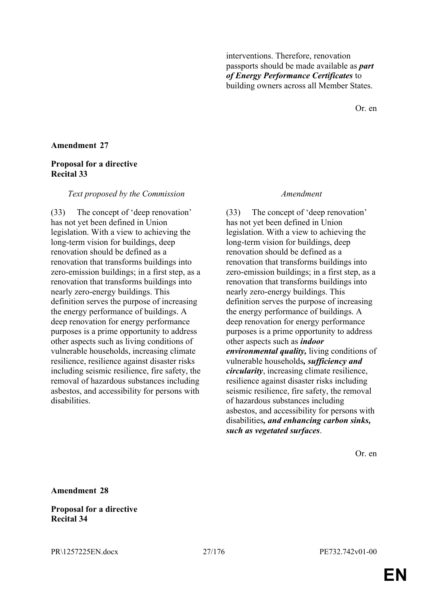interventions. Therefore, renovation passports should be made available as *part of Energy Performance Certificates* to building owners across all Member States.

Or. en

# **Amendment 27**

# **Proposal for a directive Recital 33**

### *Text proposed by the Commission Amendment*

(33) The concept of 'deep renovation' has not yet been defined in Union legislation. With a view to achieving the long-term vision for buildings, deep renovation should be defined as a renovation that transforms buildings into zero-emission buildings; in a first step, as a renovation that transforms buildings into nearly zero-energy buildings. This definition serves the purpose of increasing the energy performance of buildings. A deep renovation for energy performance purposes is a prime opportunity to address other aspects such as living conditions of vulnerable households, increasing climate resilience, resilience against disaster risks including seismic resilience, fire safety, the removal of hazardous substances including asbestos, and accessibility for persons with disabilities.

(33) The concept of 'deep renovation' has not yet been defined in Union legislation. With a view to achieving the long-term vision for buildings, deep renovation should be defined as a renovation that transforms buildings into zero-emission buildings; in a first step, as a renovation that transforms buildings into nearly zero-energy buildings. This definition serves the purpose of increasing the energy performance of buildings. A deep renovation for energy performance purposes is a prime opportunity to address other aspects such as *indoor environmental quality,* living conditions of vulnerable households*, sufficiency and circularity*, increasing climate resilience, resilience against disaster risks including seismic resilience, fire safety, the removal of hazardous substances including asbestos, and accessibility for persons with disabilities*, and enhancing carbon sinks, such as vegetated surfaces*.

Or. en

**Amendment 28**

**Proposal for a directive Recital 34**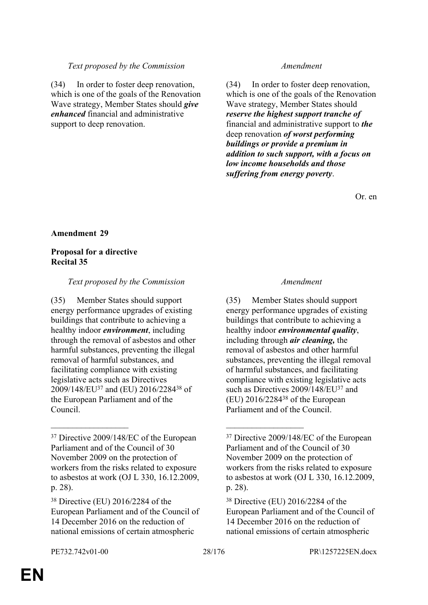# *Text proposed by the Commission Amendment*

(34) In order to foster deep renovation, which is one of the goals of the Renovation Wave strategy, Member States should *give enhanced* financial and administrative support to deep renovation.

(34) In order to foster deep renovation, which is one of the goals of the Renovation Wave strategy, Member States should *reserve the highest support tranche of* financial and administrative support to *the* deep renovation *of worst performing buildings or provide a premium in addition to such support, with a focus on low income households and those suffering from energy poverty*.

Or. en

# **Amendment 29**

# **Proposal for a directive Recital 35**

# *Text proposed by the Commission Amendment*

(35) Member States should support energy performance upgrades of existing buildings that contribute to achieving a healthy indoor *environment*, including through the removal of asbestos and other harmful substances, preventing the illegal removal of harmful substances, and facilitating compliance with existing legislative acts such as Directives 2009/148/EU<sup>37</sup> and (EU) 2016/2284<sup>38</sup> of the European Parliament and of the Council.

 $\mathcal{L}_\text{max}$  , and the contract of the contract of the contract of the contract of the contract of the contract of

(35) Member States should support energy performance upgrades of existing buildings that contribute to achieving a healthy indoor *environmental quality*, including through *air cleaning,* the removal of asbestos and other harmful substances, preventing the illegal removal of harmful substances, and facilitating compliance with existing legislative acts such as Directives 2009/148/EU<sup>37</sup> and (EU) 2016/2284<sup>38</sup> of the European Parliament and of the Council.

<sup>37</sup> Directive 2009/148/EC of the European Parliament and of the Council of 30 November 2009 on the protection of workers from the risks related to exposure to asbestos at work (OJ L 330, 16.12.2009, p. 28).

<sup>38</sup> Directive (EU) 2016/2284 of the European Parliament and of the Council of 14 December 2016 on the reduction of national emissions of certain atmospheric

<sup>37</sup> Directive 2009/148/EC of the European Parliament and of the Council of 30 November 2009 on the protection of workers from the risks related to exposure to asbestos at work (OJ L 330, 16.12.2009, p. 28).

<sup>38</sup> Directive (EU) 2016/2284 of the European Parliament and of the Council of 14 December 2016 on the reduction of national emissions of certain atmospheric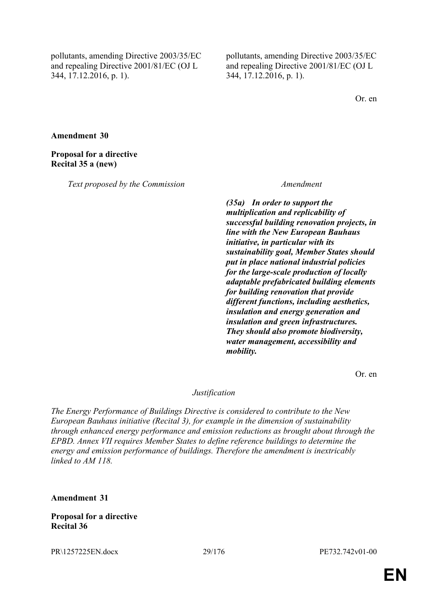pollutants, amending Directive 2003/35/EC and repealing Directive 2001/81/EC (OJ L 344, 17.12.2016, p. 1).

pollutants, amending Directive 2003/35/EC and repealing Directive 2001/81/EC (OJ L 344, 17.12.2016, p. 1).

Or. en

**Amendment 30**

**Proposal for a directive Recital 35 a (new)**

*Text proposed by the Commission Amendment*

*(35a) In order to support the multiplication and replicability of successful building renovation projects, in line with the New European Bauhaus initiative, in particular with its sustainability goal, Member States should put in place national industrial policies for the large-scale production of locally adaptable prefabricated building elements for building renovation that provide different functions, including aesthetics, insulation and energy generation and insulation and green infrastructures. They should also promote biodiversity, water management, accessibility and mobility.*

Or. en

# *Justification*

*The Energy Performance of Buildings Directive is considered to contribute to the New European Bauhaus initiative (Recital 3), for example in the dimension of sustainability through enhanced energy performance and emission reductions as brought about through the EPBD. Annex VII requires Member States to define reference buildings to determine the energy and emission performance of buildings. Therefore the amendment is inextricably linked to AM 118.*

**Amendment 31**

**Proposal for a directive Recital 36**

PR\1257225EN.docx 29/176 PE732.742v01-00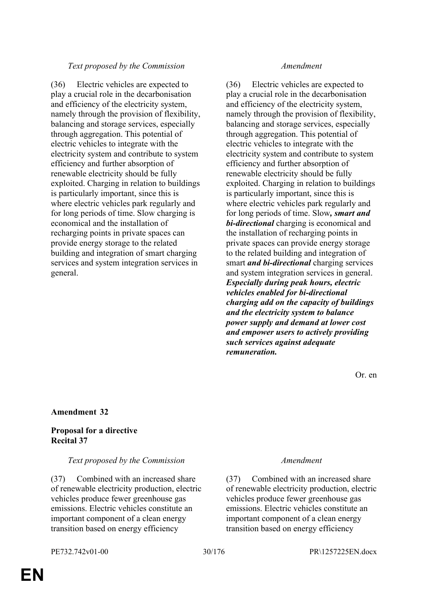# *Text proposed by the Commission Amendment*

(36) Electric vehicles are expected to play a crucial role in the decarbonisation and efficiency of the electricity system, namely through the provision of flexibility, balancing and storage services, especially through aggregation. This potential of electric vehicles to integrate with the electricity system and contribute to system efficiency and further absorption of renewable electricity should be fully exploited. Charging in relation to buildings is particularly important, since this is where electric vehicles park regularly and for long periods of time. Slow charging is economical and the installation of recharging points in private spaces can provide energy storage to the related building and integration of smart charging services and system integration services in general.

(36) Electric vehicles are expected to play a crucial role in the decarbonisation and efficiency of the electricity system, namely through the provision of flexibility, balancing and storage services, especially through aggregation. This potential of electric vehicles to integrate with the electricity system and contribute to system efficiency and further absorption of renewable electricity should be fully exploited. Charging in relation to buildings is particularly important, since this is where electric vehicles park regularly and for long periods of time. Slow*, smart and bi-directional* charging is economical and the installation of recharging points in private spaces can provide energy storage to the related building and integration of smart *and bi-directional* charging services and system integration services in general. *Especially during peak hours, electric vehicles enabled for bi-directional charging add on the capacity of buildings and the electricity system to balance power supply and demand at lower cost and empower users to actively providing such services against adequate remuneration.*

Or. en

# **Amendment 32**

# **Proposal for a directive Recital 37**

# *Text proposed by the Commission Amendment*

(37) Combined with an increased share of renewable electricity production, electric vehicles produce fewer greenhouse gas emissions. Electric vehicles constitute an important component of a clean energy transition based on energy efficiency

(37) Combined with an increased share of renewable electricity production, electric vehicles produce fewer greenhouse gas emissions. Electric vehicles constitute an important component of a clean energy transition based on energy efficiency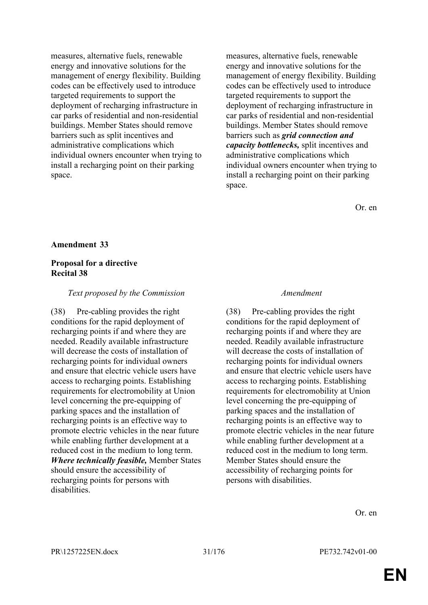measures, alternative fuels, renewable energy and innovative solutions for the management of energy flexibility. Building codes can be effectively used to introduce targeted requirements to support the deployment of recharging infrastructure in car parks of residential and non-residential buildings. Member States should remove barriers such as split incentives and administrative complications which individual owners encounter when trying to install a recharging point on their parking space.

measures, alternative fuels, renewable energy and innovative solutions for the management of energy flexibility. Building codes can be effectively used to introduce targeted requirements to support the deployment of recharging infrastructure in car parks of residential and non-residential buildings. Member States should remove barriers such as *grid connection and capacity bottlenecks,* split incentives and administrative complications which individual owners encounter when trying to install a recharging point on their parking space.

Or. en

### **Amendment 33**

### **Proposal for a directive Recital 38**

### *Text proposed by the Commission Amendment*

(38) Pre-cabling provides the right conditions for the rapid deployment of recharging points if and where they are needed. Readily available infrastructure will decrease the costs of installation of recharging points for individual owners and ensure that electric vehicle users have access to recharging points. Establishing requirements for electromobility at Union level concerning the pre-equipping of parking spaces and the installation of recharging points is an effective way to promote electric vehicles in the near future while enabling further development at a reduced cost in the medium to long term. *Where technically feasible,* Member States should ensure the accessibility of recharging points for persons with disabilities.

(38) Pre-cabling provides the right conditions for the rapid deployment of recharging points if and where they are needed. Readily available infrastructure will decrease the costs of installation of recharging points for individual owners and ensure that electric vehicle users have access to recharging points. Establishing requirements for electromobility at Union level concerning the pre-equipping of parking spaces and the installation of recharging points is an effective way to promote electric vehicles in the near future while enabling further development at a reduced cost in the medium to long term. Member States should ensure the accessibility of recharging points for persons with disabilities.

Or. en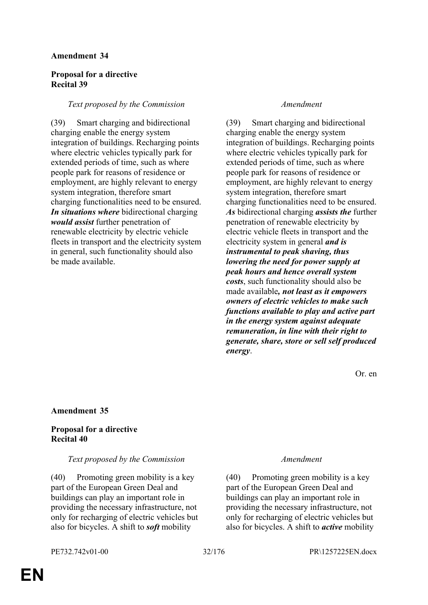# **Proposal for a directive Recital 39**

# *Text proposed by the Commission Amendment*

(39) Smart charging and bidirectional charging enable the energy system integration of buildings. Recharging points where electric vehicles typically park for extended periods of time, such as where people park for reasons of residence or employment, are highly relevant to energy system integration, therefore smart charging functionalities need to be ensured. *In situations where* bidirectional charging *would assist* further penetration of renewable electricity by electric vehicle fleets in transport and the electricity system in general, such functionality should also be made available.

(39) Smart charging and bidirectional charging enable the energy system integration of buildings. Recharging points where electric vehicles typically park for extended periods of time, such as where people park for reasons of residence or employment, are highly relevant to energy system integration, therefore smart charging functionalities need to be ensured. *As* bidirectional charging *assists the* further penetration of renewable electricity by electric vehicle fleets in transport and the electricity system in general *and is instrumental to peak shaving, thus lowering the need for power supply at peak hours and hence overall system costs*, such functionality should also be made available*, not least as it empowers owners of electric vehicles to make such functions available to play and active part in the energy system against adequate remuneration, in line with their right to generate, share, store or sell self produced energy*.

Or. en

# **Amendment 35**

# **Proposal for a directive Recital 40**

# *Text proposed by the Commission Amendment*

(40) Promoting green mobility is a key part of the European Green Deal and buildings can play an important role in providing the necessary infrastructure, not only for recharging of electric vehicles but also for bicycles. A shift to *soft* mobility

(40) Promoting green mobility is a key part of the European Green Deal and buildings can play an important role in providing the necessary infrastructure, not only for recharging of electric vehicles but also for bicycles. A shift to *active* mobility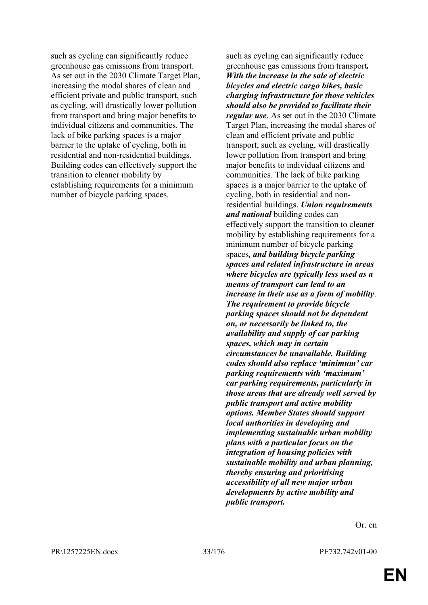such as cycling can significantly reduce greenhouse gas emissions from transport. As set out in the 2030 Climate Target Plan, increasing the modal shares of clean and efficient private and public transport, such as cycling, will drastically lower pollution from transport and bring major benefits to individual citizens and communities. The lack of bike parking spaces is a major barrier to the uptake of cycling, both in residential and non-residential buildings. Building codes can effectively support the transition to cleaner mobility by establishing requirements for a minimum number of bicycle parking spaces.

such as cycling can significantly reduce greenhouse gas emissions from transport*. With the increase in the sale of electric bicycles and electric cargo bikes, basic charging infrastructure for those vehicles should also be provided to facilitate their regular use*. As set out in the 2030 Climate Target Plan, increasing the modal shares of clean and efficient private and public transport, such as cycling, will drastically lower pollution from transport and bring major benefits to individual citizens and communities. The lack of bike parking spaces is a major barrier to the uptake of cycling, both in residential and nonresidential buildings. *Union requirements and national* building codes can effectively support the transition to cleaner mobility by establishing requirements for a minimum number of bicycle parking spaces*, and building bicycle parking spaces and related infrastructure in areas where bicycles are typically less used as a means of transport can lead to an increase in their use as a form of mobility*. *The requirement to provide bicycle parking spaces should not be dependent on, or necessarily be linked to, the availability and supply of car parking spaces, which may in certain circumstances be unavailable. Building codes should also replace 'minimum' car parking requirements with 'maximum' car parking requirements, particularly in those areas that are already well served by public transport and active mobility options. Member States should support local authorities in developing and implementing sustainable urban mobility plans with a particular focus on the integration of housing policies with sustainable mobility and urban planning, thereby ensuring and prioritising accessibility of all new major urban developments by active mobility and public transport.*

Or. en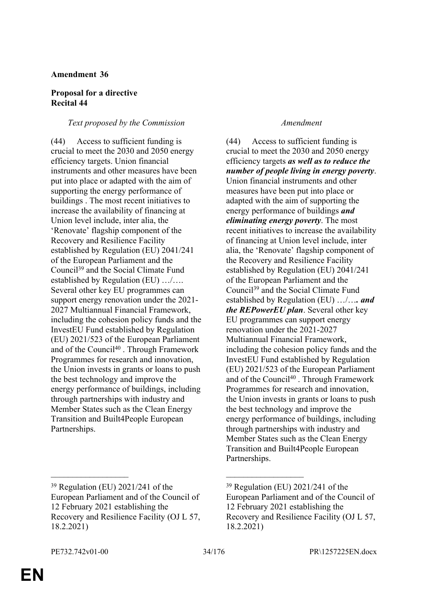# **Proposal for a directive Recital 44**

# *Text proposed by the Commission Amendment*

(44) Access to sufficient funding is crucial to meet the 2030 and 2050 energy efficiency targets. Union financial instruments and other measures have been put into place or adapted with the aim of supporting the energy performance of buildings . The most recent initiatives to increase the availability of financing at Union level include, inter alia, the 'Renovate' flagship component of the Recovery and Resilience Facility established by Regulation (EU) 2041/241 of the European Parliament and the Council<sup>39</sup> and the Social Climate Fund established by Regulation (EU) …/…. Several other key EU programmes can support energy renovation under the 2021- 2027 Multiannual Financial Framework, including the cohesion policy funds and the InvestEU Fund established by Regulation (EU) 2021/523 of the European Parliament and of the Council<sup>40</sup> . Through Framework Programmes for research and innovation, the Union invests in grants or loans to push the best technology and improve the energy performance of buildings, including through partnerships with industry and Member States such as the Clean Energy Transition and Built4People European Partnerships.

(44) Access to sufficient funding is crucial to meet the 2030 and 2050 energy efficiency targets *as well as to reduce the number of people living in energy poverty*. Union financial instruments and other measures have been put into place or adapted with the aim of supporting the energy performance of buildings *and eliminating energy poverty*. The most recent initiatives to increase the availability of financing at Union level include, inter alia, the 'Renovate' flagship component of the Recovery and Resilience Facility established by Regulation (EU) 2041/241 of the European Parliament and the Council<sup>39</sup> and the Social Climate Fund established by Regulation (EU) …/…*. and the REPowerEU plan*. Several other key EU programmes can support energy renovation under the 2021-2027 Multiannual Financial Framework, including the cohesion policy funds and the InvestEU Fund established by Regulation (EU) 2021/523 of the European Parliament and of the Council<sup>40</sup>. Through Framework Programmes for research and innovation, the Union invests in grants or loans to push the best technology and improve the energy performance of buildings, including through partnerships with industry and Member States such as the Clean Energy Transition and Built4People European Partnerships.

 $\mathcal{L}_\text{max}$  , and the contract of the contract of the contract of the contract of the contract of the contract of

<sup>39</sup> Regulation (EU) 2021/241 of the European Parliament and of the Council of 12 February 2021 establishing the Recovery and Resilience Facility (OJ L 57, 18.2.2021)

<sup>39</sup> Regulation (EU) 2021/241 of the European Parliament and of the Council of 12 February 2021 establishing the Recovery and Resilience Facility (OJ L 57, 18.2.2021)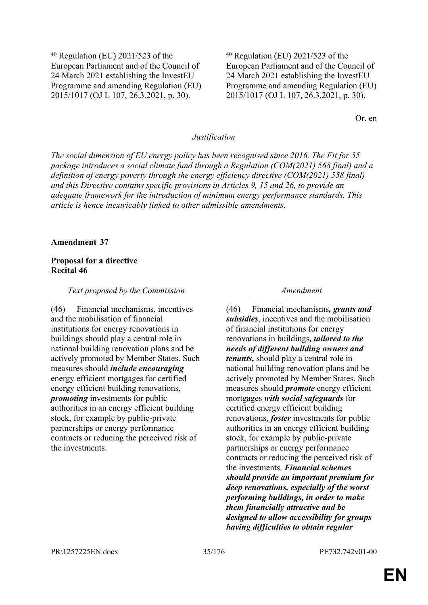<sup>40</sup> Regulation (EU) 2021/523 of the European Parliament and of the Council of 24 March 2021 establishing the InvestEU Programme and amending Regulation (EU) 2015/1017 (OJ L 107, 26.3.2021, p. 30).

<sup>40</sup> Regulation (EU) 2021/523 of the European Parliament and of the Council of 24 March 2021 establishing the InvestEU Programme and amending Regulation (EU) 2015/1017 (OJ L 107, 26.3.2021, p. 30).

Or. en

### *Justification*

*The social dimension of EU energy policy has been recognised since 2016. The Fit for 55 package introduces a social climate fund through a Regulation (COM(2021) 568 final) and a definition of energy poverty through the energy efficiency directive (COM(2021) 558 final) and this Directive contains specific provisions in Articles 9, 15 and 26, to provide an adequate framework for the introduction of minimum energy performance standards. This article is hence inextricably linked to other admissible amendments.*

### **Amendment 37**

# **Proposal for a directive Recital 46**

### *Text proposed by the Commission Amendment*

(46) Financial mechanisms, incentives and the mobilisation of financial institutions for energy renovations in buildings should play a central role in national building renovation plans and be actively promoted by Member States. Such measures should *include encouraging* energy efficient mortgages for certified energy efficient building renovations, *promoting* investments for public authorities in an energy efficient building stock, for example by public-private partnerships or energy performance contracts or reducing the perceived risk of the investments.

(46) Financial mechanisms*, grants and subsidies*, incentives and the mobilisation of financial institutions for energy renovations in buildings*, tailored to the needs of different building owners and tenants,* should play a central role in national building renovation plans and be actively promoted by Member States. Such measures should *promote* energy efficient mortgages *with social safeguards* for certified energy efficient building renovations, *foster* investments for public authorities in an energy efficient building stock, for example by public-private partnerships or energy performance contracts or reducing the perceived risk of the investments. *Financial schemes should provide an important premium for deep renovations, especially of the worst performing buildings, in order to make them financially attractive and be designed to allow accessibility for groups having difficulties to obtain regular*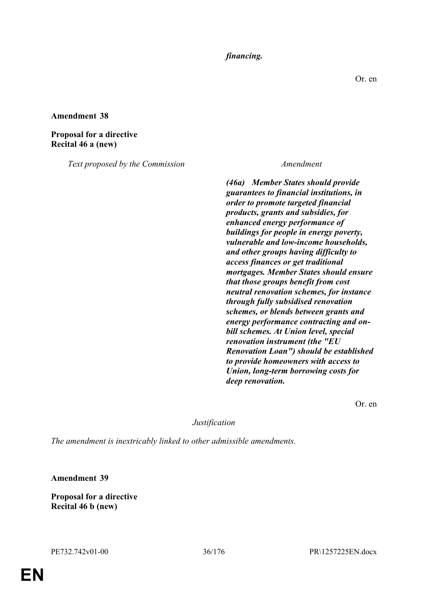# *financing.*

**Amendment 38**

**Proposal for a directive Recital 46 a (new)**

*Text proposed by the Commission Amendment*

*(46a) Member States should provide guarantees to financial institutions, in order to promote targeted financial products, grants and subsidies, for enhanced energy performance of buildings for people in energy poverty, vulnerable and low-income households, and other groups having difficulty to access finances or get traditional mortgages. Member States should ensure that those groups benefit from cost neutral renovation schemes, for instance through fully subsidised renovation schemes, or blends between grants and energy performance contracting and onbill schemes. At Union level, special renovation instrument (the "EU Renovation Loan") should be established to provide homeowners with access to Union, long-term borrowing costs for deep renovation.*

Or. en

### *Justification*

*The amendment is inextricably linked to other admissible amendments.*

**Amendment 39**

**Proposal for a directive Recital 46 b (new)**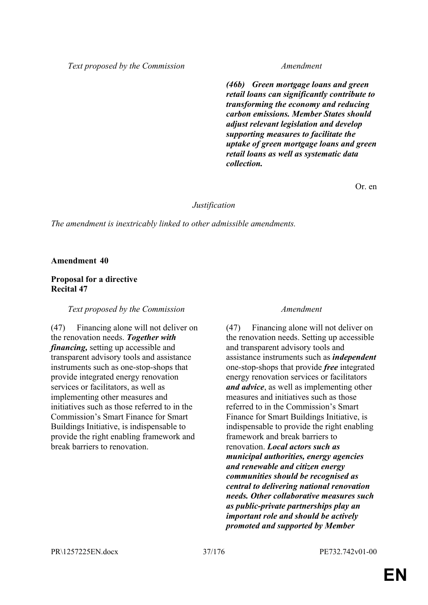*Text proposed by the Commission Amendment*

*(46b) Green mortgage loans and green retail loans can significantly contribute to transforming the economy and reducing carbon emissions. Member States should adjust relevant legislation and develop supporting measures to facilitate the uptake of green mortgage loans and green retail loans as well as systematic data collection.*

Or. en

### *Justification*

*The amendment is inextricably linked to other admissible amendments.*

**Amendment 40**

## **Proposal for a directive Recital 47**

## *Text proposed by the Commission Amendment*

(47) Financing alone will not deliver on the renovation needs. *Together with financing,* setting up accessible and transparent advisory tools and assistance instruments such as one-stop-shops that provide integrated energy renovation services or facilitators, as well as implementing other measures and initiatives such as those referred to in the Commission's Smart Finance for Smart Buildings Initiative, is indispensable to provide the right enabling framework and break barriers to renovation.

(47) Financing alone will not deliver on the renovation needs. Setting up accessible and transparent advisory tools and assistance instruments such as *independent* one-stop-shops that provide *free* integrated energy renovation services or facilitators *and advice*, as well as implementing other measures and initiatives such as those referred to in the Commission's Smart Finance for Smart Buildings Initiative, is indispensable to provide the right enabling framework and break barriers to renovation. *Local actors such as municipal authorities, energy agencies and renewable and citizen energy communities should be recognised as central to delivering national renovation needs. Other collaborative measures such as public-private partnerships play an important role and should be actively promoted and supported by Member*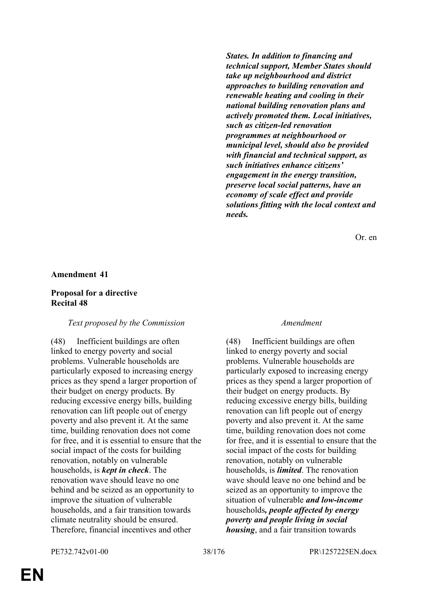*States. In addition to financing and technical support, Member States should take up neighbourhood and district approaches to building renovation and renewable heating and cooling in their national building renovation plans and actively promoted them. Local initiatives, such as citizen-led renovation programmes at neighbourhood or municipal level, should also be provided with financial and technical support, as such initiatives enhance citizens' engagement in the energy transition, preserve local social patterns, have an economy of scale effect and provide solutions fitting with the local context and needs.*

Or. en

### **Amendment 41**

### **Proposal for a directive Recital 48**

### *Text proposed by the Commission Amendment*

(48) Inefficient buildings are often linked to energy poverty and social problems. Vulnerable households are particularly exposed to increasing energy prices as they spend a larger proportion of their budget on energy products. By reducing excessive energy bills, building renovation can lift people out of energy poverty and also prevent it. At the same time, building renovation does not come for free, and it is essential to ensure that the social impact of the costs for building renovation, notably on vulnerable households, is *kept in check*. The renovation wave should leave no one behind and be seized as an opportunity to improve the situation of vulnerable households, and a fair transition towards climate neutrality should be ensured. Therefore, financial incentives and other

(48) Inefficient buildings are often linked to energy poverty and social problems. Vulnerable households are particularly exposed to increasing energy prices as they spend a larger proportion of their budget on energy products. By reducing excessive energy bills, building renovation can lift people out of energy poverty and also prevent it. At the same time, building renovation does not come for free, and it is essential to ensure that the social impact of the costs for building renovation, notably on vulnerable households, is *limited*. The renovation wave should leave no one behind and be seized as an opportunity to improve the situation of vulnerable *and low-income* households*, people affected by energy poverty and people living in social housing*, and a fair transition towards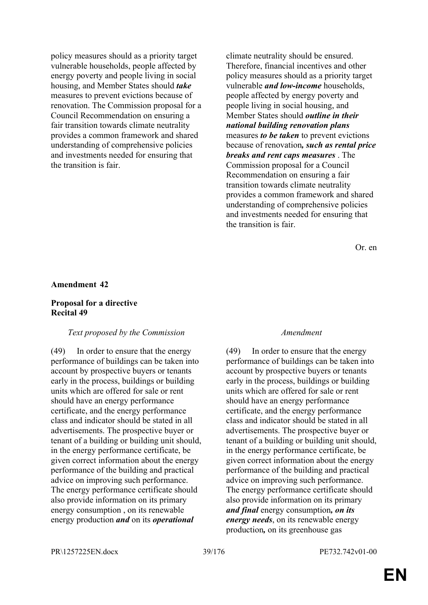policy measures should as a priority target vulnerable households, people affected by energy poverty and people living in social housing, and Member States should *take* measures to prevent evictions because of renovation. The Commission proposal for a Council Recommendation on ensuring a fair transition towards climate neutrality provides a common framework and shared understanding of comprehensive policies and investments needed for ensuring that the transition is fair.

climate neutrality should be ensured. Therefore, financial incentives and other policy measures should as a priority target vulnerable *and low-income* households, people affected by energy poverty and people living in social housing, and Member States should *outline in their national building renovation plans* measures *to be taken* to prevent evictions because of renovation*, such as rental price breaks and rent caps measures* . The Commission proposal for a Council Recommendation on ensuring a fair transition towards climate neutrality provides a common framework and shared understanding of comprehensive policies and investments needed for ensuring that the transition is fair.

Or. en

### **Amendment 42**

### **Proposal for a directive Recital 49**

### *Text proposed by the Commission Amendment*

(49) In order to ensure that the energy performance of buildings can be taken into account by prospective buyers or tenants early in the process, buildings or building units which are offered for sale or rent should have an energy performance certificate, and the energy performance class and indicator should be stated in all advertisements. The prospective buyer or tenant of a building or building unit should, in the energy performance certificate, be given correct information about the energy performance of the building and practical advice on improving such performance. The energy performance certificate should also provide information on its primary energy consumption , on its renewable energy production *and* on its *operational*

(49) In order to ensure that the energy performance of buildings can be taken into account by prospective buyers or tenants early in the process, buildings or building units which are offered for sale or rent should have an energy performance certificate, and the energy performance class and indicator should be stated in all advertisements. The prospective buyer or tenant of a building or building unit should, in the energy performance certificate, be given correct information about the energy performance of the building and practical advice on improving such performance. The energy performance certificate should also provide information on its primary *and final* energy consumption*, on its energy needs*, on its renewable energy production*,* on its greenhouse gas

PR\1257225EN.docx 39/176 PE732.742v01-00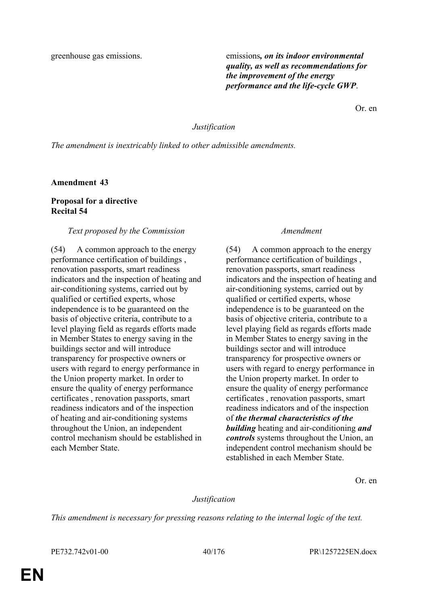greenhouse gas emissions. emissions*, on its indoor environmental quality, as well as recommendations for the improvement of the energy performance and the life-cycle GWP*.

Or. en

### *Justification*

*The amendment is inextricably linked to other admissible amendments.*

**Amendment 43**

## **Proposal for a directive Recital 54**

### *Text proposed by the Commission Amendment*

(54) A common approach to the energy performance certification of buildings , renovation passports, smart readiness indicators and the inspection of heating and air-conditioning systems, carried out by qualified or certified experts, whose independence is to be guaranteed on the basis of objective criteria, contribute to a level playing field as regards efforts made in Member States to energy saving in the buildings sector and will introduce transparency for prospective owners or users with regard to energy performance in the Union property market. In order to ensure the quality of energy performance certificates , renovation passports, smart readiness indicators and of the inspection of heating and air-conditioning systems throughout the Union, an independent control mechanism should be established in each Member State.

(54) A common approach to the energy performance certification of buildings , renovation passports, smart readiness indicators and the inspection of heating and air-conditioning systems, carried out by qualified or certified experts, whose independence is to be guaranteed on the basis of objective criteria, contribute to a level playing field as regards efforts made in Member States to energy saving in the buildings sector and will introduce transparency for prospective owners or users with regard to energy performance in the Union property market. In order to ensure the quality of energy performance certificates , renovation passports, smart readiness indicators and of the inspection of *the thermal characteristics of the building* heating and air-conditioning *and controls* systems throughout the Union, an independent control mechanism should be established in each Member State.

Or. en

## *Justification*

*This amendment is necessary for pressing reasons relating to the internal logic of the text.*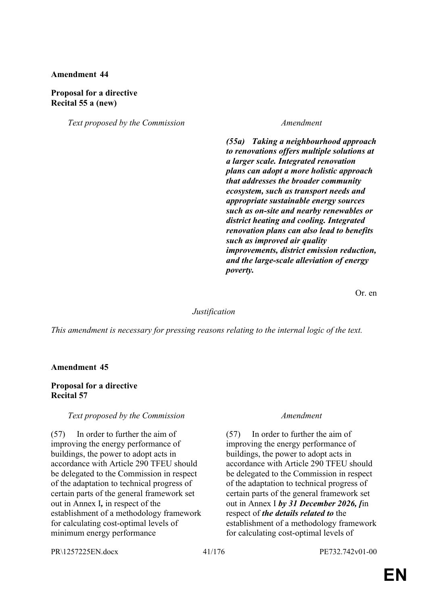## **Proposal for a directive Recital 55 a (new)**

*Text proposed by the Commission Amendment*

*(55a) Taking a neighbourhood approach to renovations offers multiple solutions at a larger scale. Integrated renovation plans can adopt a more holistic approach that addresses the broader community ecosystem, such as transport needs and appropriate sustainable energy sources such as on-site and nearby renewables or district heating and cooling. Integrated renovation plans can also lead to benefits such as improved air quality improvements, district emission reduction, and the large-scale alleviation of energy poverty.*

Or. en

### *Justification*

*This amendment is necessary for pressing reasons relating to the internal logic of the text.*

### **Amendment 45**

### **Proposal for a directive Recital 57**

## *Text proposed by the Commission Amendment*

(57) In order to further the aim of improving the energy performance of buildings, the power to adopt acts in accordance with Article 290 TFEU should be delegated to the Commission in respect of the adaptation to technical progress of certain parts of the general framework set out in Annex I*,* in respect of the establishment of a methodology framework for calculating cost-optimal levels of minimum energy performance

(57) In order to further the aim of improving the energy performance of buildings, the power to adopt acts in accordance with Article 290 TFEU should be delegated to the Commission in respect of the adaptation to technical progress of certain parts of the general framework set out in Annex I *by 31 December 2026, [*in respect of *the details related to* the establishment of a methodology framework for calculating cost-optimal levels of

PR\1257225EN.docx 41/176 PE732.742v01-00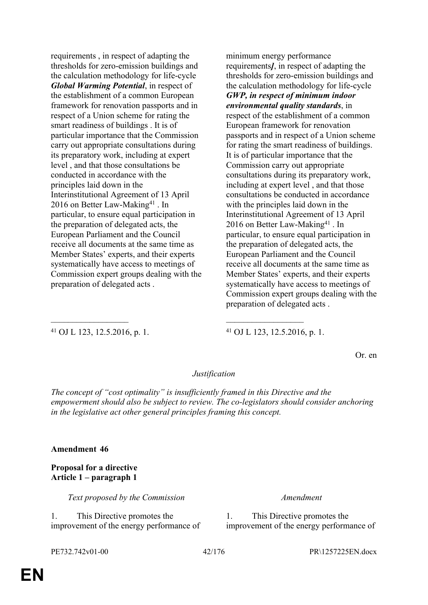requirements , in respect of adapting the thresholds for zero-emission buildings and the calculation methodology for life-cycle *Global Warming Potential*, in respect of the establishment of a common European framework for renovation passports and in respect of a Union scheme for rating the smart readiness of buildings . It is of particular importance that the Commission carry out appropriate consultations during its preparatory work, including at expert level , and that those consultations be conducted in accordance with the principles laid down in the Interinstitutional Agreement of 13 April 2016 on Better Law-Making<sup>41</sup>. In particular, to ensure equal participation in the preparation of delegated acts, the European Parliament and the Council receive all documents at the same time as Member States' experts, and their experts systematically have access to meetings of Commission expert groups dealing with the preparation of delegated acts .

minimum energy performance requirements*]*, in respect of adapting the thresholds for zero-emission buildings and the calculation methodology for life-cycle *GWP, in respect of minimum indoor environmental quality standards*, in respect of the establishment of a common European framework for renovation passports and in respect of a Union scheme for rating the smart readiness of buildings. It is of particular importance that the Commission carry out appropriate consultations during its preparatory work, including at expert level , and that those consultations be conducted in accordance with the principles laid down in the Interinstitutional Agreement of 13 April 2016 on Better Law-Making<sup>41</sup>. In particular, to ensure equal participation in the preparation of delegated acts, the European Parliament and the Council receive all documents at the same time as Member States' experts, and their experts systematically have access to meetings of Commission expert groups dealing with the preparation of delegated acts .

<sup>41</sup> OJ L 123, 12.5.2016, p. 1. <sup>41</sup> OJ L 123, 12.5.2016, p. 1.

Or. en

# *Justification*

 $\mathcal{L}_\text{max}$  , and the contract of the contract of the contract of the contract of the contract of the contract of

*The concept of "cost optimality" is insufficiently framed in this Directive and the empowerment should also be subject to review. The co-legislators should consider anchoring in the legislative act other general principles framing this concept.*

# **Amendment 46**

## **Proposal for a directive Article 1 – paragraph 1**

*Text proposed by the Commission Amendment*

1. This Directive promotes the improvement of the energy performance of

1. This Directive promotes the improvement of the energy performance of

PE732.742v01-00 42/176 PR\1257225EN.docx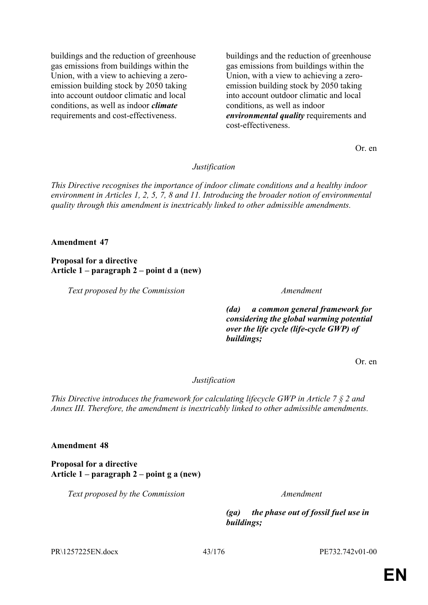buildings and the reduction of greenhouse gas emissions from buildings within the Union, with a view to achieving a zeroemission building stock by 2050 taking into account outdoor climatic and local conditions, as well as indoor *climate* requirements and cost-effectiveness.

buildings and the reduction of greenhouse gas emissions from buildings within the Union, with a view to achieving a zeroemission building stock by 2050 taking into account outdoor climatic and local conditions, as well as indoor *environmental quality* requirements and cost-effectiveness.

Or. en

## *Justification*

*This Directive recognises the importance of indoor climate conditions and a healthy indoor environment in Articles 1, 2, 5, 7, 8 and 11. Introducing the broader notion of environmental quality through this amendment is inextricably linked to other admissible amendments.*

## **Amendment 47**

**Proposal for a directive Article 1 – paragraph 2 – point d a (new)**

*Text proposed by the Commission Amendment*

*(da) a common general framework for considering the global warming potential over the life cycle (life-cycle GWP) of buildings;*

Or. en

## *Justification*

*This Directive introduces the framework for calculating lifecycle GWP in Article 7 § 2 and Annex III. Therefore, the amendment is inextricably linked to other admissible amendments.*

## **Amendment 48**

**Proposal for a directive Article 1 – paragraph 2 – point g a (new)**

*Text proposed by the Commission Amendment*

*(ga) the phase out of fossil fuel use in buildings;*

PR\1257225EN.docx 43/176 PE732.742v01-00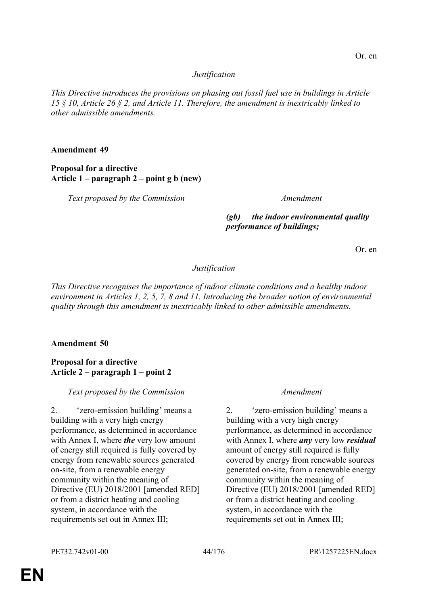## *Justification*

*This Directive introduces the provisions on phasing out fossil fuel use in buildings in Article 15 § 10, Article 26 § 2, and Article 11. Therefore, the amendment is inextricably linked to other admissible amendments.*

### **Amendment 49**

## **Proposal for a directive Article 1 – paragraph 2 – point g b (new)**

*Text proposed by the Commission Amendment*

# *(gb) the indoor environmental quality performance of buildings;*

Or. en

## *Justification*

*This Directive recognises the importance of indoor climate conditions and a healthy indoor environment in Articles 1, 2, 5, 7, 8 and 11. Introducing the broader notion of environmental quality through this amendment is inextricably linked to other admissible amendments.*

## **Amendment 50**

## **Proposal for a directive Article 2 – paragraph 1 – point 2**

## *Text proposed by the Commission Amendment*

2. 'zero-emission building' means a building with a very high energy performance, as determined in accordance with Annex I, where *the* very low amount of energy still required is fully covered by energy from renewable sources generated on-site, from a renewable energy community within the meaning of Directive (EU) 2018/2001 [amended RED] or from a district heating and cooling system, in accordance with the requirements set out in Annex III;

2. 'zero-emission building' means a building with a very high energy performance, as determined in accordance with Annex I, where *any* very low *residual* amount of energy still required is fully covered by energy from renewable sources generated on-site, from a renewable energy community within the meaning of Directive (EU) 2018/2001 [amended RED] or from a district heating and cooling system, in accordance with the requirements set out in Annex III;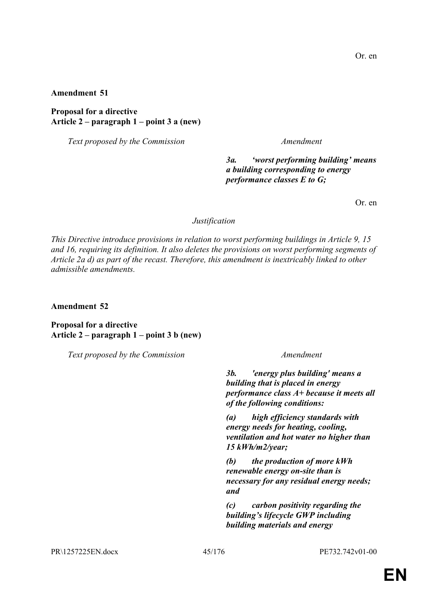**Proposal for a directive Article 2 – paragraph 1 – point 3 a (new)**

*Text proposed by the Commission Amendment*

*3a. 'worst performing building' means a building corresponding to energy performance classes E to G;*

Or. en

### *Justification*

*This Directive introduce provisions in relation to worst performing buildings in Article 9, 15 and 16, requiring its definition. It also deletes the provisions on worst performing segments of Article 2a d) as part of the recast. Therefore, this amendment is inextricably linked to other admissible amendments.*

**Amendment 52**

**Proposal for a directive Article 2 – paragraph 1 – point 3 b (new)**

*Text proposed by the Commission Amendment*

*3b. 'energy plus building' means a building that is placed in energy performance class A+ because it meets all of the following conditions:*

*(a) high efficiency standards with energy needs for heating, cooling, ventilation and hot water no higher than 15 kWh/m2/year;*

*(b) the production of more kWh renewable energy on-site than is necessary for any residual energy needs; and*

*(c) carbon positivity regarding the building's lifecycle GWP including building materials and energy*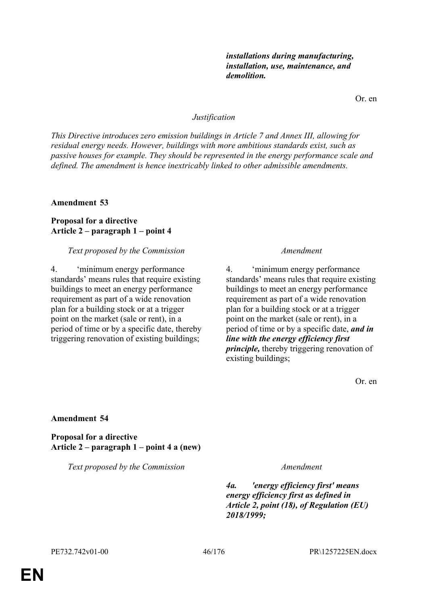*installations during manufacturing,* 

Or. en

### *Justification*

*This Directive introduces zero emission buildings in Article 7 and Annex III, allowing for residual energy needs. However, buildings with more ambitious standards exist, such as passive houses for example. They should be represented in the energy performance scale and defined. The amendment is hence inextricably linked to other admissible amendments.*

### **Amendment 53**

## **Proposal for a directive Article 2 – paragraph 1 – point 4**

### *Text proposed by the Commission Amendment*

4. 'minimum energy performance standards' means rules that require existing buildings to meet an energy performance requirement as part of a wide renovation plan for a building stock or at a trigger point on the market (sale or rent), in a period of time or by a specific date, thereby triggering renovation of existing buildings;

4. 'minimum energy performance standards' means rules that require existing buildings to meet an energy performance requirement as part of a wide renovation plan for a building stock or at a trigger point on the market (sale or rent), in a period of time or by a specific date, *and in line with the energy efficiency first principle,* thereby triggering renovation of existing buildings;

Or. en

### **Amendment 54**

**Proposal for a directive Article 2 – paragraph 1 – point 4 a (new)**

*Text proposed by the Commission Amendment*

*4a. 'energy efficiency first' means energy efficiency first as defined in Article 2, point (18), of Regulation (EU) 2018/1999;*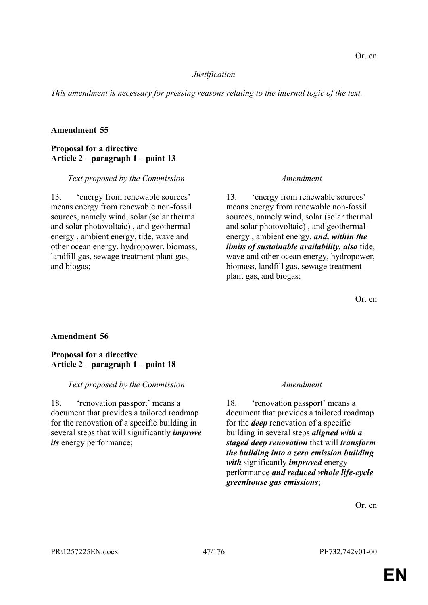## *Justification*

*This amendment is necessary for pressing reasons relating to the internal logic of the text.*

# **Amendment 55**

## **Proposal for a directive Article 2 – paragraph 1 – point 13**

## *Text proposed by the Commission Amendment*

13. 'energy from renewable sources' means energy from renewable non-fossil sources, namely wind, solar (solar thermal and solar photovoltaic) , and geothermal energy , ambient energy, tide, wave and other ocean energy, hydropower, biomass, landfill gas, sewage treatment plant gas, and biogas;

13. 'energy from renewable sources' means energy from renewable non-fossil sources, namely wind, solar (solar thermal and solar photovoltaic) , and geothermal energy , ambient energy, *and, within the limits of sustainable availability, also* tide, wave and other ocean energy, hydropower, biomass, landfill gas, sewage treatment plant gas, and biogas;

Or. en

# **Amendment 56**

## **Proposal for a directive Article 2 – paragraph 1 – point 18**

# *Text proposed by the Commission Amendment*

18. 'renovation passport' means a document that provides a tailored roadmap for the renovation of a specific building in several steps that will significantly *improve its* energy performance;

18. 'renovation passport' means a document that provides a tailored roadmap for the *deep* renovation of a specific building in several steps *aligned with a staged deep renovation* that will *transform the building into a zero emission building with* significantly *improved* energy performance *and reduced whole life-cycle greenhouse gas emissions*;

Or. en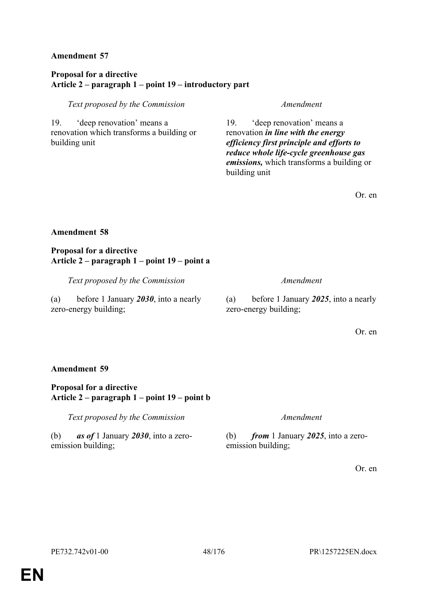# **Proposal for a directive Article 2 – paragraph 1 – point 19 – introductory part**

## *Text proposed by the Commission Amendment*

19. 'deep renovation' means a renovation which transforms a building or building unit

19. 'deep renovation' means a renovation *in line with the energy efficiency first principle and efforts to reduce whole life-cycle greenhouse gas emissions,* which transforms a building or building unit

Or. en

## **Amendment 58**

## **Proposal for a directive Article 2 – paragraph 1 – point 19 – point a**

*Text proposed by the Commission Amendment*

(a) before 1 January *2030*, into a nearly zero-energy building;

(a) before 1 January *2025*, into a nearly zero-energy building;

Or. en

## **Amendment 59**

# **Proposal for a directive Article 2 – paragraph 1 – point 19 – point b**

*Text proposed by the Commission Amendment*

(b) *as of* 1 January *2030*, into a zeroemission building;

(b) *from* 1 January *2025*, into a zeroemission building;

Or. en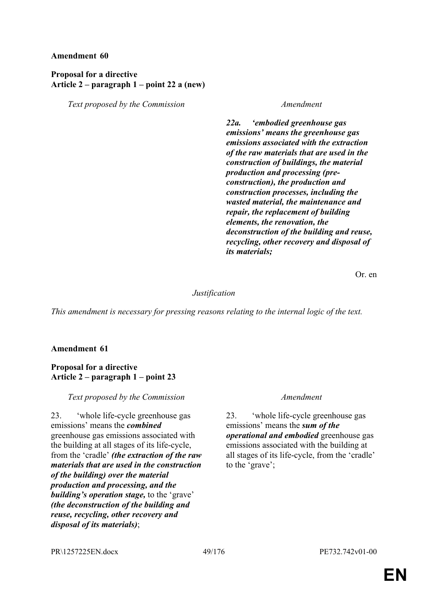## **Proposal for a directive Article 2 – paragraph 1 – point 22 a (new)**

*Text proposed by the Commission Amendment*

*22a. 'embodied greenhouse gas emissions' means the greenhouse gas emissions associated with the extraction of the raw materials that are used in the construction of buildings, the material production and processing (preconstruction), the production and construction processes, including the wasted material, the maintenance and repair, the replacement of building elements, the renovation, the deconstruction of the building and reuse, recycling, other recovery and disposal of its materials;*

Or. en

## *Justification*

*This amendment is necessary for pressing reasons relating to the internal logic of the text.*

## **Amendment 61**

### **Proposal for a directive Article 2 – paragraph 1 – point 23**

*Text proposed by the Commission Amendment*

23. 'whole life-cycle greenhouse gas emissions' means the *combined* greenhouse gas emissions associated with the building at all stages of its life-cycle, from the 'cradle' *(the extraction of the raw materials that are used in the construction of the building) over the material production and processing, and the building's operation stage,* to the 'grave' *(the deconstruction of the building and reuse, recycling, other recovery and disposal of its materials)*;

23. 'whole life-cycle greenhouse gas emissions' means the *sum of the operational and embodied* greenhouse gas emissions associated with the building at all stages of its life-cycle, from the 'cradle' to the 'grave';

PR\1257225EN.docx 49/176 PE732.742v01-00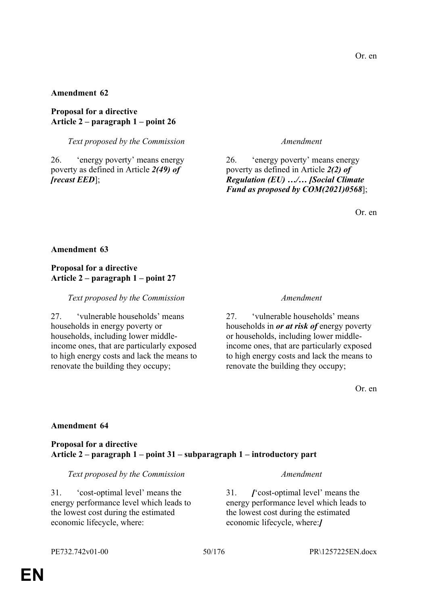**Proposal for a directive Article 2 – paragraph 1 – point 26**

*Text proposed by the Commission Amendment*

26. 'energy poverty' means energy poverty as defined in Article *2(49) of [recast EED*];

26. 'energy poverty' means energy poverty as defined in Article *2(2) of Regulation (EU) …/… [Social Climate Fund as proposed by COM(2021)0568*];

Or. en

## **Amendment 63**

## **Proposal for a directive Article 2 – paragraph 1 – point 27**

*Text proposed by the Commission Amendment*

27. 'vulnerable households' means households in energy poverty or households, including lower middleincome ones, that are particularly exposed to high energy costs and lack the means to renovate the building they occupy;

27. 'vulnerable households' means households in *or at risk of* energy poverty or households, including lower middleincome ones, that are particularly exposed to high energy costs and lack the means to renovate the building they occupy;

Or. en

## **Amendment 64**

## **Proposal for a directive Article 2 – paragraph 1 – point 31 – subparagraph 1 – introductory part**

*Text proposed by the Commission Amendment*

31. 'cost-optimal level' means the energy performance level which leads to the lowest cost during the estimated economic lifecycle, where:

31. *[*'cost-optimal level' means the energy performance level which leads to the lowest cost during the estimated economic lifecycle, where:*]*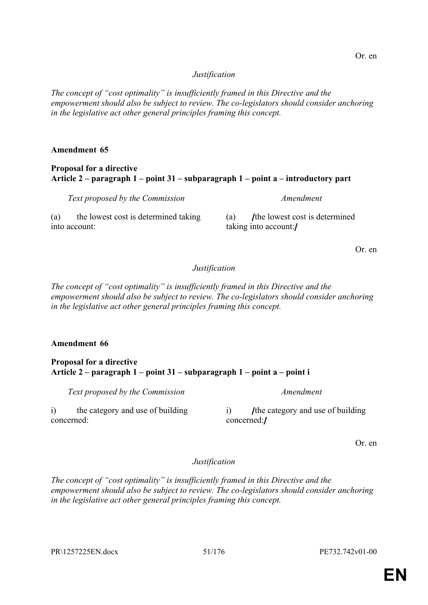## *Justification*

*The concept of "cost optimality" is insufficiently framed in this Directive and the empowerment should also be subject to review. The co-legislators should consider anchoring in the legislative act other general principles framing this concept.*

## **Amendment 65**

## **Proposal for a directive Article 2 – paragraph 1 – point 31 – subparagraph 1 – point a – introductory part**

*Text proposed by the Commission Amendment* (a) the lowest cost is determined taking into account:

(a) *I*the lowest cost is determined taking into account:*]*

Or. en

# *Justification*

*The concept of "cost optimality" is insufficiently framed in this Directive and the empowerment should also be subject to review. The co-legislators should consider anchoring in the legislative act other general principles framing this concept.*

# **Amendment 66**

## **Proposal for a directive Article 2 – paragraph 1 – point 31 – subparagraph 1 – point a – point i**

*Text proposed by the Commission Amendment*

i) the category and use of building concerned:

i) the category and use of building concerned:*]*

Or. en

*Justification*

*The concept of "cost optimality" is insufficiently framed in this Directive and the empowerment should also be subject to review. The co-legislators should consider anchoring in the legislative act other general principles framing this concept.*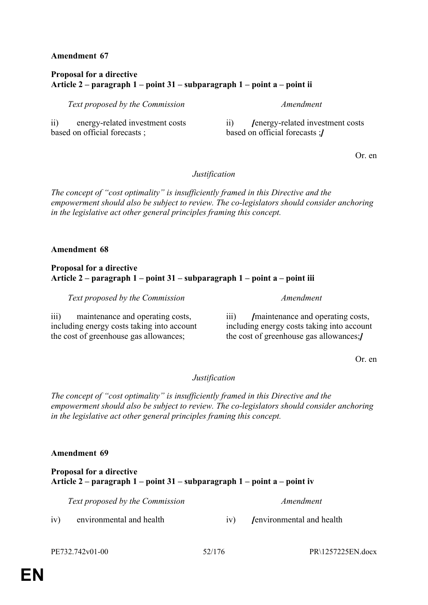# **Proposal for a directive Article 2 – paragraph 1 – point 31 – subparagraph 1 – point a – point ii**

*Text proposed by the Commission Amendment*

ii) energy-related investment costs based on official forecasts ;

ii) *[*energy-related investment costs based on official forecasts ;*]*

Or. en

# *Justification*

*The concept of "cost optimality" is insufficiently framed in this Directive and the empowerment should also be subject to review. The co-legislators should consider anchoring in the legislative act other general principles framing this concept.*

# **Amendment 68**

## **Proposal for a directive Article 2 – paragraph 1 – point 31 – subparagraph 1 – point a – point iii**

*Text proposed by the Commission Amendment*

iii) maintenance and operating costs, including energy costs taking into account the cost of greenhouse gas allowances;

iii) *[*maintenance and operating costs, including energy costs taking into account the cost of greenhouse gas allowances;*]*

Or. en

# *Justification*

*The concept of "cost optimality" is insufficiently framed in this Directive and the empowerment should also be subject to review. The co-legislators should consider anchoring in the legislative act other general principles framing this concept.*

# **Amendment 69**

# **Proposal for a directive Article 2 – paragraph 1 – point 31 – subparagraph 1 – point a – point iv**

*Text proposed by the Commission Amendment*

iv) environmental and health iv) *[*environmental and health

PE732.742v01-00 52/176 PR\1257225EN.docx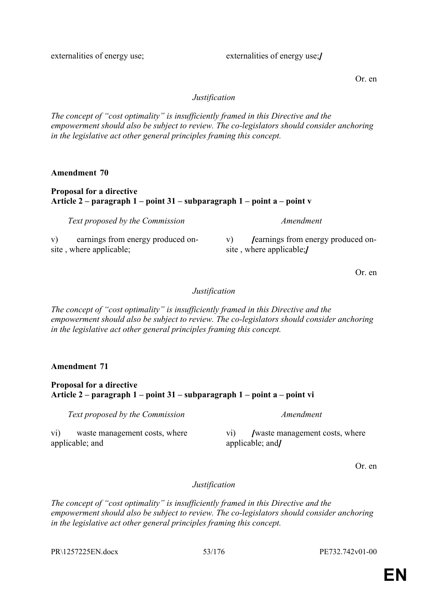externalities of energy use;<br> $\mu$  externalities of energy use;

Or. en

## *Justification*

*The concept of "cost optimality" is insufficiently framed in this Directive and the empowerment should also be subject to review. The co-legislators should consider anchoring in the legislative act other general principles framing this concept.*

**Amendment 70**

## **Proposal for a directive Article 2 – paragraph 1 – point 31 – subparagraph 1 – point a – point v**

*Text proposed by the Commission Amendment*

v) earnings from energy produced onsite , where applicable;

v) *Jearnings from energy produced on*site , where applicable;*]*

Or. en

## *Justification*

*The concept of "cost optimality" is insufficiently framed in this Directive and the empowerment should also be subject to review. The co-legislators should consider anchoring in the legislative act other general principles framing this concept.*

**Amendment 71**

# **Proposal for a directive Article 2 – paragraph 1 – point 31 – subparagraph 1 – point a – point vi**

*Text proposed by the Commission Amendment*

vi) waste management costs, where applicable; and

vi) *[*waste management costs, where applicable; and*]*

Or. en

# *Justification*

*The concept of "cost optimality" is insufficiently framed in this Directive and the empowerment should also be subject to review. The co-legislators should consider anchoring in the legislative act other general principles framing this concept.*

PR\1257225EN.docx 53/176 PE732.742v01-00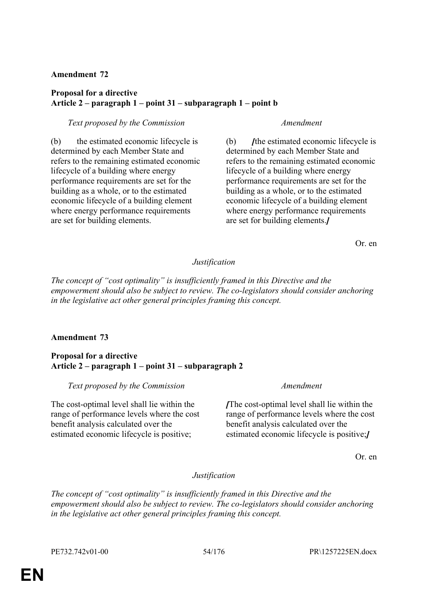## **Proposal for a directive Article 2 – paragraph 1 – point 31 – subparagraph 1 – point b**

### *Text proposed by the Commission Amendment*

(b) the estimated economic lifecycle is determined by each Member State and refers to the remaining estimated economic lifecycle of a building where energy performance requirements are set for the building as a whole, or to the estimated economic lifecycle of a building element where energy performance requirements are set for building elements.

(b) *[*the estimated economic lifecycle is determined by each Member State and refers to the remaining estimated economic lifecycle of a building where energy performance requirements are set for the building as a whole, or to the estimated economic lifecycle of a building element where energy performance requirements are set for building elements.*]*

Or. en

## *Justification*

*The concept of "cost optimality" is insufficiently framed in this Directive and the empowerment should also be subject to review. The co-legislators should consider anchoring in the legislative act other general principles framing this concept.*

# **Amendment 73**

## **Proposal for a directive Article 2 – paragraph 1 – point 31 – subparagraph 2**

*Text proposed by the Commission Amendment*

The cost-optimal level shall lie within the range of performance levels where the cost benefit analysis calculated over the estimated economic lifecycle is positive;

*[*The cost-optimal level shall lie within the range of performance levels where the cost benefit analysis calculated over the estimated economic lifecycle is positive;*]*

Or. en

## *Justification*

*The concept of "cost optimality" is insufficiently framed in this Directive and the empowerment should also be subject to review. The co-legislators should consider anchoring in the legislative act other general principles framing this concept.*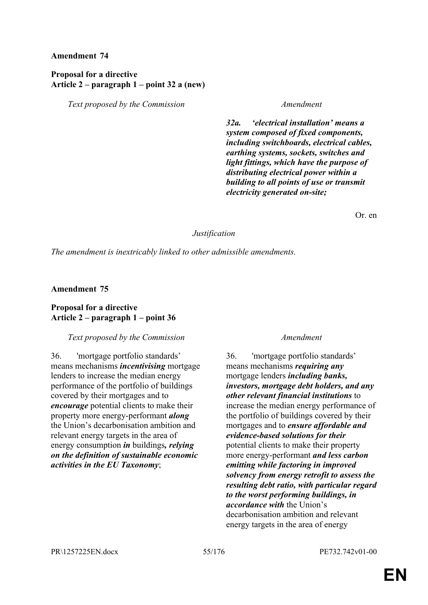## **Proposal for a directive Article 2 – paragraph 1 – point 32 a (new)**

*Text proposed by the Commission Amendment*

*32a. 'electrical installation' means a system composed of fixed components, including switchboards, electrical cables, earthing systems, sockets, switches and light fittings, which have the purpose of distributing electrical power within a building to all points of use or transmit electricity generated on-site;*

Or. en

## *Justification*

*The amendment is inextricably linked to other admissible amendments.*

## **Amendment 75**

## **Proposal for a directive Article 2 – paragraph 1 – point 36**

## *Text proposed by the Commission Amendment*

36. 'mortgage portfolio standards' means mechanisms *incentivising* mortgage lenders to increase the median energy performance of the portfolio of buildings covered by their mortgages and to *encourage* potential clients to make their property more energy-performant *along* the Union's decarbonisation ambition and relevant energy targets in the area of energy consumption *in* buildings*, relying on the definition of sustainable economic activities in the EU Taxonomy*;

36. 'mortgage portfolio standards' means mechanisms *requiring any* mortgage lenders *including banks, investors, mortgage debt holders, and any other relevant financial institutions* to increase the median energy performance of the portfolio of buildings covered by their mortgages and to *ensure affordable and evidence-based solutions for their* potential clients to make their property more energy-performant *and less carbon emitting while factoring in improved solvency from energy retrofit to assess the resulting debt ratio, with particular regard to the worst performing buildings, in accordance with* the Union's decarbonisation ambition and relevant energy targets in the area of energy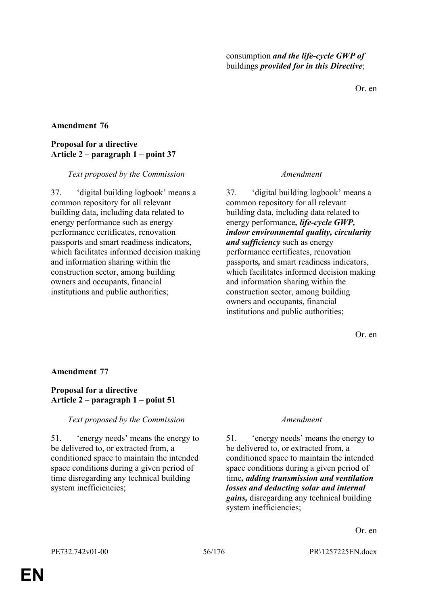Or. en

## **Amendment 76**

## **Proposal for a directive Article 2 – paragraph 1 – point 37**

## *Text proposed by the Commission Amendment*

37. 'digital building logbook' means a common repository for all relevant building data, including data related to energy performance such as energy performance certificates, renovation passports and smart readiness indicators, which facilitates informed decision making and information sharing within the construction sector, among building owners and occupants, financial institutions and public authorities;

37. 'digital building logbook' means a common repository for all relevant building data, including data related to energy performance*, life-cycle GWP, indoor environmental quality, circularity and sufficiency* such as energy performance certificates, renovation passports*,* and smart readiness indicators, which facilitates informed decision making and information sharing within the construction sector, among building owners and occupants, financial institutions and public authorities;

Or. en

## **Amendment 77**

## **Proposal for a directive Article 2 – paragraph 1 – point 51**

## *Text proposed by the Commission Amendment*

51. 'energy needs' means the energy to be delivered to, or extracted from, a conditioned space to maintain the intended space conditions during a given period of time disregarding any technical building system inefficiencies;

51. 'energy needs' means the energy to be delivered to, or extracted from, a conditioned space to maintain the intended space conditions during a given period of time*, adding transmission and ventilation losses and deducting solar and internal gains,* disregarding any technical building system inefficiencies;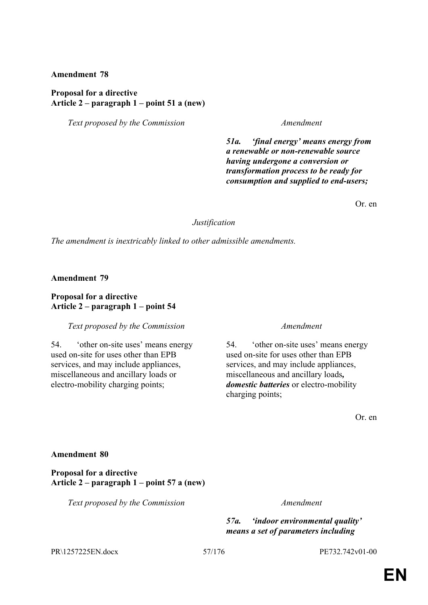### **Proposal for a directive Article 2 – paragraph 1 – point 51 a (new)**

*Text proposed by the Commission Amendment*

*51a. 'final energy' means energy from a renewable or non-renewable source having undergone a conversion or transformation process to be ready for consumption and supplied to end-users;*

Or. en

### *Justification*

*The amendment is inextricably linked to other admissible amendments.*

**Amendment 79**

## **Proposal for a directive Article 2 – paragraph 1 – point 54**

### *Text proposed by the Commission Amendment*

54. 'other on-site uses' means energy used on-site for uses other than EPB services, and may include appliances, miscellaneous and ancillary loads or electro-mobility charging points;

54. 'other on-site uses' means energy used on-site for uses other than EPB services, and may include appliances, miscellaneous and ancillary loads*, domestic batteries* or electro-mobility charging points;

Or. en

### **Amendment 80**

**Proposal for a directive Article 2 – paragraph 1 – point 57 a (new)**

*Text proposed by the Commission Amendment*

*57a. 'indoor environmental quality' means a set of parameters including* 

PR\1257225EN.docx 57/176 PE732.742v01-00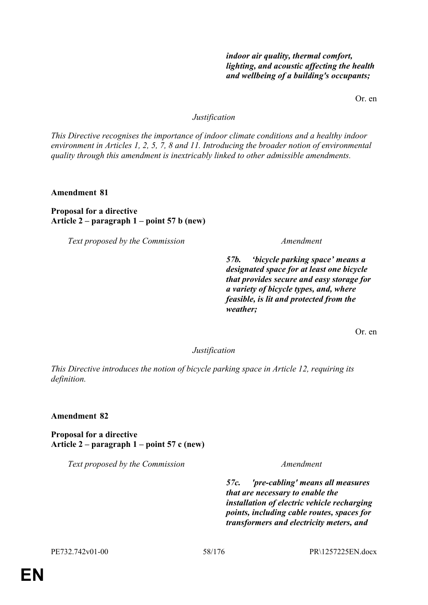# *indoor air quality, thermal comfort, lighting, and acoustic affecting the health and wellbeing of a building's occupants;*

Or. en

### *Justification*

*This Directive recognises the importance of indoor climate conditions and a healthy indoor environment in Articles 1, 2, 5, 7, 8 and 11. Introducing the broader notion of environmental quality through this amendment is inextricably linked to other admissible amendments.*

**Amendment 81**

## **Proposal for a directive Article 2 – paragraph 1 – point 57 b (new)**

*Text proposed by the Commission Amendment*

*57b. 'bicycle parking space' means a designated space for at least one bicycle that provides secure and easy storage for a variety of bicycle types, and, where feasible, is lit and protected from the weather;*

Or. en

*Justification*

*This Directive introduces the notion of bicycle parking space in Article 12, requiring its definition.*

**Amendment 82**

**Proposal for a directive Article 2 – paragraph 1 – point 57 c (new)**

*Text proposed by the Commission Amendment*

*57c. 'pre-cabling' means all measures that are necessary to enable the installation of electric vehicle recharging points, including cable routes, spaces for transformers and electricity meters, and*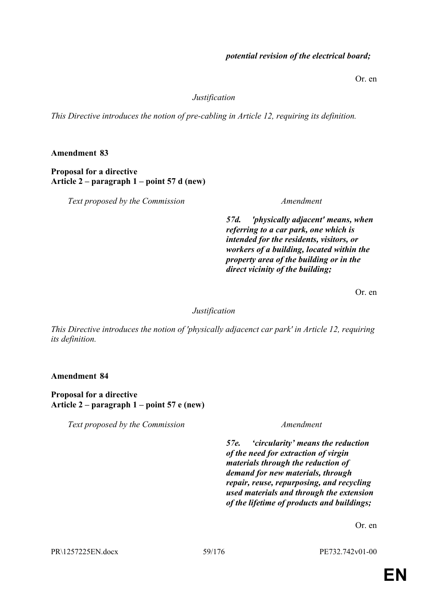## *potential revision of the electrical board;*

Or. en

## *Justification*

*This Directive introduces the notion of pre-cabling in Article 12, requiring its definition.*

**Amendment 83**

**Proposal for a directive Article 2 – paragraph 1 – point 57 d (new)**

*Text proposed by the Commission Amendment*

*57d. 'physically adjacent' means, when referring to a car park, one which is intended for the residents, visitors, or workers of a building, located within the property area of the building or in the direct vicinity of the building;*

Or. en

# *Justification*

*This Directive introduces the notion of 'physically adjacenct car park' in Article 12, requiring its definition.*

**Amendment 84**

**Proposal for a directive Article 2 – paragraph 1 – point 57 e (new)**

*Text proposed by the Commission Amendment*

*57e. 'circularity' means the reduction of the need for extraction of virgin materials through the reduction of demand for new materials, through repair, reuse, repurposing, and recycling used materials and through the extension of the lifetime of products and buildings;*

Or. en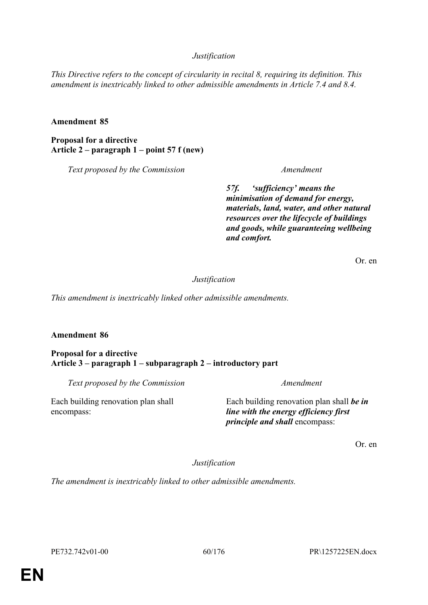# *Justification*

*This Directive refers to the concept of circularity in recital 8, requiring its definition. This amendment is inextricably linked to other admissible amendments in Article 7.4 and 8.4.*

## **Amendment 85**

**Proposal for a directive Article 2 – paragraph 1 – point 57 f (new)**

*Text proposed by the Commission Amendment*

*57f. 'sufficiency' means the minimisation of demand for energy, materials, land, water, and other natural resources over the lifecycle of buildings and goods, while guaranteeing wellbeing and comfort.*

Or. en

## *Justification*

*This amendment is inextricably linked other admissible amendments.*

## **Amendment 86**

encompass:

## **Proposal for a directive Article 3 – paragraph 1 – subparagraph 2 – introductory part**

*Text proposed by the Commission Amendment*

Each building renovation plan shall

Each building renovation plan shall *be in line with the energy efficiency first principle and shall* encompass:

Or. en

*Justification*

*The amendment is inextricably linked to other admissible amendments.*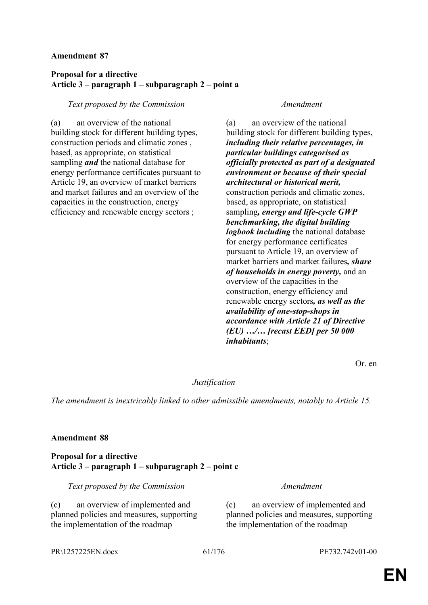# **Proposal for a directive Article 3 – paragraph 1 – subparagraph 2 – point a**

## *Text proposed by the Commission Amendment*

(a) an overview of the national building stock for different building types, construction periods and climatic zones , based, as appropriate, on statistical sampling *and* the national database for energy performance certificates pursuant to Article 19, an overview of market barriers and market failures and an overview of the capacities in the construction, energy efficiency and renewable energy sectors ;

(a) an overview of the national building stock for different building types, *including their relative percentages, in particular buildings categorised as officially protected as part of a designated environment or because of their special architectural or historical merit,* construction periods and climatic zones, based, as appropriate, on statistical sampling*, energy and life-cycle GWP benchmarking, the digital building logbook including* the national database for energy performance certificates pursuant to Article 19, an overview of market barriers and market failures*, share of households in energy poverty,* and an overview of the capacities in the construction, energy efficiency and renewable energy sectors*, as well as the availability of one-stop-shops in accordance with Article 21 of Directive (EU) …/… [recast EED] per 50 000 inhabitants*;

Or. en

# *Justification*

*The amendment is inextricably linked to other admissible amendments, notably to Article 15.*

## **Amendment 88**

## **Proposal for a directive Article 3 – paragraph 1 – subparagraph 2 – point c**

*Text proposed by the Commission Amendment*

(c) an overview of implemented and planned policies and measures, supporting the implementation of the roadmap

(c) an overview of implemented and planned policies and measures, supporting the implementation of the roadmap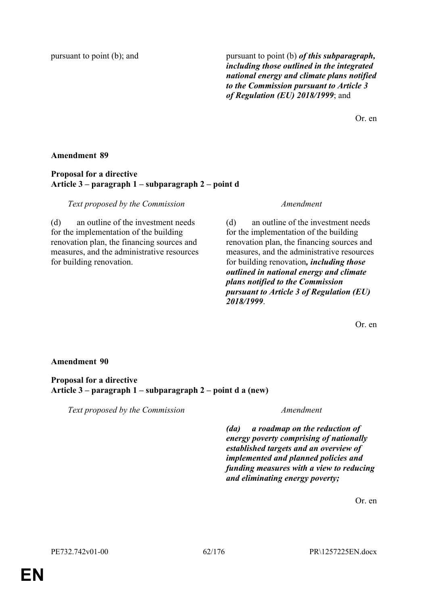pursuant to point (b); and pursuant to point (b) *of this subparagraph, including those outlined in the integrated national energy and climate plans notified to the Commission pursuant to Article 3 of Regulation (EU) 2018/1999*; and

Or. en

## **Amendment 89**

## **Proposal for a directive Article 3 – paragraph 1 – subparagraph 2 – point d**

*Text proposed by the Commission Amendment*

(d) an outline of the investment needs for the implementation of the building renovation plan, the financing sources and measures, and the administrative resources for building renovation.

(d) an outline of the investment needs for the implementation of the building renovation plan, the financing sources and measures, and the administrative resources for building renovation*, including those outlined in national energy and climate plans notified to the Commission pursuant to Article 3 of Regulation (EU) 2018/1999*.

Or. en

# **Amendment 90**

## **Proposal for a directive Article 3 – paragraph 1 – subparagraph 2 – point d a (new)**

*Text proposed by the Commission Amendment*

*(da) a roadmap on the reduction of energy poverty comprising of nationally established targets and an overview of implemented and planned policies and funding measures with a view to reducing and eliminating energy poverty;*

Or. en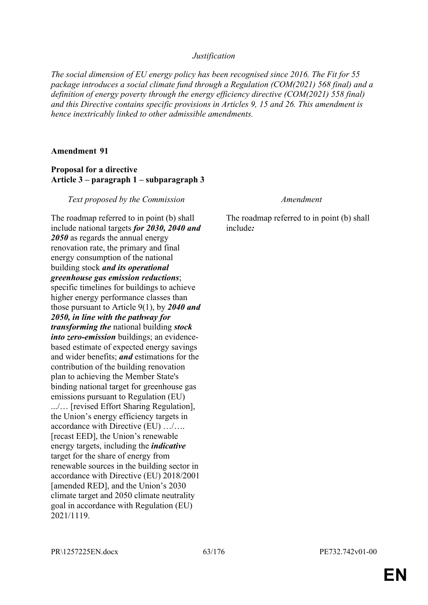## *Justification*

*The social dimension of EU energy policy has been recognised since 2016. The Fit for 55 package introduces a social climate fund through a Regulation (COM(2021) 568 final) and a definition of energy poverty through the energy efficiency directive (COM(2021) 558 final) and this Directive contains specific provisions in Articles 9, 15 and 26. This amendment is hence inextricably linked to other admissible amendments.*

### **Amendment 91**

## **Proposal for a directive Article 3 – paragraph 1 – subparagraph 3**

*Text proposed by the Commission Amendment*

The roadmap referred to in point (b) shall include national targets *for 2030, 2040 and 2050* as regards the annual energy renovation rate, the primary and final energy consumption of the national building stock *and its operational greenhouse gas emission reductions*; specific timelines for buildings to achieve higher energy performance classes than those pursuant to Article 9(1), by *2040 and 2050, in line with the pathway for transforming the* national building *stock into zero-emission* buildings; an evidencebased estimate of expected energy savings and wider benefits; *and* estimations for the contribution of the building renovation plan to achieving the Member State's binding national target for greenhouse gas emissions pursuant to Regulation (EU) .../… [revised Effort Sharing Regulation], the Union's energy efficiency targets in accordance with Directive (EU) …/…. [recast EED], the Union's renewable energy targets, including the *indicative* target for the share of energy from renewable sources in the building sector in accordance with Directive (EU) 2018/2001 [amended RED], and the Union's 2030 climate target and 2050 climate neutrality goal in accordance with Regulation (EU) 2021/1119.

The roadmap referred to in point (b) shall include*:*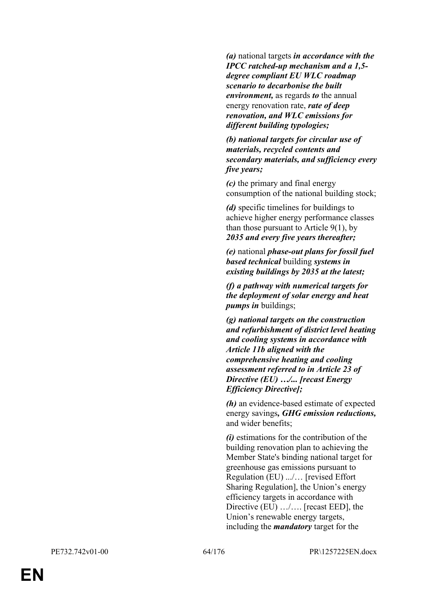*(a)* national targets *in accordance with the IPCC ratched-up mechanism and a 1,5 degree compliant EU WLC roadmap scenario to decarbonise the built environment,* as regards *to* the annual energy renovation rate, *rate of deep renovation, and WLC emissions for different building typologies;*

*(b) national targets for circular use of materials, recycled contents and secondary materials, and sufficiency every five years;*

*(c)* the primary and final energy consumption of the national building stock;

*(d)* specific timelines for buildings to achieve higher energy performance classes than those pursuant to Article  $9(1)$ , by *2035 and every five years thereafter;*

*(e)* national *phase-out plans for fossil fuel based technical* building *systems in existing buildings by 2035 at the latest;*

*(f) a pathway with numerical targets for the deployment of solar energy and heat pumps in* buildings;

*(g) national targets on the construction and refurbishment of district level heating and cooling systems in accordance with Article 11b aligned with the comprehensive heating and cooling assessment referred to in Article 23 of Directive (EU) …/... [recast Energy Efficiency Directive];*

*(h)* an evidence-based estimate of expected energy savings*, GHG emission reductions,* and wider benefits;

*(i)* estimations for the contribution of the building renovation plan to achieving the Member State's binding national target for greenhouse gas emissions pursuant to Regulation (EU) .../… [revised Effort Sharing Regulation], the Union's energy efficiency targets in accordance with Directive (EU) .../.... [recast EED], the Union's renewable energy targets, including the *mandatory* target for the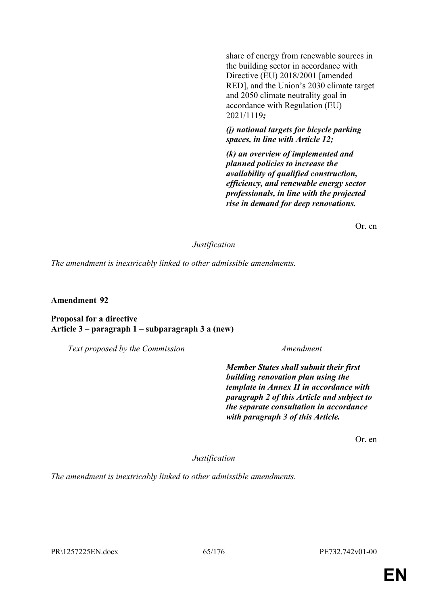share of energy from renewable sources in the building sector in accordance with Directive (EU) 2018/2001 [amended RED], and the Union's 2030 climate target and 2050 climate neutrality goal in accordance with Regulation (EU) 2021/1119*;* 

## *(j) national targets for bicycle parking spaces, in line with Article 12;*

*(k) an overview of implemented and planned policies to increase the availability of qualified construction, efficiency, and renewable energy sector professionals, in line with the projected rise in demand for deep renovations.*

Or. en

## *Justification*

*The amendment is inextricably linked to other admissible amendments.*

**Amendment 92**

## **Proposal for a directive Article 3 – paragraph 1 – subparagraph 3 a (new)**

*Text proposed by the Commission Amendment*

*Member States shall submit their first building renovation plan using the template in Annex II in accordance with paragraph 2 of this Article and subject to the separate consultation in accordance with paragraph 3 of this Article.*

Or. en

*Justification*

*The amendment is inextricably linked to other admissible amendments.*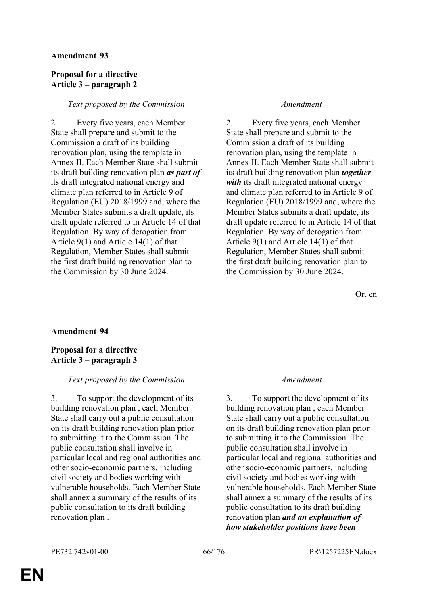## **Proposal for a directive Article 3 – paragraph 2**

## *Text proposed by the Commission Amendment*

2. Every five years, each Member State shall prepare and submit to the Commission a draft of its building renovation plan, using the template in Annex II. Each Member State shall submit its draft building renovation plan *as part of* its draft integrated national energy and climate plan referred to in Article 9 of Regulation (EU) 2018/1999 and, where the Member States submits a draft update, its draft update referred to in Article 14 of that Regulation. By way of derogation from Article 9(1) and Article 14(1) of that Regulation, Member States shall submit the first draft building renovation plan to the Commission by 30 June 2024.

2. Every five years, each Member State shall prepare and submit to the Commission a draft of its building renovation plan, using the template in Annex II. Each Member State shall submit its draft building renovation plan *together with* its draft integrated national energy and climate plan referred to in Article 9 of Regulation (EU) 2018/1999 and, where the Member States submits a draft update, its draft update referred to in Article 14 of that Regulation. By way of derogation from Article 9(1) and Article 14(1) of that Regulation, Member States shall submit the first draft building renovation plan to the Commission by 30 June 2024.

Or. en

# **Amendment 94**

# **Proposal for a directive Article 3 – paragraph 3**

## *Text proposed by the Commission Amendment*

3. To support the development of its building renovation plan , each Member State shall carry out a public consultation on its draft building renovation plan prior to submitting it to the Commission. The public consultation shall involve in particular local and regional authorities and other socio-economic partners, including civil society and bodies working with vulnerable households. Each Member State shall annex a summary of the results of its public consultation to its draft building renovation plan .

3. To support the development of its building renovation plan , each Member State shall carry out a public consultation on its draft building renovation plan prior to submitting it to the Commission. The public consultation shall involve in particular local and regional authorities and other socio-economic partners, including civil society and bodies working with vulnerable households. Each Member State shall annex a summary of the results of its public consultation to its draft building renovation plan *and an explanation of how stakeholder positions have been*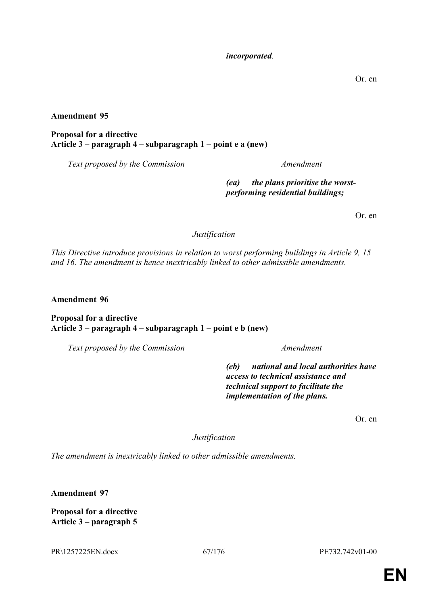## *incorporated*.

Or. en

**Amendment 95**

**Proposal for a directive Article 3 – paragraph 4 – subparagraph 1 – point e a (new)**

*Text proposed by the Commission Amendment*

*(ea) the plans prioritise the worstperforming residential buildings;*

Or. en

*Justification*

*This Directive introduce provisions in relation to worst performing buildings in Article 9, 15 and 16. The amendment is hence inextricably linked to other admissible amendments.*

**Amendment 96**

## **Proposal for a directive Article 3 – paragraph 4 – subparagraph 1 – point e b (new)**

*Text proposed by the Commission Amendment*

*(eb) national and local authorities have access to technical assistance and technical support to facilitate the implementation of the plans.*

Or. en

*Justification*

*The amendment is inextricably linked to other admissible amendments.*

**Amendment 97**

**Proposal for a directive Article 3 – paragraph 5**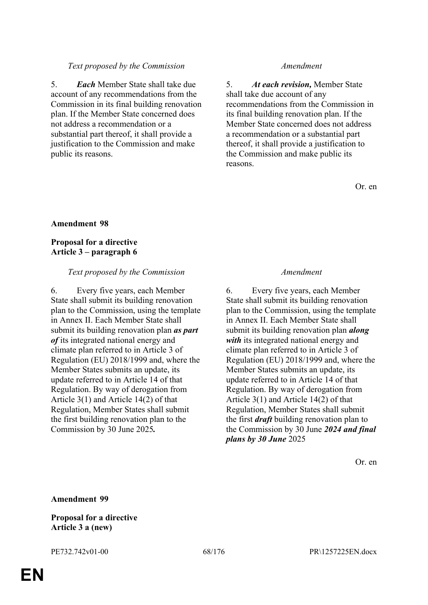## *Text proposed by the Commission Amendment*

5. *Each* Member State shall take due account of any recommendations from the Commission in its final building renovation plan. If the Member State concerned does not address a recommendation or a substantial part thereof, it shall provide a justification to the Commission and make public its reasons.

5. *At each revision,* Member State shall take due account of any recommendations from the Commission in its final building renovation plan. If the Member State concerned does not address a recommendation or a substantial part thereof, it shall provide a justification to the Commission and make public its reasons.

Or. en

## **Amendment 98**

## **Proposal for a directive Article 3 – paragraph 6**

## *Text proposed by the Commission Amendment*

6. Every five years, each Member State shall submit its building renovation plan to the Commission, using the template in Annex II. Each Member State shall submit its building renovation plan *as part of* its integrated national energy and climate plan referred to in Article 3 of Regulation (EU) 2018/1999 and, where the Member States submits an update, its update referred to in Article 14 of that Regulation. By way of derogation from Article 3(1) and Article 14(2) of that Regulation, Member States shall submit the first building renovation plan to the Commission by 30 June 2025*.*

6. Every five years, each Member State shall submit its building renovation plan to the Commission, using the template in Annex II. Each Member State shall submit its building renovation plan *along with* its integrated national energy and climate plan referred to in Article 3 of Regulation (EU) 2018/1999 and, where the Member States submits an update, its update referred to in Article 14 of that Regulation. By way of derogation from Article 3(1) and Article 14(2) of that Regulation, Member States shall submit the first *draft* building renovation plan to the Commission by 30 June *2024 and final plans by 30 June* 2025

Or. en

**Amendment 99**

### **Proposal for a directive Article 3 a (new)**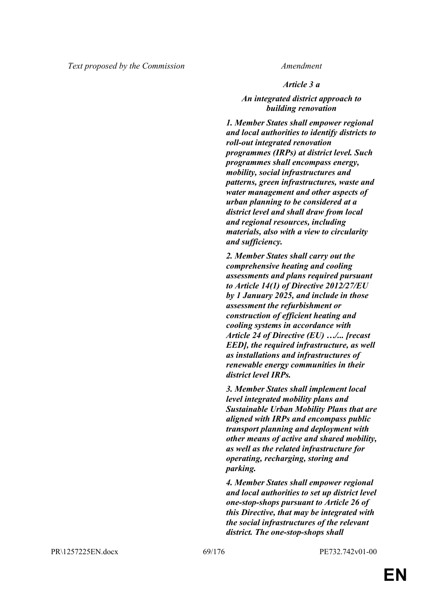## *Article 3 a*

## *An integrated district approach to building renovation*

*1. Member States shall empower regional and local authorities to identify districts to roll-out integrated renovation programmes (IRPs) at district level. Such programmes shall encompass energy, mobility, social infrastructures and patterns, green infrastructures, waste and water management and other aspects of urban planning to be considered at a district level and shall draw from local and regional resources, including materials, also with a view to circularity and sufficiency.*

*2. Member States shall carry out the comprehensive heating and cooling assessments and plans required pursuant to Article 14(1) of Directive 2012/27/EU by 1 January 2025, and include in those assessment the refurbishment or construction of efficient heating and cooling systems in accordance with Article 24 of Directive (EU) …/... [recast EED], the required infrastructure, as well as installations and infrastructures of renewable energy communities in their district level IRPs.*

*3. Member States shall implement local level integrated mobility plans and Sustainable Urban Mobility Plans that are aligned with IRPs and encompass public transport planning and deployment with other means of active and shared mobility, as well as the related infrastructure for operating, recharging, storing and parking.*

*4. Member States shall empower regional and local authorities to set up district level one-stop-shops pursuant to Article 26 of this Directive, that may be integrated with the social infrastructures of the relevant district. The one-stop-shops shall*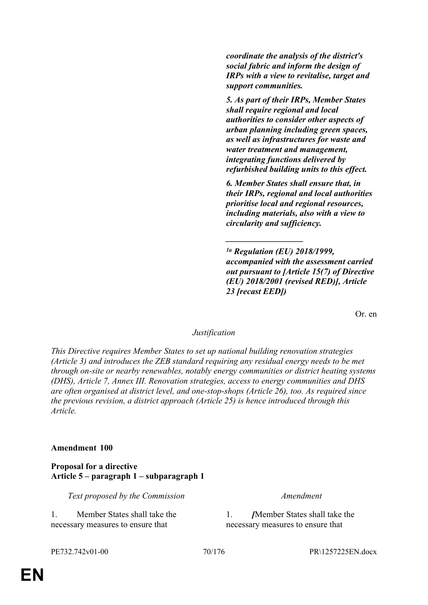*coordinate the analysis of the district's social fabric and inform the design of IRPs with a view to revitalise, target and support communities.*

*5. As part of their IRPs, Member States shall require regional and local authorities to consider other aspects of urban planning including green spaces, as well as infrastructures for waste and water treatment and management, integrating functions delivered by refurbished building units to this effect.*

*6. Member States shall ensure that, in their IRPs, regional and local authorities prioritise local and regional resources, including materials, also with a view to circularity and sufficiency.*

*\_\_\_\_\_\_\_\_\_\_\_\_\_\_\_\_\_\_*

*1a Regulation (EU) 2018/1999, accompanied with the assessment carried out pursuant to [Article 15(7) of Directive (EU) 2018/2001 (revised RED)], Article 23 [recast EED])* 

Or. en

# *Justification*

*This Directive requires Member States to set up national building renovation strategies (Article 3) and introduces the ZEB standard requiring any residual energy needs to be met through on-site or nearby renewables, notably energy communities or district heating systems (DHS), Article 7, Annex III. Renovation strategies, access to energy communities and DHS are often organised at district level, and one-stop-shops (Article 26), too. As required since the previous revision, a district approach (Article 25) is hence introduced through this Article.*

## **Amendment 100**

## **Proposal for a directive Article 5 – paragraph 1 – subparagraph 1**

*Text proposed by the Commission Amendment*

1. Member States shall take the necessary measures to ensure that

1. *[*Member States shall take the necessary measures to ensure that

PE732.742v01-00 70/176 PR\1257225EN.docx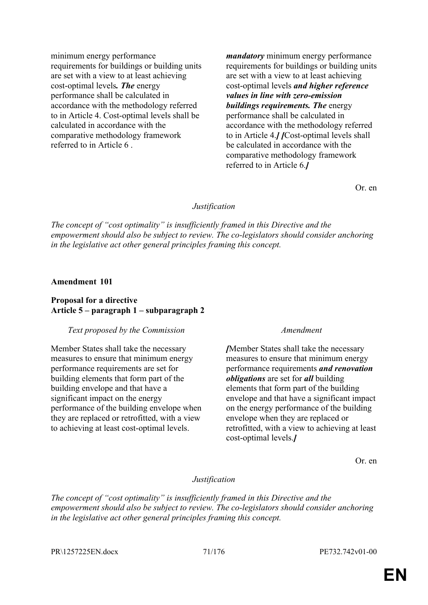minimum energy performance requirements for buildings or building units are set with a view to at least achieving cost-optimal levels*. The* energy performance shall be calculated in accordance with the methodology referred to in Article 4. Cost-optimal levels shall be calculated in accordance with the comparative methodology framework referred to in Article 6 .

*mandatory* minimum energy performance requirements for buildings or building units are set with a view to at least achieving cost-optimal levels *and higher reference values in line with zero-emission buildings requirements. The* energy performance shall be calculated in accordance with the methodology referred to in Article 4.*] [*Cost-optimal levels shall be calculated in accordance with the comparative methodology framework referred to in Article 6.*]*

Or. en

### *Justification*

*The concept of "cost optimality" is insufficiently framed in this Directive and the empowerment should also be subject to review. The co-legislators should consider anchoring in the legislative act other general principles framing this concept.*

### **Amendment 101**

### **Proposal for a directive Article 5 – paragraph 1 – subparagraph 2**

### *Text proposed by the Commission Amendment*

Member States shall take the necessary measures to ensure that minimum energy performance requirements are set for building elements that form part of the building envelope and that have a significant impact on the energy performance of the building envelope when they are replaced or retrofitted, with a view to achieving at least cost-optimal levels.

*[*Member States shall take the necessary measures to ensure that minimum energy performance requirements *and renovation obligations* are set for *all* building elements that form part of the building envelope and that have a significant impact on the energy performance of the building envelope when they are replaced or retrofitted, with a view to achieving at least cost-optimal levels.*]*

Or. en

### *Justification*

*The concept of "cost optimality" is insufficiently framed in this Directive and the empowerment should also be subject to review. The co-legislators should consider anchoring in the legislative act other general principles framing this concept.*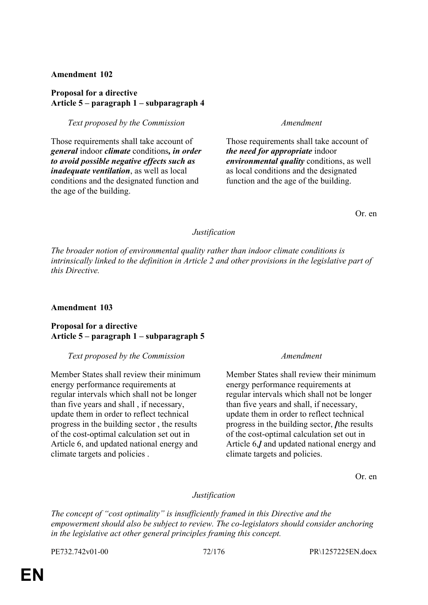## **Proposal for a directive Article 5 – paragraph 1 – subparagraph 4**

*Text proposed by the Commission Amendment*

Those requirements shall take account of *general* indoor *climate* conditions*, in order to avoid possible negative effects such as inadequate ventilation*, as well as local conditions and the designated function and the age of the building.

Those requirements shall take account of *the need for appropriate* indoor *environmental quality* conditions, as well as local conditions and the designated function and the age of the building.

Or. en

## *Justification*

*The broader notion of environmental quality rather than indoor climate conditions is intrinsically linked to the definition in Article 2 and other provisions in the legislative part of this Directive.*

## **Amendment 103**

## **Proposal for a directive Article 5 – paragraph 1 – subparagraph 5**

### *Text proposed by the Commission Amendment*

Member States shall review their minimum energy performance requirements at regular intervals which shall not be longer than five years and shall , if necessary, update them in order to reflect technical progress in the building sector , the results of the cost-optimal calculation set out in Article 6, and updated national energy and climate targets and policies .

Member States shall review their minimum energy performance requirements at regular intervals which shall not be longer than five years and shall, if necessary, update them in order to reflect technical progress in the building sector, *[*the results of the cost-optimal calculation set out in Article 6,*]* and updated national energy and climate targets and policies.

Or. en

## *Justification*

*The concept of "cost optimality" is insufficiently framed in this Directive and the empowerment should also be subject to review. The co-legislators should consider anchoring in the legislative act other general principles framing this concept.*

PE732.742v01-00 72/176 PR\1257225EN.docx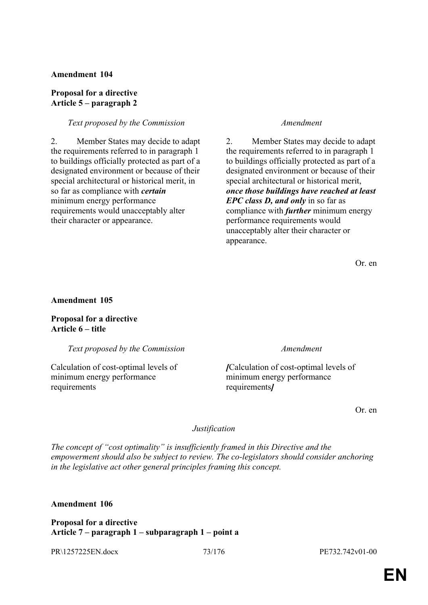#### **Proposal for a directive Article 5 – paragraph 2**

#### *Text proposed by the Commission Amendment*

2. Member States may decide to adapt the requirements referred to in paragraph 1 to buildings officially protected as part of a designated environment or because of their special architectural or historical merit, in so far as compliance with *certain* minimum energy performance requirements would unacceptably alter their character or appearance.

2. Member States may decide to adapt the requirements referred to in paragraph 1 to buildings officially protected as part of a designated environment or because of their special architectural or historical merit, *once those buildings have reached at least EPC class D, and only* in so far as compliance with *further* minimum energy performance requirements would unacceptably alter their character or appearance.

Or. en

### **Amendment 105**

**Proposal for a directive Article 6 – title**

*Text proposed by the Commission Amendment*

Calculation of cost-optimal levels of minimum energy performance requirements

*[*Calculation of cost-optimal levels of minimum energy performance requirements*]*

Or. en

### *Justification*

*The concept of "cost optimality" is insufficiently framed in this Directive and the empowerment should also be subject to review. The co-legislators should consider anchoring in the legislative act other general principles framing this concept.*

**Amendment 106**

**Proposal for a directive Article 7 – paragraph 1 – subparagraph 1 – point a**

PR\1257225EN.docx 73/176 PE732.742v01-00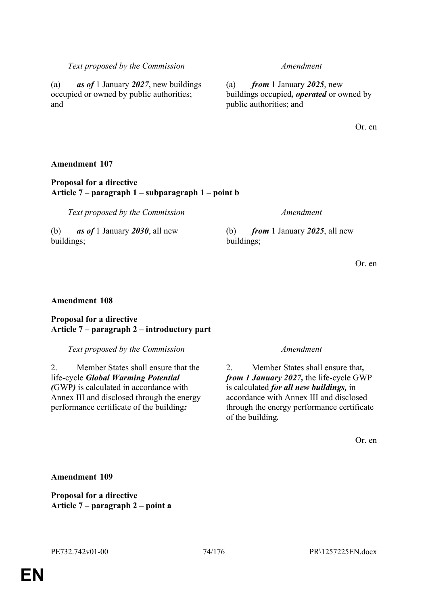and

### **Proposal for a directive Article 7 – paragraph 1 – subparagraph 1 – point b**

*Text proposed by the Commission Amendment*

(a) *as of* 1 January *2027*, new buildings occupied or owned by public authorities;

(b) *as of* 1 January *2030*, all new buildings;

### **Amendment 108**

#### **Proposal for a directive Article 7 – paragraph 2 – introductory part**

*Text proposed by the Commission Amendment*

2. Member States shall ensure that the life-cycle *Global Warming Potential (*GWP*)* is calculated in accordance with Annex III and disclosed through the energy performance certificate of the building*:*

#### *Text proposed by the Commission Amendment*

(a) *from* 1 January *2025*, new buildings occupied*, operated* or owned by public authorities; and

Or. en

(b) *from* 1 January *2025*, all new buildings;

Or. en

2. Member States shall ensure that*, from 1 January 2027,* the life-cycle GWP is calculated *for all new buildings,* in accordance with Annex III and disclosed through the energy performance certificate of the building*.*

Or. en

#### **Amendment 109**

**Proposal for a directive Article 7 – paragraph 2 – point a**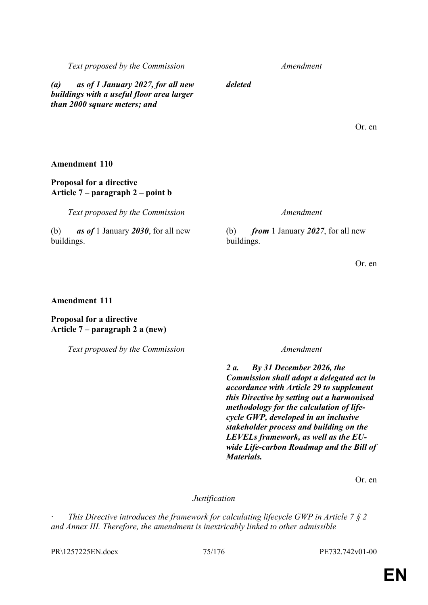# **EN**

*Text proposed by the Commission Amendment*

*(a) as of 1 January 2027, for all new buildings with a useful floor area larger than 2000 square meters; and*

*deleted*

Or. en

**Amendment 110**

### **Proposal for a directive Article 7 – paragraph 2 – point b**

*Text proposed by the Commission Amendment*

(b) *as of* 1 January *2030*, for all new buildings.

(b) *from* 1 January *2027*, for all new buildings.

Or. en

### **Amendment 111**

### **Proposal for a directive Article 7 – paragraph 2 a (new)**

*Text proposed by the Commission Amendment*

*2 a. By 31 December 2026, the Commission shall adopt a delegated act in accordance with Article 29 to supplement this Directive by setting out a harmonised methodology for the calculation of lifecycle GWP, developed in an inclusive stakeholder process and building on the LEVELs framework, as well as the EUwide Life-carbon Roadmap and the Bill of Materials.*

Or. en

#### *Justification*

*This Directive introduces the framework for calculating lifecycle GWP in Article 7 § 2 and Annex III. Therefore, the amendment is inextricably linked to other admissible*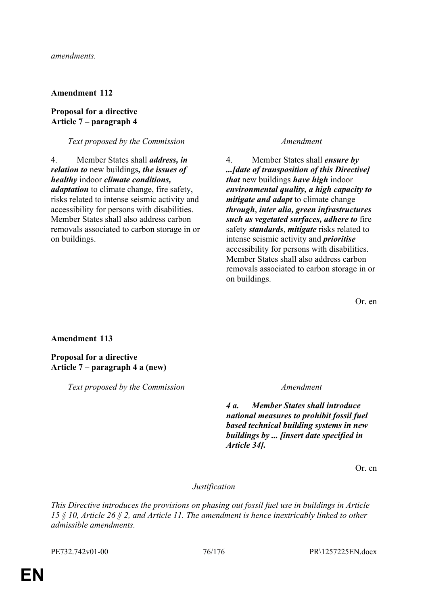#### **Proposal for a directive Article 7 – paragraph 4**

#### *Text proposed by the Commission Amendment*

4. Member States shall *address, in relation to* new buildings*, the issues of healthy* indoor *climate conditions, adaptation* to climate change, fire safety, risks related to intense seismic activity and accessibility for persons with disabilities. Member States shall also address carbon removals associated to carbon storage in or on buildings.

4. Member States shall *ensure by ...[date of transposition of this Directive] that* new buildings *have high* indoor *environmental quality, a high capacity to mitigate and adapt* to climate change *through*, *inter alia, green infrastructures such as vegetated surfaces, adhere to* fire safety *standards*, *mitigate* risks related to intense seismic activity and *prioritise* accessibility for persons with disabilities. Member States shall also address carbon removals associated to carbon storage in or on buildings.

Or. en

#### **Amendment 113**

### **Proposal for a directive Article 7 – paragraph 4 a (new)**

*Text proposed by the Commission Amendment*

*4 a. Member States shall introduce national measures to prohibit fossil fuel based technical building systems in new buildings by ... [insert date specified in Article 34].*

Or. en

#### *Justification*

*This Directive introduces the provisions on phasing out fossil fuel use in buildings in Article 15 § 10, Article 26 § 2, and Article 11. The amendment is hence inextricably linked to other admissible amendments.*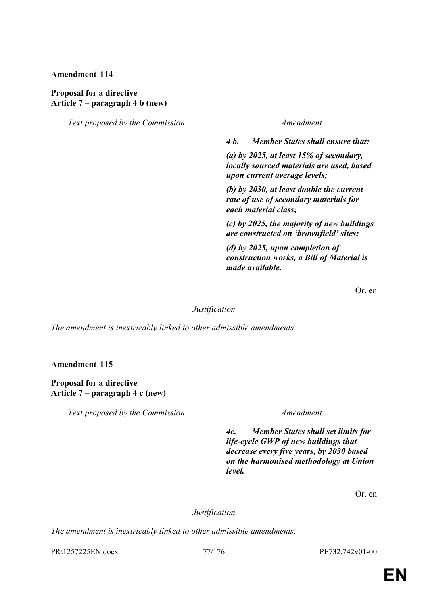#### **Proposal for a directive Article 7 – paragraph 4 b (new)**

*Text proposed by the Commission Amendment*

*4 b. Member States shall ensure that:*

*(a) by 2025, at least 15% of secondary, locally sourced materials are used, based upon current average levels;*

*(b) by 2030, at least double the current rate of use of secondary materials for each material class;*

*(c) by 2025, the majority of new buildings are constructed on 'brownfield' sites;*

*(d) by 2025, upon completion of construction works, a Bill of Material is made available.*

Or. en

#### *Justification*

*The amendment is inextricably linked to other admissible amendments.*

**Amendment 115**

**Proposal for a directive Article 7 – paragraph 4 c (new)**

*Text proposed by the Commission Amendment*

*4c. Member States shall set limits for life-cycle GWP of new buildings that decrease every five years, by 2030 based on the harmonised methodology at Union level.*

Or. en

#### *Justification*

*The amendment is inextricably linked to other admissible amendments.*

PR\1257225EN.docx 77/176 PE732.742v01-00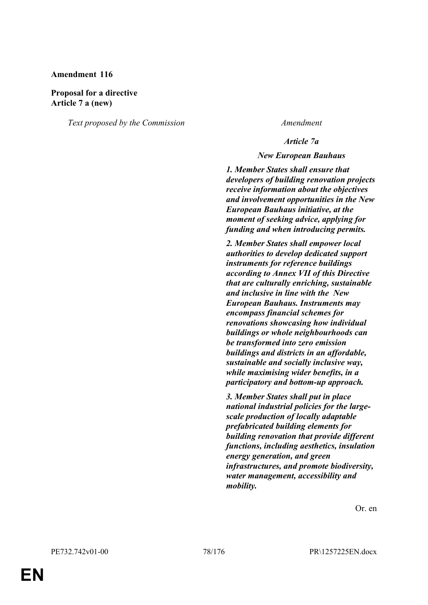#### **Proposal for a directive Article 7 a (new)**

*Text proposed by the Commission Amendment*

#### *Article 7a*

#### *New European Bauhaus*

*1. Member States shall ensure that developers of building renovation projects receive information about the objectives and involvement opportunities in the New European Bauhaus initiative, at the moment of seeking advice, applying for funding and when introducing permits.*

*2. Member States shall empower local authorities to develop dedicated support instruments for reference buildings according to Annex VII of this Directive that are culturally enriching, sustainable and inclusive in line with the New European Bauhaus. Instruments may encompass financial schemes for renovations showcasing how individual buildings or whole neighbourhoods can be transformed into zero emission buildings and districts in an affordable, sustainable and socially inclusive way, while maximising wider benefits, in a participatory and bottom-up approach.*

*3. Member States shall put in place national industrial policies for the largescale production of locally adaptable prefabricated building elements for building renovation that provide different functions, including aesthetics, insulation energy generation, and green infrastructures, and promote biodiversity, water management, accessibility and mobility.*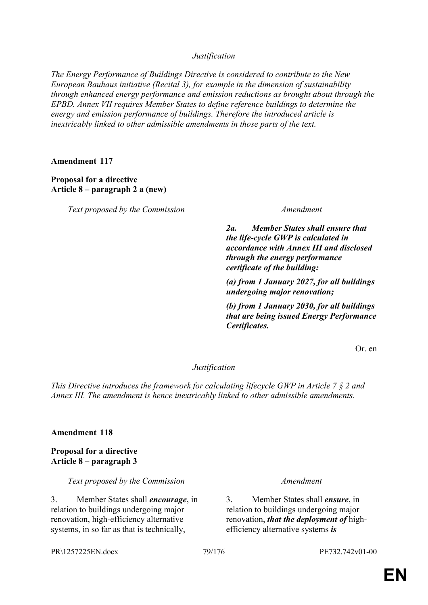*Justification*

*The Energy Performance of Buildings Directive is considered to contribute to the New European Bauhaus initiative (Recital 3), for example in the dimension of sustainability through enhanced energy performance and emission reductions as brought about through the EPBD. Annex VII requires Member States to define reference buildings to determine the energy and emission performance of buildings. Therefore the introduced article is inextricably linked to other admissible amendments in those parts of the text.*

**Amendment 117**

**Proposal for a directive Article 8 – paragraph 2 a (new)**

*Text proposed by the Commission Amendment*

*2a. Member States shall ensure that the life-cycle GWP is calculated in accordance with Annex III and disclosed through the energy performance certificate of the building:*

*(a) from 1 January 2027, for all buildings undergoing major renovation;*

*(b) from 1 January 2030, for all buildings that are being issued Energy Performance Certificates.*

Or. en

### *Justification*

*This Directive introduces the framework for calculating lifecycle GWP in Article 7 § 2 and Annex III. The amendment is hence inextricably linked to other admissible amendments.*

#### **Amendment 118**

**Proposal for a directive Article 8 – paragraph 3**

*Text proposed by the Commission Amendment*

3. Member States shall *encourage*, in relation to buildings undergoing major renovation, high-efficiency alternative systems, in so far as that is technically,

3. Member States shall *ensure*, in relation to buildings undergoing major renovation, *that the deployment of* highefficiency alternative systems *is* 

PR\1257225EN.docx 79/176 PE732.742v01-00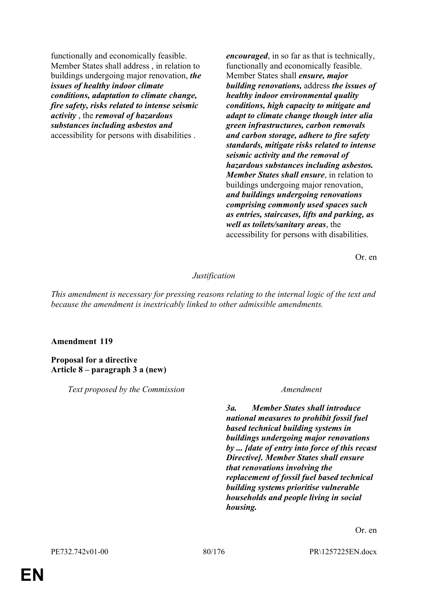functionally and economically feasible. Member States shall address , in relation to buildings undergoing major renovation, *the issues of healthy indoor climate conditions, adaptation to climate change, fire safety, risks related to intense seismic activity* , the *removal of hazardous substances including asbestos and* accessibility for persons with disabilities .

*encouraged*, in so far as that is technically, functionally and economically feasible. Member States shall *ensure, major building renovations,* address *the issues of healthy indoor environmental quality conditions, high capacity to mitigate and adapt to climate change though inter alia green infrastructures, carbon removals and carbon storage, adhere to fire safety standards, mitigate risks related to intense seismic activity and the removal of hazardous substances including asbestos. Member States shall ensure*, in relation to buildings undergoing major renovation, *and buildings undergoing renovations comprising commonly used spaces such as entries, staircases, lifts and parking, as well as toilets/sanitary areas*, the accessibility for persons with disabilities.

Or. en

#### *Justification*

*This amendment is necessary for pressing reasons relating to the internal logic of the text and because the amendment is inextricably linked to other admissible amendments.*

#### **Amendment 119**

**Proposal for a directive Article 8 – paragraph 3 a (new)**

*Text proposed by the Commission Amendment*

*3a. Member States shall introduce national measures to prohibit fossil fuel based technical building systems in buildings undergoing major renovations by ... [date of entry into force of this recast Directive]. Member States shall ensure that renovations involving the replacement of fossil fuel based technical building systems prioritise vulnerable households and people living in social housing.*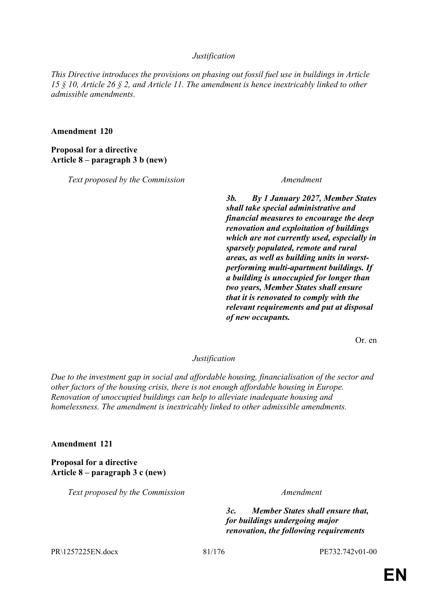#### *Justification*

*This Directive introduces the provisions on phasing out fossil fuel use in buildings in Article 15 § 10, Article 26 § 2, and Article 11. The amendment is hence inextricably linked to other admissible amendments.*

**Amendment 120**

**Proposal for a directive Article 8 – paragraph 3 b (new)**

*Text proposed by the Commission Amendment*

*3b. By 1 January 2027, Member States shall take special administrative and financial measures to encourage the deep renovation and exploitation of buildings which are not currently used, especially in sparsely populated, remote and rural areas, as well as building units in worstperforming multi-apartment buildings. If a building is unoccupied for longer than two years, Member States shall ensure that it is renovated to comply with the relevant requirements and put at disposal of new occupants.*

Or. en

#### *Justification*

*Due to the investment gap in social and affordable housing, financialisation of the sector and other factors of the housing crisis, there is not enough affordable housing in Europe. Renovation of unoccupied buildings can help to alleviate inadequate housing and homelessness. The amendment is inextricably linked to other admissible amendments.*

**Amendment 121**

**Proposal for a directive Article 8 – paragraph 3 c (new)**

*Text proposed by the Commission Amendment*

*3c. Member States shall ensure that, for buildings undergoing major renovation, the following requirements* 

PR\1257225EN.docx 81/176 PE732.742v01-00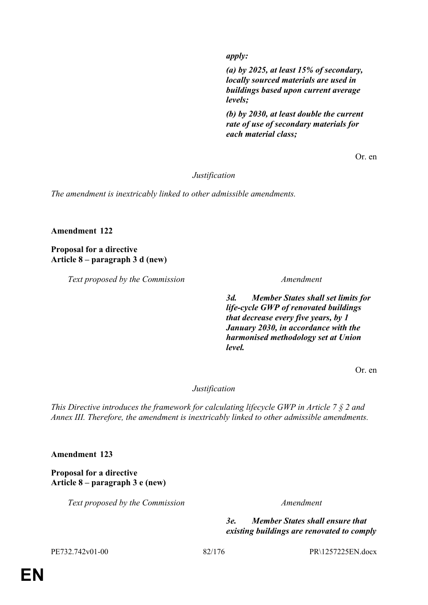*apply:*

*(a) by 2025, at least 15% of secondary, locally sourced materials are used in buildings based upon current average levels;*

*(b) by 2030, at least double the current rate of use of secondary materials for each material class;*

Or. en

#### *Justification*

*The amendment is inextricably linked to other admissible amendments.*

### **Amendment 122**

**Proposal for a directive Article 8 – paragraph 3 d (new)**

*Text proposed by the Commission Amendment*

*3d. Member States shall set limits for life-cycle GWP of renovated buildings that decrease every five years, by 1 January 2030, in accordance with the harmonised methodology set at Union level.*

Or. en

### *Justification*

*This Directive introduces the framework for calculating lifecycle GWP in Article 7 § 2 and Annex III. Therefore, the amendment is inextricably linked to other admissible amendments.*

**Amendment 123**

**Proposal for a directive Article 8 – paragraph 3 e (new)**

*Text proposed by the Commission Amendment*

*3e. Member States shall ensure that existing buildings are renovated to comply* 

PE732.742v01-00 82/176 PR\1257225EN.docx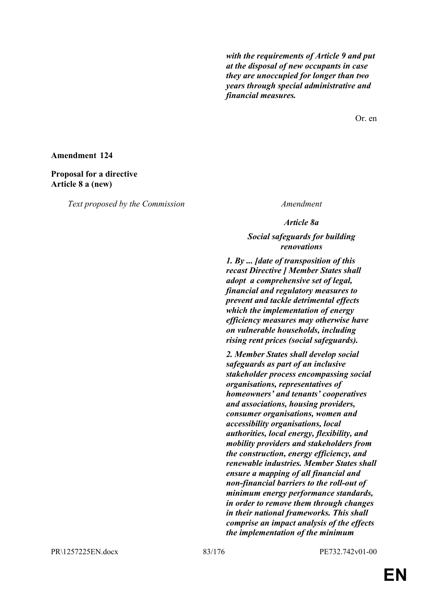*with the requirements of Article 9 and put at the disposal of new occupants in case they are unoccupied for longer than two years through special administrative and financial measures.*

Or. en

#### **Amendment 124**

#### **Proposal for a directive Article 8 a (new)**

*Text proposed by the Commission Amendment*

*Article 8a*

### *Social safeguards for building renovations*

*1. By ... [date of transposition of this recast Directive ] Member States shall adopt a comprehensive set of legal, financial and regulatory measures to prevent and tackle detrimental effects which the implementation of energy efficiency measures may otherwise have on vulnerable households, including rising rent prices (social safeguards).*

*2. Member States shall develop social safeguards as part of an inclusive stakeholder process encompassing social organisations, representatives of homeowners' and tenants' cooperatives and associations, housing providers, consumer organisations, women and accessibility organisations, local authorities, local energy, flexibility, and mobility providers and stakeholders from the construction, energy efficiency, and renewable industries. Member States shall ensure a mapping of all financial and non-financial barriers to the roll-out of minimum energy performance standards, in order to remove them through changes in their national frameworks. This shall comprise an impact analysis of the effects the implementation of the minimum* 

PR\1257225EN.docx 83/176 PE732.742v01-00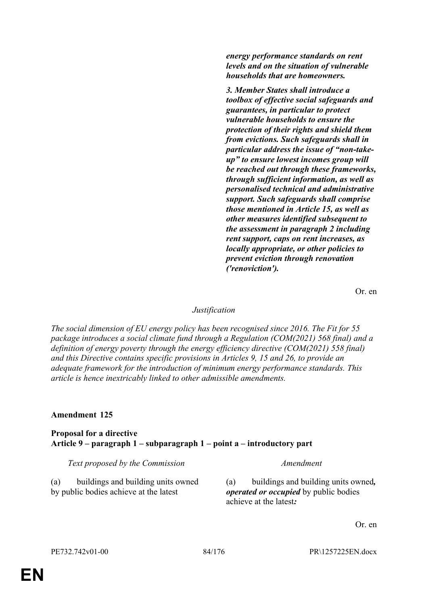*energy performance standards on rent levels and on the situation of vulnerable households that are homeowners.*

*3. Member States shall introduce a toolbox of effective social safeguards and guarantees, in particular to protect vulnerable households to ensure the protection of their rights and shield them from evictions. Such safeguards shall in particular address the issue of "non-takeup" to ensure lowest incomes group will be reached out through these frameworks, through sufficient information, as well as personalised technical and administrative support. Such safeguards shall comprise those mentioned in Article 15, as well as other measures identified subsequent to the assessment in paragraph 2 including rent support, caps on rent increases, as locally appropriate, or other policies to prevent eviction through renovation ('renoviction').*

Or. en

#### *Justification*

*The social dimension of EU energy policy has been recognised since 2016. The Fit for 55 package introduces a social climate fund through a Regulation (COM(2021) 568 final) and a definition of energy poverty through the energy efficiency directive (COM(2021) 558 final) and this Directive contains specific provisions in Articles 9, 15 and 26, to provide an adequate framework for the introduction of minimum energy performance standards. This article is hence inextricably linked to other admissible amendments.*

#### **Amendment 125**

**Proposal for a directive Article 9 – paragraph 1 – subparagraph 1 – point a – introductory part**

*Text proposed by the Commission Amendment*

(a) buildings and building units owned by public bodies achieve at the latest

(a) buildings and building units owned*, operated or occupied* by public bodies achieve at the latest*:*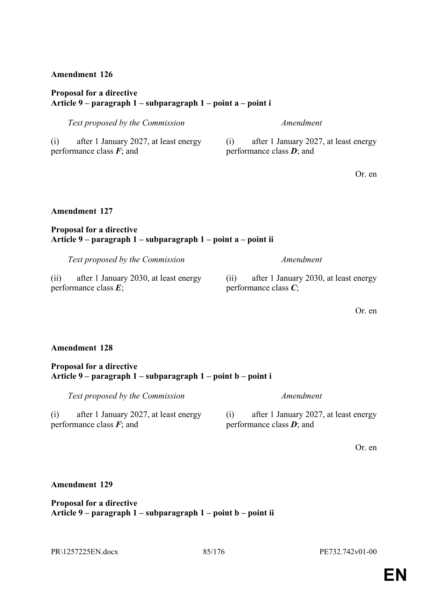#### **Proposal for a directive Article 9 – paragraph 1 – subparagraph 1 – point a – point i**

| Text proposed by the Commission              | Amendment                        |
|----------------------------------------------|----------------------------------|
| after 1 January 2027, at least energy<br>(i) | after 1 January 2027<br>(1)      |
| performance class $\mathbf{F}$ ; and         | performance class $\bm{D}$ ; and |

after 1 January 2027, at least energy performance class *D*; and

Or. en

### **Amendment 127**

#### **Proposal for a directive Article 9 – paragraph 1 – subparagraph 1 – point a – point ii**

*Text proposed by the Commission Amendment*

(ii) after 1 January 2030, at least energy performance class *E*;

(ii) after 1 January 2030, at least energy performance class *C*;

Or. en

#### **Amendment 128**

#### **Proposal for a directive Article 9 – paragraph 1 – subparagraph 1 – point b – point i**

*Text proposed by the Commission Amendment*

(i) after 1 January 2027, at least energy performance class *F*; and

(i) after 1 January 2027, at least energy performance class *D*; and

Or. en

#### **Amendment 129**

#### **Proposal for a directive Article 9 – paragraph 1 – subparagraph 1 – point b – point ii**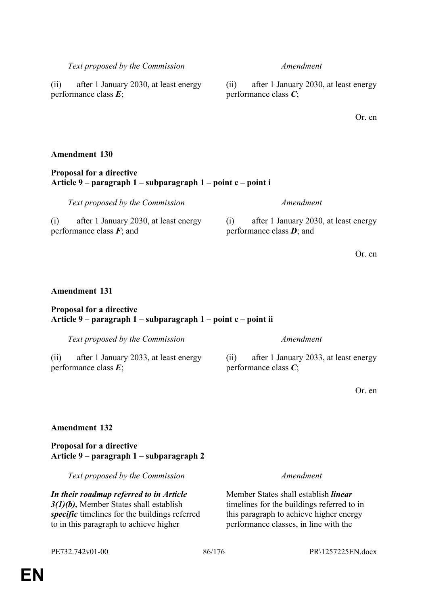**EN**

### *Text proposed by the Commission Amendment*

(ii) after 1 January 2030, at least energy performance class *E*;

### **Amendment 130**

### **Proposal for a directive Article 9 – paragraph 1 – subparagraph 1 – point c – point i**

(i) after 1 January 2030, at least energy performance class *F*; and

### **Amendment 131**

#### **Proposal for a directive Article 9 – paragraph 1 – subparagraph 1 – point c – point ii**

*Text proposed by the Commission Amendment*

(ii) after 1 January 2033, at least energy performance class *E*;

## **Amendment 132**

**Proposal for a directive Article 9 – paragraph 1 – subparagraph 2**

*Text proposed by the Commission Amendment*

*In their roadmap referred to in Article 3(1)(b),* Member States shall establish *specific* timelines for the buildings referred to in this paragraph to achieve higher

(ii) after 1 January 2030, at least energy performance class *C*;

Or. en

*Text proposed by the Commission Amendment*

(i) after 1 January 2030, at least energy performance class *D*; and

Or. en

Or. en

Member States shall establish *linear* timelines for the buildings referred to in this paragraph to achieve higher energy performance classes, in line with the

performance class *C*;

(ii) after 1 January 2033, at least energy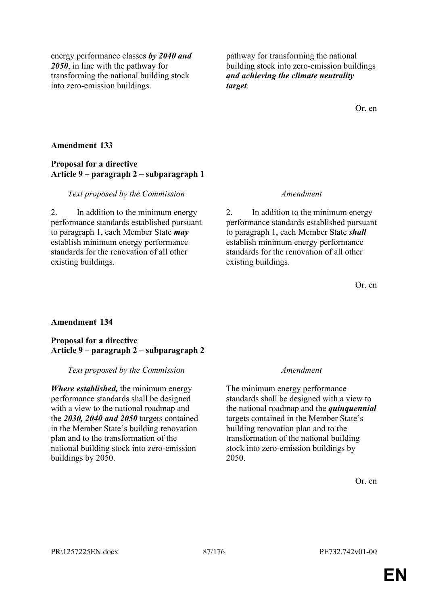energy performance classes *by 2040 and 2050*, in line with the pathway for transforming the national building stock into zero-emission buildings.

pathway for transforming the national building stock into zero-emission buildings *and achieving the climate neutrality target*.

Or. en

#### **Amendment 133**

#### **Proposal for a directive Article 9 – paragraph 2 – subparagraph 1**

#### *Text proposed by the Commission Amendment*

2. In addition to the minimum energy performance standards established pursuant to paragraph 1, each Member State *may* establish minimum energy performance standards for the renovation of all other existing buildings.

2. In addition to the minimum energy performance standards established pursuant to paragraph 1, each Member State *shall* establish minimum energy performance standards for the renovation of all other existing buildings.

Or. en

### **Amendment 134**

#### **Proposal for a directive Article 9 – paragraph 2 – subparagraph 2**

#### *Text proposed by the Commission Amendment*

*Where established,* the minimum energy performance standards shall be designed with a view to the national roadmap and the *2030, 2040 and 2050* targets contained in the Member State's building renovation plan and to the transformation of the national building stock into zero-emission buildings by 2050.

The minimum energy performance standards shall be designed with a view to the national roadmap and the *quinquennial* targets contained in the Member State's building renovation plan and to the transformation of the national building stock into zero-emission buildings by 2050.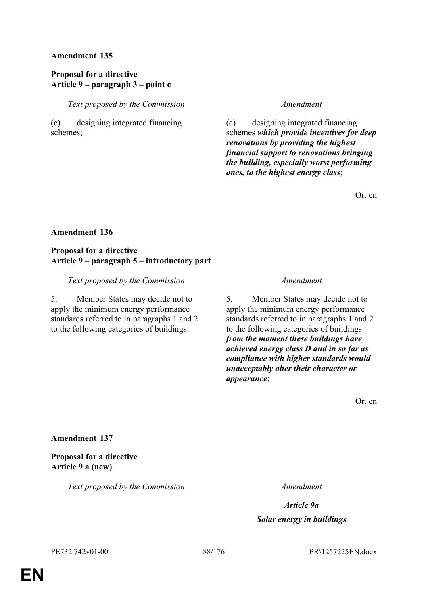### **Proposal for a directive Article 9 – paragraph 3 – point c**

*Text proposed by the Commission Amendment*

(c) designing integrated financing schemes;

(c) designing integrated financing schemes *which provide incentives for deep renovations by providing the highest financial support to renovations bringing the building, especially worst performing ones, to the highest energy class*;

Or. en

#### **Amendment 136**

#### **Proposal for a directive Article 9 – paragraph 5 – introductory part**

*Text proposed by the Commission Amendment*

5. Member States may decide not to apply the minimum energy performance standards referred to in paragraphs 1 and 2 to the following categories of buildings:

5. Member States may decide not to apply the minimum energy performance standards referred to in paragraphs 1 and 2 to the following categories of buildings *from the moment these buildings have achieved energy class D and in so far as compliance with higher standards would unacceptably alter their character or appearance*:

Or. en

#### **Amendment 137**

**Proposal for a directive Article 9 a (new)**

*Text proposed by the Commission Amendment*

*Article 9a Solar energy in buildings*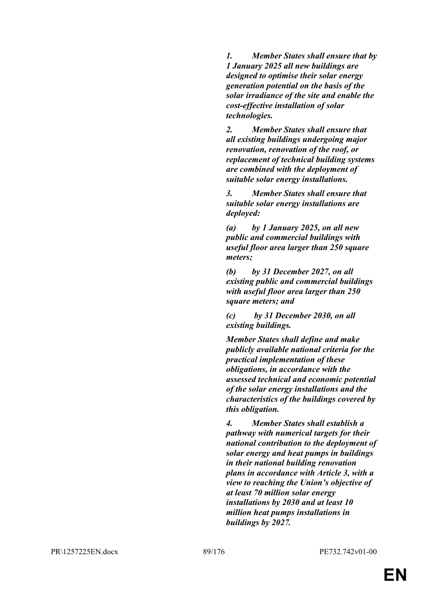*1. Member States shall ensure that by 1 January 2025 all new buildings are designed to optimise their solar energy generation potential on the basis of the solar irradiance of the site and enable the cost-effective installation of solar technologies.*

*2. Member States shall ensure that all existing buildings undergoing major renovation, renovation of the roof, or replacement of technical building systems are combined with the deployment of suitable solar energy installations.*

*3. Member States shall ensure that suitable solar energy installations are deployed:*

*(a) by 1 January 2025, on all new public and commercial buildings with useful floor area larger than 250 square meters;*

*(b) by 31 December 2027, on all existing public and commercial buildings with useful floor area larger than 250 square meters; and*

*(c) by 31 December 2030, on all existing buildings.*

*Member States shall define and make publicly available national criteria for the practical implementation of these obligations, in accordance with the assessed technical and economic potential of the solar energy installations and the characteristics of the buildings covered by this obligation.*

*4. Member States shall establish a pathway with numerical targets for their national contribution to the deployment of solar energy and heat pumps in buildings in their national building renovation plans in accordance with Article 3, with a view to reaching the Union's objective of at least 70 million solar energy installations by 2030 and at least 10 million heat pumps installations in buildings by 2027.*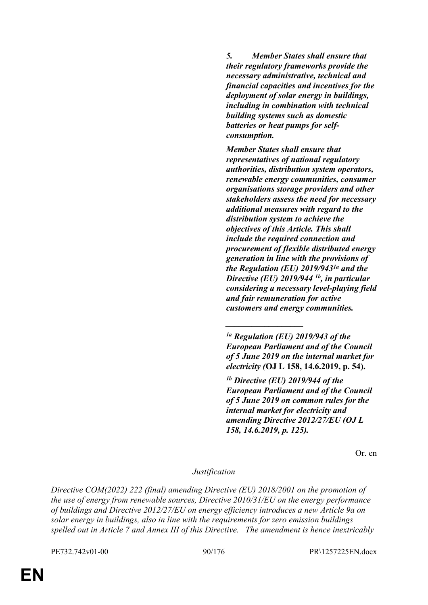*5. Member States shall ensure that their regulatory frameworks provide the necessary administrative, technical and financial capacities and incentives for the deployment of solar energy in buildings, including in combination with technical building systems such as domestic batteries or heat pumps for selfconsumption.*

*Member States shall ensure that representatives of national regulatory authorities, distribution system operators, renewable energy communities, consumer organisations storage providers and other stakeholders assess the need for necessary additional measures with regard to the distribution system to achieve the objectives of this Article. This shall include the required connection and procurement of flexible distributed energy generation in line with the provisions of the Regulation (EU) 2019/9431a and the Directive (EU) 2019/944 1b, in particular considering a necessary level-playing field and fair remuneration for active customers and energy communities.*

*\_\_\_\_\_\_\_\_\_\_\_\_\_\_\_\_\_\_*

*1b Directive (EU) 2019/944 of the European Parliament and of the Council of 5 June 2019 on common rules for the internal market for electricity and amending Directive 2012/27/EU (OJ L 158, 14.6.2019, p. 125).*

Or. en

*Justification*

*Directive COM(2022) 222 (final) amending Directive (EU) 2018/2001 on the promotion of the use of energy from renewable sources, Directive 2010/31/EU on the energy performance of buildings and Directive 2012/27/EU on energy efficiency introduces a new Article 9a on solar energy in buildings, also in line with the requirements for zero emission buildings spelled out in Article 7 and Annex III of this Directive. The amendment is hence inextricably* 

PE732.742v01-00 90/176 PR\1257225EN.docx

*<sup>1</sup>a Regulation (EU) 2019/943 of the European Parliament and of the Council of 5 June 2019 on the internal market for electricity (***OJ L 158, 14.6.2019, p. 54).**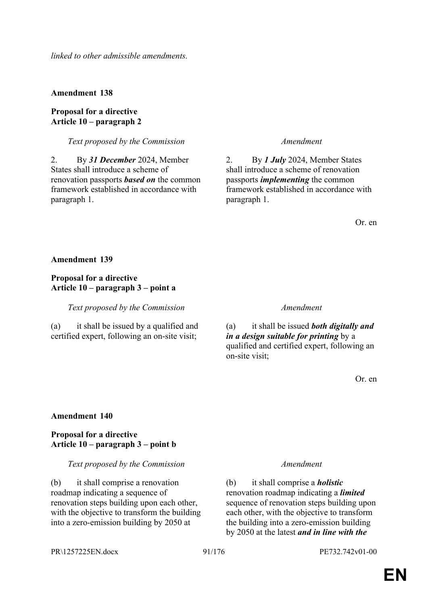*linked to other admissible amendments.*

**Amendment 138**

### **Proposal for a directive Article 10 – paragraph 2**

### *Text proposed by the Commission Amendment*

2. By *31 December* 2024, Member States shall introduce a scheme of renovation passports *based on* the common framework established in accordance with paragraph 1.

2. By *1 July* 2024, Member States shall introduce a scheme of renovation passports *implementing* the common framework established in accordance with paragraph 1.

Or. en

#### **Amendment 139**

#### **Proposal for a directive Article 10 – paragraph 3 – point a**

*Text proposed by the Commission Amendment*

(a) it shall be issued by a qualified and certified expert, following an on-site visit;

(a) it shall be issued *both digitally and in a design suitable for printing* by a qualified and certified expert, following an on-site visit;

Or. en

#### **Amendment 140**

### **Proposal for a directive Article 10 – paragraph 3 – point b**

#### *Text proposed by the Commission Amendment*

(b) it shall comprise a renovation roadmap indicating a sequence of renovation steps building upon each other, with the objective to transform the building into a zero-emission building by 2050 at

(b) it shall comprise a *holistic* renovation roadmap indicating a *limited* sequence of renovation steps building upon each other, with the objective to transform the building into a zero-emission building by 2050 at the latest *and in line with the* 

PR\1257225EN.docx 91/176 PE732.742v01-00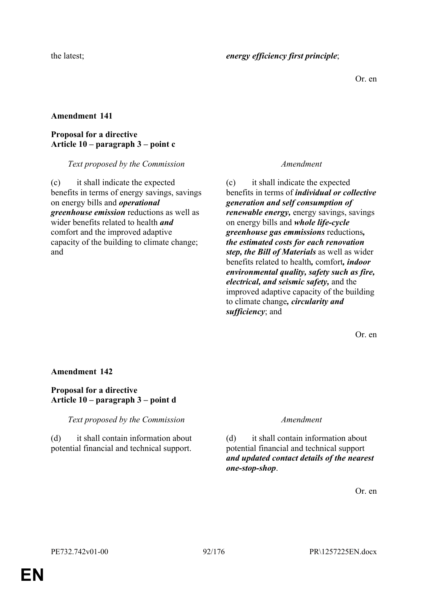Or. en

### **Amendment 141**

### **Proposal for a directive Article 10 – paragraph 3 – point c**

*Text proposed by the Commission Amendment*

(c) it shall indicate the expected benefits in terms of energy savings, savings on energy bills and *operational greenhouse emission* reductions as well as wider benefits related to health *and* comfort and the improved adaptive capacity of the building to climate change; and

(c) it shall indicate the expected benefits in terms of *individual or collective generation and self consumption of renewable energy,* energy savings, savings on energy bills and *whole life-cycle greenhouse gas emmissions* reductions*, the estimated costs for each renovation step, the Bill of Materials* as well as wider benefits related to health*,* comfort*, indoor environmental quality, safety such as fire, electrical, and seismic safety,* and the improved adaptive capacity of the building to climate change*, circularity and sufficiency*; and

Or. en

### **Amendment 142**

### **Proposal for a directive Article 10 – paragraph 3 – point d**

*Text proposed by the Commission Amendment*

(d) it shall contain information about potential financial and technical support.

(d) it shall contain information about potential financial and technical support *and updated contact details of the nearest one-stop-shop*.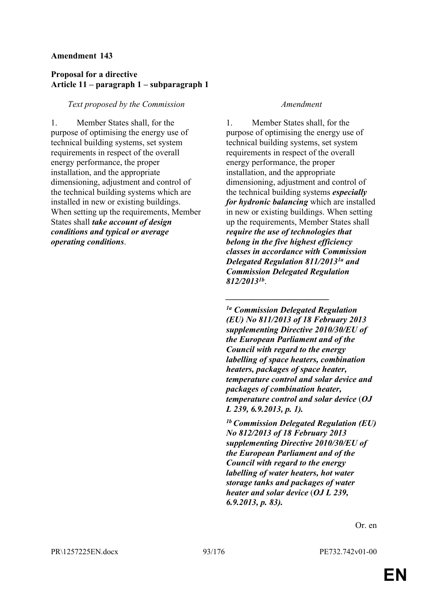### **Proposal for a directive Article 11 – paragraph 1 – subparagraph 1**

#### *Text proposed by the Commission Amendment*

1. Member States shall, for the purpose of optimising the energy use of technical building systems, set system requirements in respect of the overall energy performance, the proper installation, and the appropriate dimensioning, adjustment and control of the technical building systems which are installed in new or existing buildings. When setting up the requirements, Member States shall *take account of design conditions and typical or average operating conditions*.

1. Member States shall, for the purpose of optimising the energy use of technical building systems, set system requirements in respect of the overall energy performance, the proper installation, and the appropriate dimensioning, adjustment and control of the technical building systems *especially for hydronic balancing* which are installed in new or existing buildings. When setting up the requirements, Member States shall *require the use of technologies that belong in the five highest efficiency classes in accordance with Commission Delegated Regulation 811/20131a and Commission Delegated Regulation 812/20131b* .

*1a Commission Delegated Regulation (EU) No 811/2013 of 18 February 2013 supplementing Directive 2010/30/EU of the European Parliament and of the Council with regard to the energy labelling of space heaters, combination heaters, packages of space heater, temperature control and solar device and packages of combination heater, temperature control and solar device* (*OJ L 239, 6.9.2013, p. 1).*

*\_\_\_\_\_\_\_\_\_\_\_\_\_\_\_\_\_\_\_\_\_\_\_\_*

*1b Commission Delegated Regulation (EU) No 812/2013 of 18 February 2013 supplementing Directive 2010/30/EU of the European Parliament and of the Council with regard to the energy labelling of water heaters, hot water storage tanks and packages of water heater and solar device* (*OJ L 239, 6.9.2013, p. 83).*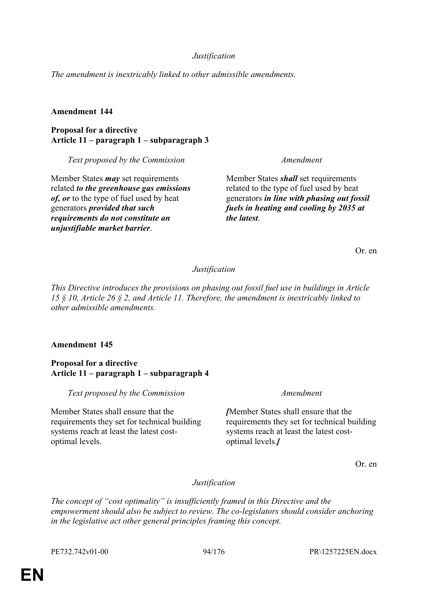### *Justification*

*The amendment is inextricably linked to other admissible amendments.*

#### **Amendment 144**

**Proposal for a directive Article 11 – paragraph 1 – subparagraph 3**

*Text proposed by the Commission Amendment*

Member States *may* set requirements related *to the greenhouse gas emissions of, or* to the type of fuel used by heat generators *provided that such requirements do not constitute an unjustifiable market barrier*.

Member States *shall* set requirements related to the type of fuel used by heat generators *in line with phasing out fossil fuels in heating and cooling by 2035 at the latest*.

Or. en

#### *Justification*

*This Directive introduces the provisions on phasing out fossil fuel use in buildings in Article 15 § 10, Article 26 § 2, and Article 11. Therefore, the amendment is inextricably linked to other admissible amendments.*

#### **Amendment 145**

**Proposal for a directive Article 11 – paragraph 1 – subparagraph 4**

*Text proposed by the Commission Amendment*

Member States shall ensure that the requirements they set for technical building systems reach at least the latest costoptimal levels.

*[*Member States shall ensure that the requirements they set for technical building systems reach at least the latest costoptimal levels.*]*

Or. en

*Justification*

*The concept of "cost optimality" is insufficiently framed in this Directive and the empowerment should also be subject to review. The co-legislators should consider anchoring in the legislative act other general principles framing this concept.*

PE732.742v01-00 94/176 PR\1257225EN.docx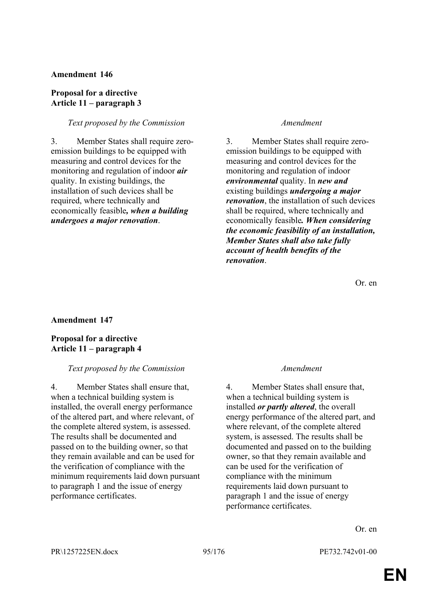#### **Proposal for a directive Article 11 – paragraph 3**

#### *Text proposed by the Commission Amendment*

3. Member States shall require zeroemission buildings to be equipped with measuring and control devices for the monitoring and regulation of indoor *air* quality. In existing buildings, the installation of such devices shall be required, where technically and economically feasible*, when a building undergoes a major renovation*.

3. Member States shall require zeroemission buildings to be equipped with measuring and control devices for the monitoring and regulation of indoor *environmental* quality. In *new and* existing buildings *undergoing a major renovation*, the installation of such devices shall be required, where technically and economically feasible*. When considering the economic feasibility of an installation, Member States shall also take fully account of health benefits of the renovation*.

Or. en

#### **Amendment 147**

#### **Proposal for a directive Article 11 – paragraph 4**

#### *Text proposed by the Commission Amendment*

4. Member States shall ensure that, when a technical building system is installed, the overall energy performance of the altered part, and where relevant, of the complete altered system, is assessed. The results shall be documented and passed on to the building owner, so that they remain available and can be used for the verification of compliance with the minimum requirements laid down pursuant to paragraph 1 and the issue of energy performance certificates.

4. Member States shall ensure that, when a technical building system is installed *or partly altered*, the overall energy performance of the altered part, and where relevant, of the complete altered system, is assessed. The results shall be documented and passed on to the building owner, so that they remain available and can be used for the verification of compliance with the minimum requirements laid down pursuant to paragraph 1 and the issue of energy performance certificates.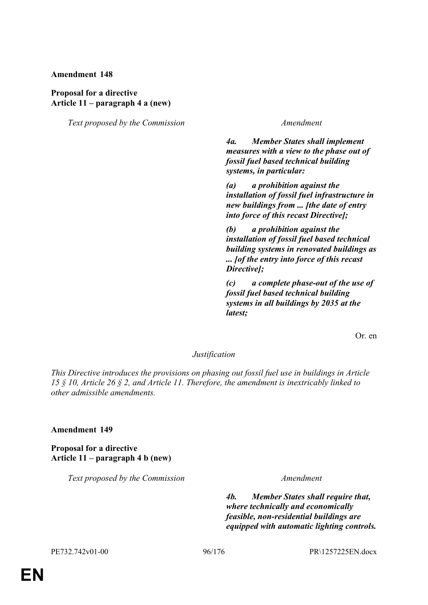#### **Proposal for a directive Article 11 – paragraph 4 a (new)**

*Text proposed by the Commission Amendment*

*4a. Member States shall implement measures with a view to the phase out of fossil fuel based technical building systems, in particular:*

*(a) a prohibition against the installation of fossil fuel infrastructure in new buildings from ... [the date of entry into force of this recast Directive];*

*(b) a prohibition against the installation of fossil fuel based technical building systems in renovated buildings as ... [of the entry into force of this recast Directive];*

*(c) a complete phase-out of the use of fossil fuel based technical building systems in all buildings by 2035 at the latest;*

Or. en

#### *Justification*

*This Directive introduces the provisions on phasing out fossil fuel use in buildings in Article 15 § 10, Article 26 § 2, and Article 11. Therefore, the amendment is inextricably linked to other admissible amendments.*

#### **Amendment 149**

**Proposal for a directive Article 11 – paragraph 4 b (new)**

*Text proposed by the Commission Amendment*

*4b. Member States shall require that, where technically and economically feasible, non-residential buildings are equipped with automatic lighting controls.*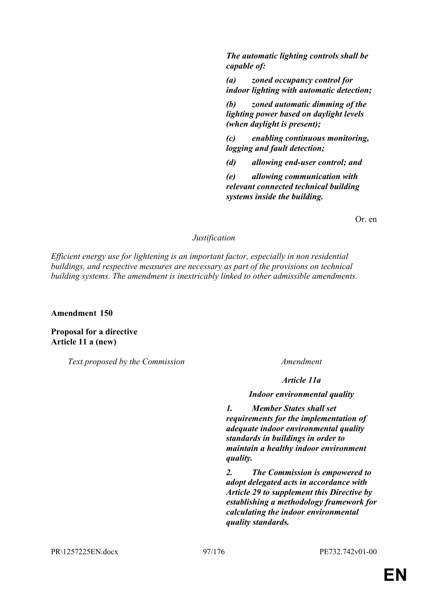*The automatic lighting controls shall be capable of:*

*(a) zoned occupancy control for indoor lighting with automatic detection;*

*(b) zoned automatic dimming of the lighting power based on daylight levels (when daylight is present);*

*(c) enabling continuous monitoring, logging and fault detection;*

*(d) allowing end-user control; and*

*(e) allowing communication with relevant connected technical building systems inside the building.*

Or. en

#### *Justification*

*Efficient energy use for lightening is an important factor, especially in non residential buildings, and respective measures are necessary as part of the provisions on technical building systems. The amendment is inextricably linked to other admissible amendments.*

**Amendment 150**

**Proposal for a directive Article 11 a (new)**

*Text proposed by the Commission Amendment*

*Article 11a*

*Indoor environmental quality*

*1. Member States shall set requirements for the implementation of adequate indoor environmental quality standards in buildings in order to maintain a healthy indoor environment quality.*

*2. The Commission is empowered to adopt delegated acts in accordance with Article 29 to supplement this Directive by establishing a methodology framework for calculating the indoor environmental quality standards.*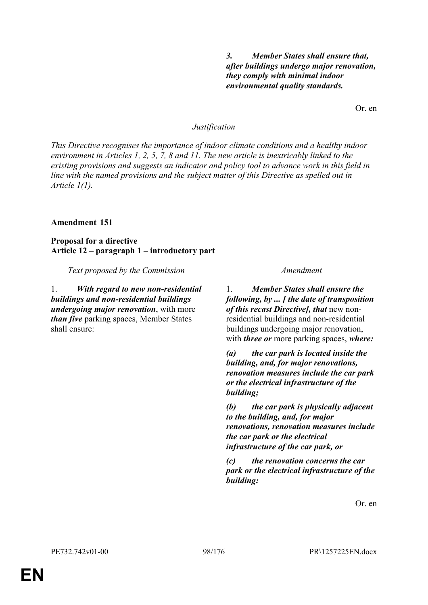### *3. Member States shall ensure that, after buildings undergo major renovation, they comply with minimal indoor environmental quality standards.*

Or. en

#### *Justification*

*This Directive recognises the importance of indoor climate conditions and a healthy indoor environment in Articles 1, 2, 5, 7, 8 and 11. The new article is inextricably linked to the existing provisions and suggests an indicator and policy tool to advance work in this field in line with the named provisions and the subject matter of this Directive as spelled out in Article 1(1).*

#### **Amendment 151**

**Proposal for a directive Article 12 – paragraph 1 – introductory part**

*Text proposed by the Commission Amendment*

1. *With regard to new non-residential buildings and non-residential buildings undergoing major renovation*, with more *than five* parking spaces, Member States shall ensure:

1. *Member States shall ensure the following, by ... [ the date of transposition of this recast Directive], that* new nonresidential buildings and non-residential buildings undergoing major renovation, with *three or* more parking spaces, *where:*

*(a) the car park is located inside the building, and, for major renovations, renovation measures include the car park or the electrical infrastructure of the building;* 

*(b) the car park is physically adjacent to the building, and, for major renovations, renovation measures include the car park or the electrical infrastructure of the car park, or*

*(c) the renovation concerns the car park or the electrical infrastructure of the building:*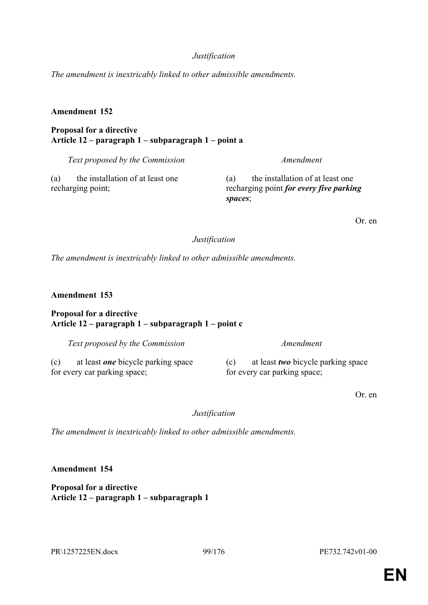#### *Justification*

*The amendment is inextricably linked to other admissible amendments.*

#### **Amendment 152**

#### **Proposal for a directive Article 12 – paragraph 1 – subparagraph 1 – point a**

*Text proposed by the Commission Amendment*

(a) the installation of at least one recharging point;

(a) the installation of at least one recharging point *for every five parking spaces*;

Or. en

#### *Justification*

*The amendment is inextricably linked to other admissible amendments.*

**Amendment 153**

#### **Proposal for a directive Article 12 – paragraph 1 – subparagraph 1 – point c**

*Text proposed by the Commission Amendment*

(c) at least *one* bicycle parking space for every car parking space;

(c) at least *two* bicycle parking space for every car parking space;

Or. en

*Justification*

*The amendment is inextricably linked to other admissible amendments.*

**Amendment 154**

**Proposal for a directive Article 12 – paragraph 1 – subparagraph 1**

PR\1257225EN.docx 99/176 PE732.742v01-00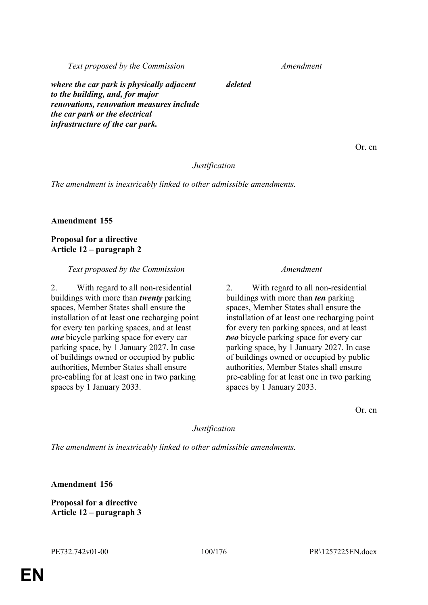*Text proposed by the Commission Amendment*

*where the car park is physically adjacent to the building, and, for major renovations, renovation measures include the car park or the electrical infrastructure of the car park.*

Or. en

### *Justification*

*deleted*

*The amendment is inextricably linked to other admissible amendments.*

**Amendment 155**

**Proposal for a directive Article 12 – paragraph 2**

#### *Text proposed by the Commission Amendment*

2. With regard to all non-residential buildings with more than *twenty* parking spaces, Member States shall ensure the installation of at least one recharging point for every ten parking spaces, and at least *one* bicycle parking space for every car parking space, by 1 January 2027. In case of buildings owned or occupied by public authorities, Member States shall ensure pre-cabling for at least one in two parking spaces by 1 January 2033.

2. With regard to all non-residential buildings with more than *ten* parking spaces, Member States shall ensure the installation of at least one recharging point for every ten parking spaces, and at least *two* bicycle parking space for every car parking space, by 1 January 2027. In case of buildings owned or occupied by public authorities, Member States shall ensure pre-cabling for at least one in two parking spaces by 1 January 2033.

Or. en

#### *Justification*

*The amendment is inextricably linked to other admissible amendments.*

**Amendment 156**

**Proposal for a directive Article 12 – paragraph 3**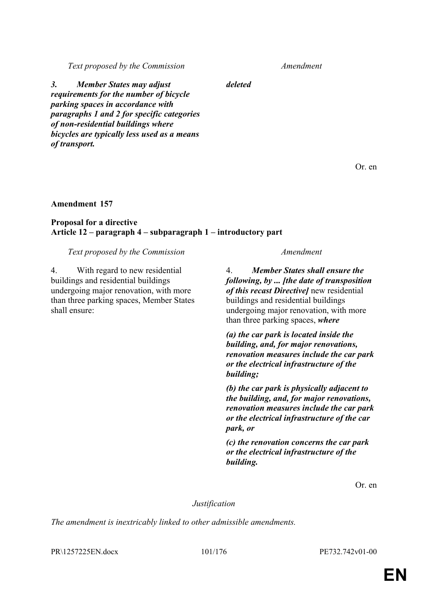*Text proposed by the Commission Amendment*

*deleted*

*3. Member States may adjust requirements for the number of bicycle parking spaces in accordance with paragraphs 1 and 2 for specific categories of non-residential buildings where bicycles are typically less used as a means of transport.*

Or. en

### **Amendment 157**

### **Proposal for a directive Article 12 – paragraph 4 – subparagraph 1 – introductory part**

#### *Text proposed by the Commission Amendment*

4. With regard to new residential buildings and residential buildings undergoing major renovation, with more than three parking spaces, Member States shall ensure:

4. *Member States shall ensure the following, by ... [the date of transposition of this recast Directive]* new residential buildings and residential buildings undergoing major renovation, with more than three parking spaces, *where*

*(a) the car park is located inside the building, and, for major renovations, renovation measures include the car park or the electrical infrastructure of the building;* 

*(b) the car park is physically adjacent to the building, and, for major renovations, renovation measures include the car park or the electrical infrastructure of the car park, or*

*(c) the renovation concerns the car park or the electrical infrastructure of the building.*

Or. en

*Justification*

*The amendment is inextricably linked to other admissible amendments.*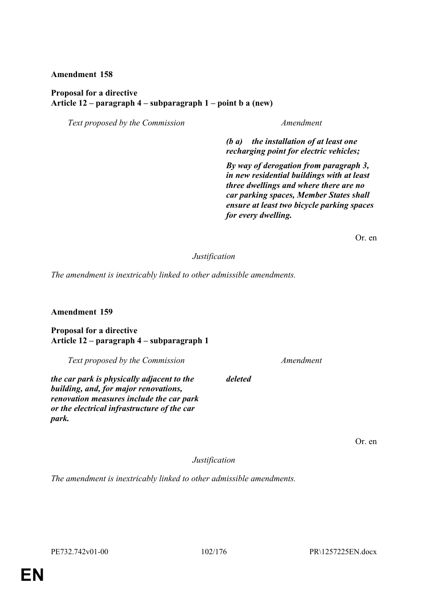### **Proposal for a directive Article 12 – paragraph 4 – subparagraph 1 – point b a (new)**

*Text proposed by the Commission Amendment*

*(b a) the installation of at least one recharging point for electric vehicles;*

*By way of derogation from paragraph 3, in new residential buildings with at least three dwellings and where there are no car parking spaces, Member States shall ensure at least two bicycle parking spaces for every dwelling.*

Or. en

### *Justification*

*The amendment is inextricably linked to other admissible amendments.*

#### **Amendment 159**

**Proposal for a directive Article 12 – paragraph 4 – subparagraph 1**

*Text proposed by the Commission Amendment*

*the car park is physically adjacent to the building, and, for major renovations, renovation measures include the car park or the electrical infrastructure of the car park.*

Or. en

*Justification*

*deleted*

*The amendment is inextricably linked to other admissible amendments.*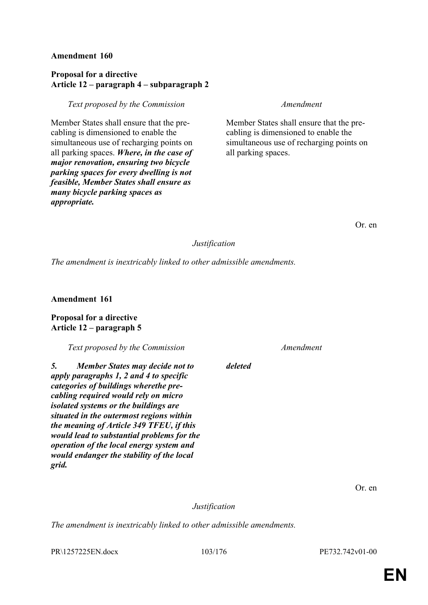### **Proposal for a directive Article 12 – paragraph 4 – subparagraph 2**

#### *Text proposed by the Commission Amendment*

Member States shall ensure that the precabling is dimensioned to enable the simultaneous use of recharging points on all parking spaces. *Where, in the case of major renovation, ensuring two bicycle parking spaces for every dwelling is not feasible, Member States shall ensure as many bicycle parking spaces as appropriate.*

Member States shall ensure that the precabling is dimensioned to enable the simultaneous use of recharging points on all parking spaces.

### *Justification*

*deleted*

*The amendment is inextricably linked to other admissible amendments.*

**Amendment 161**

#### **Proposal for a directive Article 12 – paragraph 5**

*Text proposed by the Commission Amendment*

*5. Member States may decide not to apply paragraphs 1, 2 and 4 to specific categories of buildings wherethe precabling required would rely on micro isolated systems or the buildings are situated in the outermost regions within the meaning of Article 349 TFEU, if this would lead to substantial problems for the operation of the local energy system and would endanger the stability of the local grid.*

Or. en

*Justification*

*The amendment is inextricably linked to other admissible amendments.*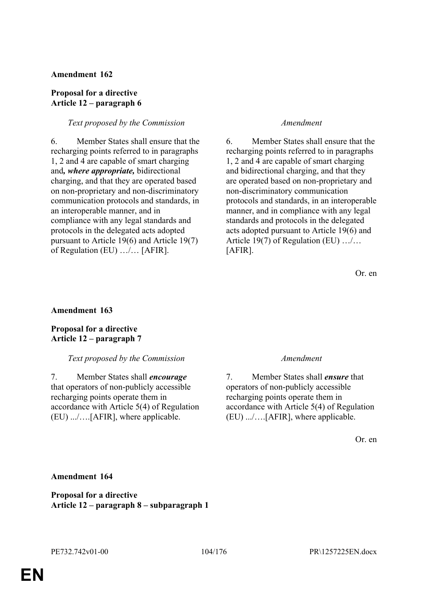#### **Proposal for a directive Article 12 – paragraph 6**

#### *Text proposed by the Commission Amendment*

6. Member States shall ensure that the recharging points referred to in paragraphs 1, 2 and 4 are capable of smart charging and*, where appropriate,* bidirectional charging, and that they are operated based on non-proprietary and non-discriminatory communication protocols and standards, in an interoperable manner, and in compliance with any legal standards and protocols in the delegated acts adopted pursuant to Article 19(6) and Article 19(7) of Regulation (EU) …/… [AFIR].

6. Member States shall ensure that the recharging points referred to in paragraphs 1, 2 and 4 are capable of smart charging and bidirectional charging, and that they are operated based on non-proprietary and non-discriminatory communication protocols and standards, in an interoperable manner, and in compliance with any legal standards and protocols in the delegated acts adopted pursuant to Article 19(6) and Article 19(7) of Regulation (EU) …/… [AFIR].

Or. en

### **Amendment 163**

**Proposal for a directive Article 12 – paragraph 7**

#### *Text proposed by the Commission Amendment*

7. Member States shall *encourage* that operators of non-publicly accessible recharging points operate them in accordance with Article 5(4) of Regulation (EU) .../….[AFIR], where applicable.

7. Member States shall *ensure* that operators of non-publicly accessible recharging points operate them in accordance with Article 5(4) of Regulation (EU) .../….[AFIR], where applicable.

Or. en

#### **Amendment 164**

**Proposal for a directive Article 12 – paragraph 8 – subparagraph 1**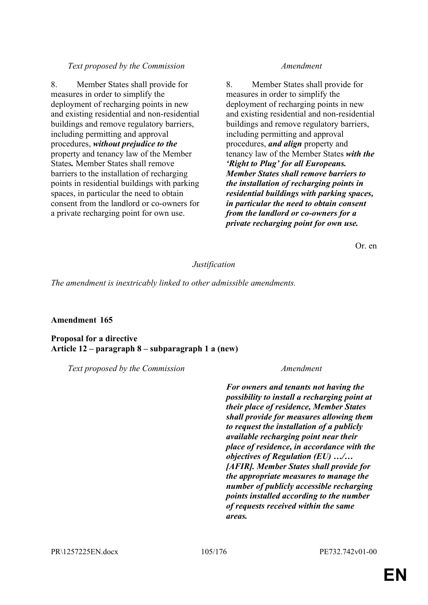### *Text proposed by the Commission Amendment*

8. Member States shall provide for measures in order to simplify the deployment of recharging points in new and existing residential and non-residential buildings and remove regulatory barriers, including permitting and approval procedures, *without prejudice to the* property and tenancy law of the Member States*.* Member States shall remove barriers to the installation of recharging points in residential buildings with parking spaces, in particular the need to obtain consent from the landlord or co-owners for a private recharging point for own use.

8. Member States shall provide for measures in order to simplify the deployment of recharging points in new and existing residential and non-residential buildings and remove regulatory barriers, including permitting and approval procedures, *and align* property and tenancy law of the Member States *with the 'Right to Plug' for all Europeans. Member States shall remove barriers to the installation of recharging points in residential buildings with parking spaces, in particular the need to obtain consent from the landlord or co-owners for a private recharging point for own use.*

Or. en

### *Justification*

*The amendment is inextricably linked to other admissible amendments.*

#### **Amendment 165**

**Proposal for a directive Article 12 – paragraph 8 – subparagraph 1 a (new)**

*Text proposed by the Commission Amendment*

*For owners and tenants not having the possibility to install a recharging point at their place of residence, Member States shall provide for measures allowing them to request the installation of a publicly available recharging point near their place of residence, in accordance with the objectives of Regulation (EU) …/… [AFIR]. Member States shall provide for the appropriate measures to manage the number of publicly accessible recharging points installed according to the number of requests received within the same areas.*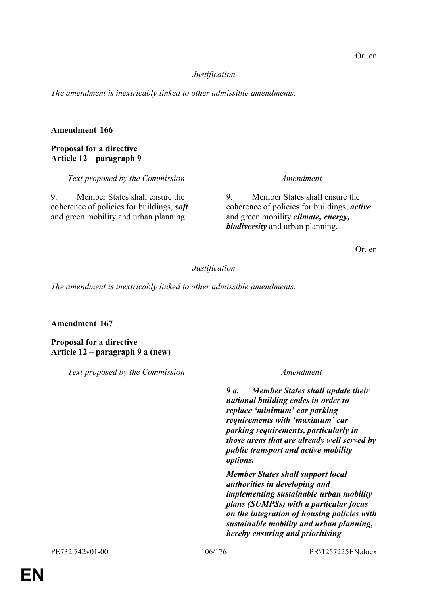### *Justification*

*The amendment is inextricably linked to other admissible amendments.*

### **Amendment 166**

### **Proposal for a directive Article 12 – paragraph 9**

*Text proposed by the Commission Amendment*

9. Member States shall ensure the coherence of policies for buildings, *soft* and green mobility and urban planning.

9. Member States shall ensure the coherence of policies for buildings, *active* and green mobility *climate, energy, biodiversity* and urban planning.

Or. en

### *Justification*

*The amendment is inextricably linked to other admissible amendments.*

#### **Amendment 167**

**Proposal for a directive Article 12 – paragraph 9 a (new)**

*Text proposed by the Commission Amendment*

*9 a. Member States shall update their national building codes in order to replace 'minimum' car parking requirements with 'maximum' car parking requirements, particularly in those areas that are already well served by public transport and active mobility options.*

*Member States shall support local authorities in developing and implementing sustainable urban mobility plans (SUMPSs) with a particular focus on the integration of housing policies with sustainable mobility and urban planning, hereby ensuring and prioritising*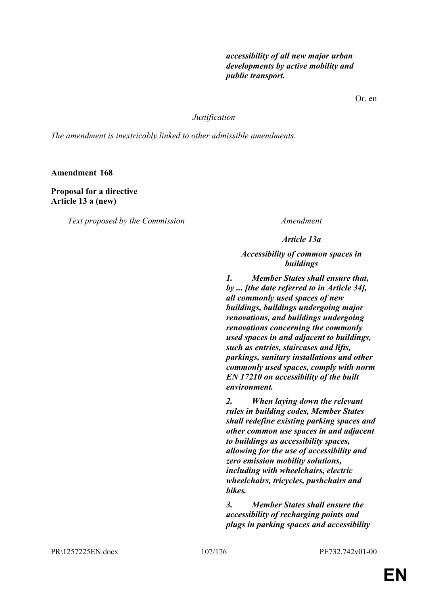*accessibility of all new major urban developments by active mobility and public transport.*

Or. en

*Justification*

*The amendment is inextricably linked to other admissible amendments.*

**Amendment 168**

**Proposal for a directive Article 13 a (new)**

*Text proposed by the Commission Amendment*

*Article 13a*

*Accessibility of common spaces in buildings*

*1. Member States shall ensure that, by ... [the date referred to in Article 34], all commonly used spaces of new buildings, buildings undergoing major renovations, and buildings undergoing renovations concerning the commonly used spaces in and adjacent to buildings, such as entries, staircases and lifts, parkings, sanitary installations and other commonly used spaces, comply with norm EN 17210 on accessibility of the built environment.* 

*2. When laying down the relevant rules in building codes, Member States shall redefine existing parking spaces and other common use spaces in and adjacent to buildings as accessibility spaces, allowing for the use of accessibility and zero emission mobility solutions, including with wheelchairs, electric wheelchairs, tricycles, pushchairs and bikes.*

*3. Member States shall ensure the accessibility of recharging points and plugs in parking spaces and accessibility*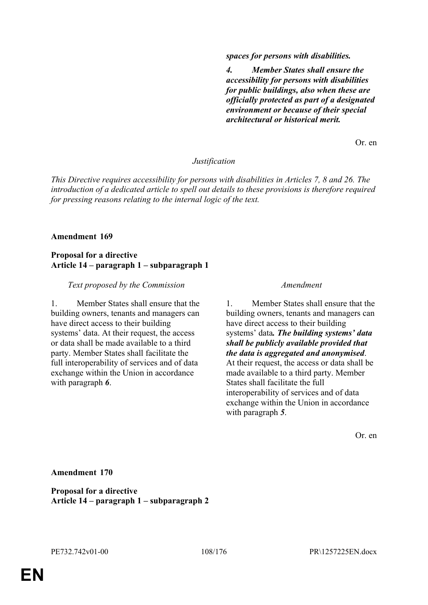*spaces for persons with disabilities.*

*4. Member States shall ensure the accessibility for persons with disabilities for public buildings, also when these are officially protected as part of a designated environment or because of their special architectural or historical merit.*

Or. en

#### *Justification*

*This Directive requires accessibility for persons with disabilities in Articles 7, 8 and 26. The introduction of a dedicated article to spell out details to these provisions is therefore required for pressing reasons relating to the internal logic of the text.*

#### **Amendment 169**

#### **Proposal for a directive Article 14 – paragraph 1 – subparagraph 1**

#### *Text proposed by the Commission Amendment*

1. Member States shall ensure that the building owners, tenants and managers can have direct access to their building systems' data. At their request, the access or data shall be made available to a third party. Member States shall facilitate the full interoperability of services and of data exchange within the Union in accordance with paragraph *6*.

1. Member States shall ensure that the building owners, tenants and managers can have direct access to their building systems' data*. The building systems' data shall be publicly available provided that the data is aggregated and anonymised*. At their request, the access or data shall be made available to a third party. Member States shall facilitate the full interoperability of services and of data exchange within the Union in accordance with paragraph *5*.

Or. en

**Amendment 170**

**Proposal for a directive Article 14 – paragraph 1 – subparagraph 2**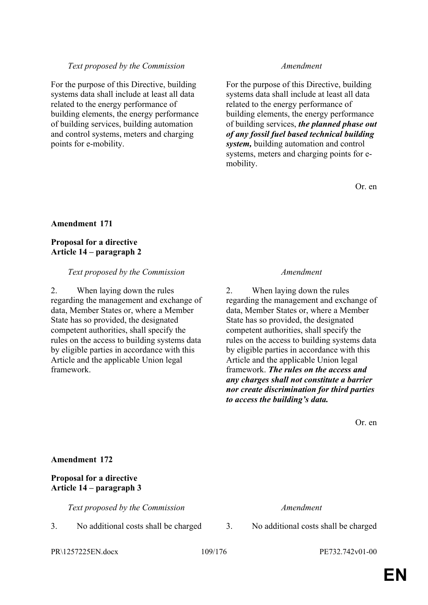# *Text proposed by the Commission Amendment*

For the purpose of this Directive, building systems data shall include at least all data related to the energy performance of building elements, the energy performance of building services, building automation and control systems, meters and charging points for e-mobility.

For the purpose of this Directive, building systems data shall include at least all data related to the energy performance of building elements, the energy performance of building services, *the planned phase out of any fossil fuel based technical building system,* building automation and control systems, meters and charging points for emobility.

Or. en

# **Amendment 171**

# **Proposal for a directive Article 14 – paragraph 2**

### *Text proposed by the Commission Amendment*

2. When laying down the rules regarding the management and exchange of data, Member States or, where a Member State has so provided, the designated competent authorities, shall specify the rules on the access to building systems data by eligible parties in accordance with this Article and the applicable Union legal framework.

2. When laying down the rules regarding the management and exchange of data, Member States or, where a Member State has so provided, the designated competent authorities, shall specify the rules on the access to building systems data by eligible parties in accordance with this Article and the applicable Union legal framework. *The rules on the access and any charges shall not constitute a barrier nor create discrimination for third parties to access the building's data.*

Or. en

# **Amendment 172**

# **Proposal for a directive Article 14 – paragraph 3**

*Text proposed by the Commission Amendment*

3. No additional costs shall be charged 3. No additional costs shall be charged

PR\1257225EN.docx 109/176 PE732.742v01-00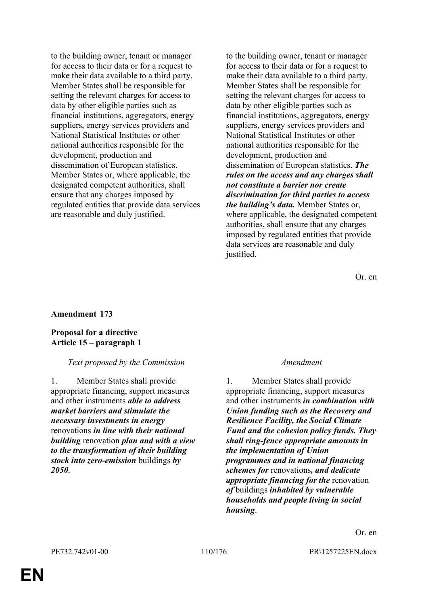to the building owner, tenant or manager for access to their data or for a request to make their data available to a third party. Member States shall be responsible for setting the relevant charges for access to data by other eligible parties such as financial institutions, aggregators, energy suppliers, energy services providers and National Statistical Institutes or other national authorities responsible for the development, production and dissemination of European statistics. Member States or, where applicable, the designated competent authorities, shall ensure that any charges imposed by regulated entities that provide data services are reasonable and duly justified.

to the building owner, tenant or manager for access to their data or for a request to make their data available to a third party. Member States shall be responsible for setting the relevant charges for access to data by other eligible parties such as financial institutions, aggregators, energy suppliers, energy services providers and National Statistical Institutes or other national authorities responsible for the development, production and dissemination of European statistics. *The rules on the access and any charges shall not constitute a barrier nor create discrimination for third parties to access the building's data.* Member States or, where applicable, the designated competent authorities, shall ensure that any charges imposed by regulated entities that provide data services are reasonable and duly justified.

Or. en

# **Amendment 173**

### **Proposal for a directive Article 15 – paragraph 1**

### *Text proposed by the Commission Amendment*

1. Member States shall provide appropriate financing, support measures and other instruments *able to address market barriers and stimulate the necessary investments in energy* renovations *in line with their national building* renovation *plan and with a view to the transformation of their building stock into zero-emission* buildings *by 2050*.

1. Member States shall provide appropriate financing, support measures and other instruments *in combination with Union funding such as the Recovery and Resilience Facility, the Social Climate Fund and the cohesion policy funds. They shall ring-fence appropriate amounts in the implementation of Union programmes and in national financing schemes for* renovations*, and dedicate appropriate financing for the* renovation *of* buildings *inhabited by vulnerable households and people living in social housing*.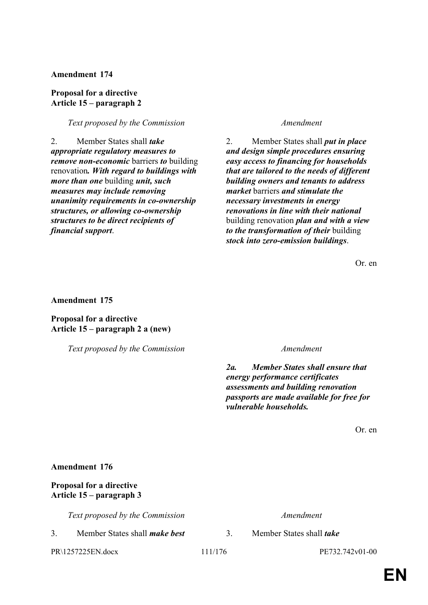# **Proposal for a directive Article 15 – paragraph 2**

### *Text proposed by the Commission Amendment*

2. Member States shall *take appropriate regulatory measures to remove non-economic* barriers *to* building renovation*. With regard to buildings with more than one* building *unit, such measures may include removing unanimity requirements in co-ownership structures, or allowing co-ownership structures to be direct recipients of financial support*.

2. Member States shall *put in place and design simple procedures ensuring easy access to financing for households that are tailored to the needs of different building owners and tenants to address market* barriers *and stimulate the necessary investments in energy renovations in line with their national* building renovation *plan and with a view to the transformation of their* building *stock into zero-emission buildings*.

Or. en

**Amendment 175**

**Proposal for a directive Article 15 – paragraph 2 a (new)**

*Text proposed by the Commission Amendment*

*2a. Member States shall ensure that energy performance certificates assessments and building renovation passports are made available for free for vulnerable households.*

Or. en

### **Amendment 176**

# **Proposal for a directive Article 15 – paragraph 3**

*Text proposed by the Commission Amendment*

3. Member States shall *make best* 3. Member States shall *take* 

PR\1257225EN.docx 111/176 PE732.742v01-00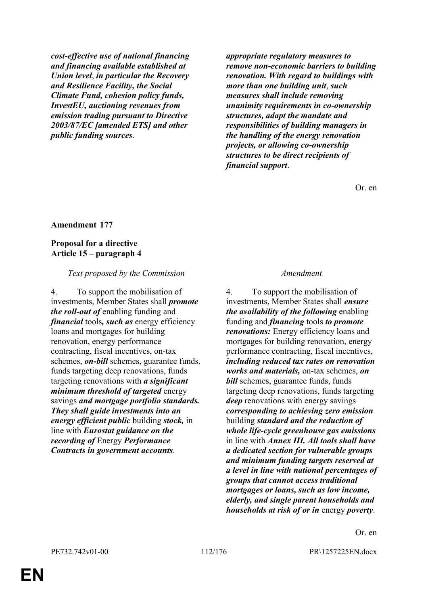*cost-effective use of national financing and financing available established at Union level*, *in particular the Recovery and Resilience Facility, the Social Climate Fund, cohesion policy funds, InvestEU, auctioning revenues from emission trading pursuant to Directive 2003/87/EC [amended ETS] and other public funding sources*.

*appropriate regulatory measures to remove non-economic barriers to building renovation. With regard to buildings with more than one building unit*, *such measures shall include removing unanimity requirements in co-ownership structures, adapt the mandate and responsibilities of building managers in the handling of the energy renovation projects, or allowing co-ownership structures to be direct recipients of financial support*.

Or. en

### **Amendment 177**

### **Proposal for a directive Article 15 – paragraph 4**

### *Text proposed by the Commission Amendment*

4. To support the mobilisation of investments, Member States shall *promote the roll-out of* enabling funding and *financial* tools*, such as* energy efficiency loans and mortgages for building renovation, energy performance contracting, fiscal incentives, on-tax schemes, *on-bill* schemes, guarantee funds, funds targeting deep renovations, funds targeting renovations with *a significant minimum threshold of targeted* energy savings *and mortgage portfolio standards. They shall guide investments into an energy efficient public* building *stock,* in line with *Eurostat guidance on the recording of* Energy *Performance Contracts in government accounts*.

4. To support the mobilisation of investments, Member States shall *ensure the availability of the following* enabling funding and *financing* tools *to promote renovations:* Energy efficiency loans and mortgages for building renovation, energy performance contracting, fiscal incentives, *including reduced tax rates on renovation works and materials,* on-tax schemes, *on bill* schemes, guarantee funds, funds targeting deep renovations, funds targeting *deep* renovations with energy savings *corresponding to achieving zero emission* building *standard and the reduction of whole life-cycle greenhouse gas emissions* in line with *Annex III. All tools shall have a dedicated section for vulnerable groups and minimum funding targets reserved at a level in line with national percentages of groups that cannot access traditional mortgages or loans, such as low income, elderly, and single parent households and households at risk of or in* energy *poverty*.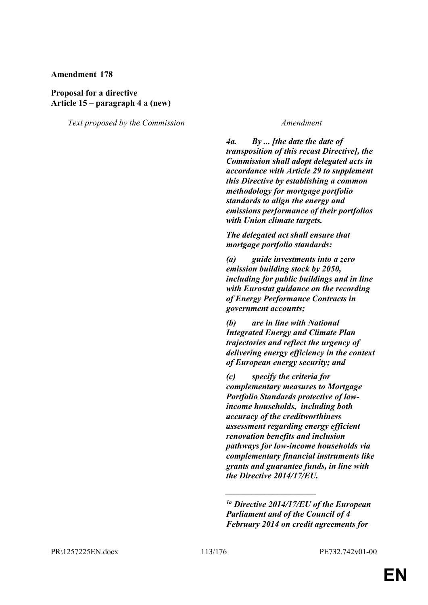# **Proposal for a directive Article 15 – paragraph 4 a (new)**

*Text proposed by the Commission Amendment*

*4a. By ... [the date the date of transposition of this recast Directive], the Commission shall adopt delegated acts in accordance with Article 29 to supplement this Directive by establishing a common methodology for mortgage portfolio standards to align the energy and emissions performance of their portfolios with Union climate targets.*

*The delegated act shall ensure that mortgage portfolio standards:*

*(a) guide investments into a zero emission building stock by 2050, including for public buildings and in line with Eurostat guidance on the recording of Energy Performance Contracts in government accounts;*

*(b) are in line with National Integrated Energy and Climate Plan trajectories and reflect the urgency of delivering energy efficiency in the context of European energy security; and*

*(c) specify the criteria for complementary measures to Mortgage Portfolio Standards protective of lowincome households, including both accuracy of the creditworthiness assessment regarding energy efficient renovation benefits and inclusion pathways for low-income households via complementary financial instruments like grants and guarantee funds, in line with the Directive 2014/17/EU.*

*\_\_\_\_\_\_\_\_\_\_\_\_\_\_\_\_\_\_\_\_\_*

*<sup>1</sup>a Directive 2014/17/EU of the European Parliament and of the Council of 4 February 2014 on credit agreements for*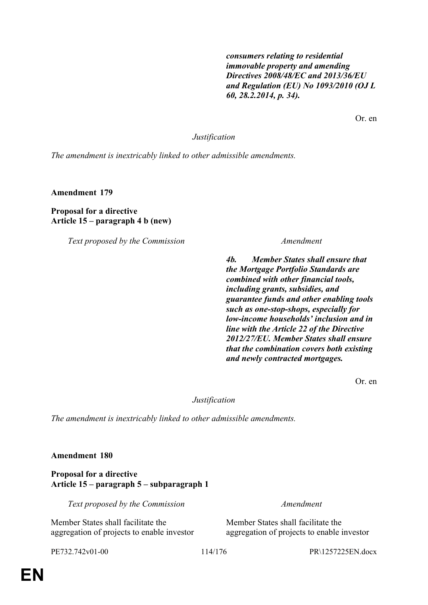*consumers relating to residential immovable property and amending Directives 2008/48/EC and 2013/36/EU and Regulation (EU) No 1093/2010 (OJ L 60, 28.2.2014, p. 34).*

Or. en

*Justification*

*The amendment is inextricably linked to other admissible amendments.*

**Amendment 179**

**Proposal for a directive Article 15 – paragraph 4 b (new)**

*Text proposed by the Commission Amendment*

*4b. Member States shall ensure that the Mortgage Portfolio Standards are combined with other financial tools, including grants, subsidies, and guarantee funds and other enabling tools such as one-stop-shops, especially for low-income households' inclusion and in line with the Article 22 of the Directive 2012/27/EU. Member States shall ensure that the combination covers both existing and newly contracted mortgages.*

Or. en

*Justification*

*The amendment is inextricably linked to other admissible amendments.*

**Amendment 180**

**Proposal for a directive Article 15 – paragraph 5 – subparagraph 1**

*Text proposed by the Commission Amendment*

Member States shall facilitate the aggregation of projects to enable investor

Member States shall facilitate the aggregation of projects to enable investor

PE732.742v01-00 114/176 PR\1257225EN.docx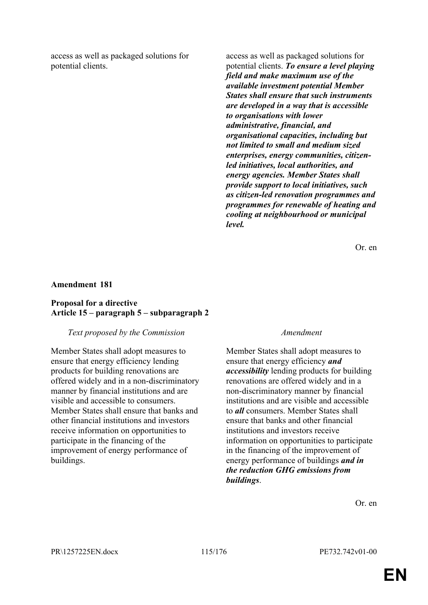access as well as packaged solutions for potential clients.

access as well as packaged solutions for potential clients. *To ensure a level playing field and make maximum use of the available investment potential Member States shall ensure that such instruments are developed in a way that is accessible to organisations with lower administrative, financial, and organisational capacities, including but not limited to small and medium sized enterprises, energy communities, citizenled initiatives, local authorities, and energy agencies. Member States shall provide support to local initiatives, such as citizen-led renovation programmes and programmes for renewable of heating and cooling at neighbourhood or municipal level.*

Or. en

### **Amendment 181**

## **Proposal for a directive Article 15 – paragraph 5 – subparagraph 2**

### *Text proposed by the Commission Amendment*

Member States shall adopt measures to ensure that energy efficiency lending products for building renovations are offered widely and in a non-discriminatory manner by financial institutions and are visible and accessible to consumers. Member States shall ensure that banks and other financial institutions and investors receive information on opportunities to participate in the financing of the improvement of energy performance of buildings.

Member States shall adopt measures to ensure that energy efficiency *and accessibility* lending products for building renovations are offered widely and in a non-discriminatory manner by financial institutions and are visible and accessible to *all* consumers. Member States shall ensure that banks and other financial institutions and investors receive information on opportunities to participate in the financing of the improvement of energy performance of buildings *and in the reduction GHG emissions from buildings*.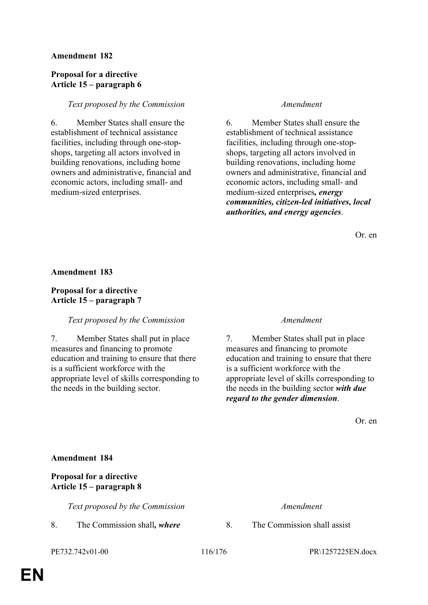# **Proposal for a directive Article 15 – paragraph 6**

### *Text proposed by the Commission Amendment*

6. Member States shall ensure the establishment of technical assistance facilities, including through one-stopshops, targeting all actors involved in building renovations, including home owners and administrative, financial and economic actors, including small- and medium-sized enterprises.

6. Member States shall ensure the establishment of technical assistance facilities, including through one-stopshops, targeting all actors involved in building renovations, including home owners and administrative, financial and economic actors, including small- and medium-sized enterprises*, energy communities, citizen-led initiatives, local authorities, and energy agencies*.

Or. en

### **Amendment 183**

# **Proposal for a directive Article 15 – paragraph 7**

### *Text proposed by the Commission Amendment*

7. Member States shall put in place measures and financing to promote education and training to ensure that there is a sufficient workforce with the appropriate level of skills corresponding to the needs in the building sector.

7. Member States shall put in place measures and financing to promote education and training to ensure that there is a sufficient workforce with the appropriate level of skills corresponding to the needs in the building sector *with due regard to the gender dimension*.

Or. en

### **Amendment 184**

# **Proposal for a directive Article 15 – paragraph 8**

*Text proposed by the Commission Amendment*

8. The Commission shall*, where* 8. The Commission shall assist

PE732.742v01-00 116/176 PR\1257225EN.docx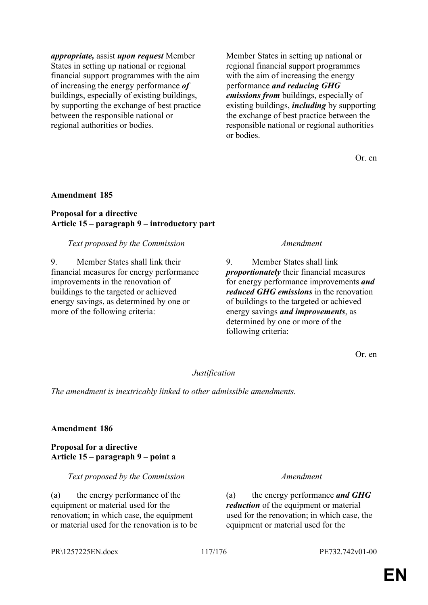*appropriate,* assist *upon request* Member States in setting up national or regional financial support programmes with the aim of increasing the energy performance *of* buildings, especially of existing buildings, by supporting the exchange of best practice between the responsible national or regional authorities or bodies.

Member States in setting up national or regional financial support programmes with the aim of increasing the energy performance *and reducing GHG emissions from* buildings, especially of existing buildings, *including* by supporting the exchange of best practice between the responsible national or regional authorities or bodies.

Or. en

### **Amendment 185**

### **Proposal for a directive Article 15 – paragraph 9 – introductory part**

### *Text proposed by the Commission Amendment*

9. Member States shall link their financial measures for energy performance improvements in the renovation of buildings to the targeted or achieved energy savings, as determined by one or more of the following criteria:

9. Member States shall link *proportionately* their financial measures for energy performance improvements *and reduced GHG emissions* in the renovation of buildings to the targeted or achieved energy savings *and improvements*, as determined by one or more of the following criteria:

Or. en

# *Justification*

*The amendment is inextricably linked to other admissible amendments.*

### **Amendment 186**

# **Proposal for a directive Article 15 – paragraph 9 – point a**

*Text proposed by the Commission Amendment*

(a) the energy performance of the equipment or material used for the renovation; in which case, the equipment or material used for the renovation is to be

(a) the energy performance *and GHG reduction* of the equipment or material used for the renovation; in which case, the equipment or material used for the

### PR\1257225EN.docx 117/176 PE732.742v01-00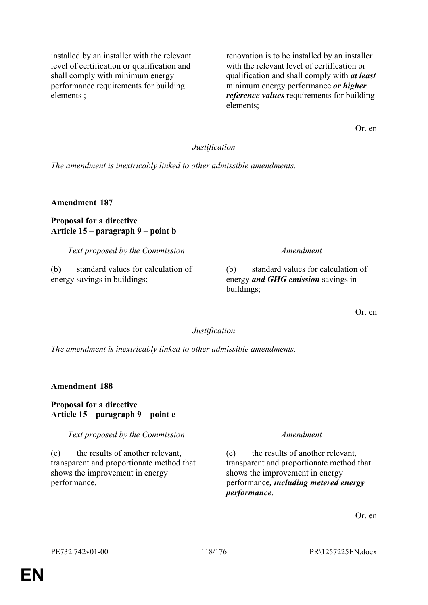installed by an installer with the relevant level of certification or qualification and shall comply with minimum energy performance requirements for building elements ;

renovation is to be installed by an installer with the relevant level of certification or qualification and shall comply with *at least* minimum energy performance *or higher reference values* requirements for building elements;

Or. en

# *Justification*

*The amendment is inextricably linked to other admissible amendments.*

**Amendment 187**

# **Proposal for a directive Article 15 – paragraph 9 – point b**

*Text proposed by the Commission Amendment*

(b) standard values for calculation of energy savings in buildings;

(b) standard values for calculation of energy *and GHG emission* savings in buildings;

Or. en

# *Justification*

*The amendment is inextricably linked to other admissible amendments.*

**Amendment 188**

# **Proposal for a directive Article 15 – paragraph 9 – point e**

*Text proposed by the Commission Amendment*

(e) the results of another relevant, transparent and proportionate method that shows the improvement in energy performance.

(e) the results of another relevant, transparent and proportionate method that shows the improvement in energy performance*, including metered energy performance*.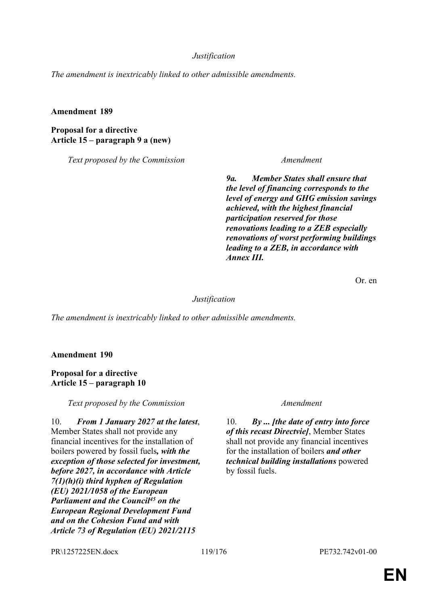### *Justification*

*The amendment is inextricably linked to other admissible amendments.*

### **Amendment 189**

**Proposal for a directive Article 15 – paragraph 9 a (new)**

*Text proposed by the Commission Amendment*

*9a. Member States shall ensure that the level of financing corresponds to the level of energy and GHG emission savings achieved, with the highest financial participation reserved for those renovations leading to a ZEB especially renovations of worst performing buildings leading to a ZEB, in accordance with Annex III.*

Or. en

### *Justification*

*The amendment is inextricably linked to other admissible amendments.*

**Amendment 190**

**Proposal for a directive Article 15 – paragraph 10**

*Text proposed by the Commission Amendment*

10. *From 1 January 2027 at the latest*, Member States shall not provide any financial incentives for the installation of boilers powered by fossil fuels*, with the exception of those selected for investment, before 2027, in accordance with Article 7(1)(h)(i) third hyphen of Regulation (EU) 2021/1058 of the European Parliament and the Council<sup>45</sup> on the European Regional Development Fund and on the Cohesion Fund and with Article 73 of Regulation (EU) 2021/2115* 

10. *By ... [the date of entry into force of this recast Directvie]*, Member States shall not provide any financial incentives for the installation of boilers *and other technical building installations* powered by fossil fuels.

PR\1257225EN.docx 119/176 PE732.742v01-00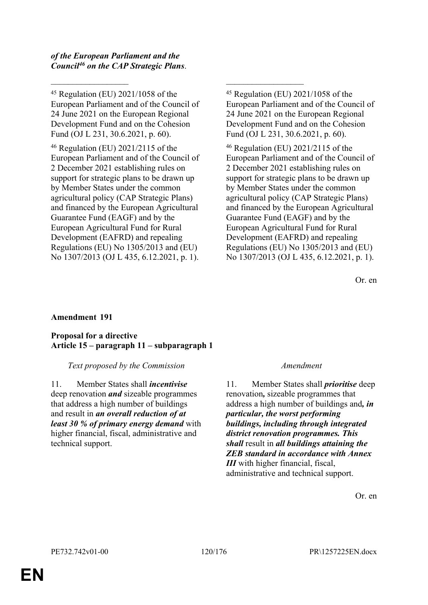*of the European Parliament and the Council<sup>46</sup> on the CAP Strategic Plans*.

<sup>45</sup> Regulation (EU) 2021/1058 of the European Parliament and of the Council of 24 June 2021 on the European Regional Development Fund and on the Cohesion Fund (OJ L 231, 30.6.2021, p. 60).

 $\mathcal{L}_\text{max}$  , and the contract of the contract of the contract of the contract of the contract of the contract of

<sup>46</sup> Regulation (EU) 2021/2115 of the European Parliament and of the Council of 2 December 2021 establishing rules on support for strategic plans to be drawn up by Member States under the common agricultural policy (CAP Strategic Plans) and financed by the European Agricultural Guarantee Fund (EAGF) and by the European Agricultural Fund for Rural Development (EAFRD) and repealing Regulations (EU) No 1305/2013 and (EU) No 1307/2013 (OJ L 435, 6.12.2021, p. 1).

<sup>45</sup> Regulation (EU) 2021/1058 of the European Parliament and of the Council of 24 June 2021 on the European Regional Development Fund and on the Cohesion Fund (OJ L 231, 30.6.2021, p. 60).

<sup>46</sup> Regulation (EU) 2021/2115 of the European Parliament and of the Council of 2 December 2021 establishing rules on support for strategic plans to be drawn up by Member States under the common agricultural policy (CAP Strategic Plans) and financed by the European Agricultural Guarantee Fund (EAGF) and by the European Agricultural Fund for Rural Development (EAFRD) and repealing Regulations (EU) No 1305/2013 and (EU) No 1307/2013 (OJ L 435, 6.12.2021, p. 1).

Or. en

# **Amendment 191**

# **Proposal for a directive Article 15 – paragraph 11 – subparagraph 1**

# *Text proposed by the Commission Amendment*

11. Member States shall *incentivise* deep renovation *and* sizeable programmes that address a high number of buildings and result in *an overall reduction of at least 30 % of primary energy demand* with higher financial, fiscal, administrative and technical support.

11. Member States shall *prioritise* deep renovation*,* sizeable programmes that address a high number of buildings and*, in particular, the worst performing buildings, including through integrated district renovation programmes. This shall* result in *all buildings attaining the ZEB standard in accordance with Annex III* with higher financial, fiscal, administrative and technical support.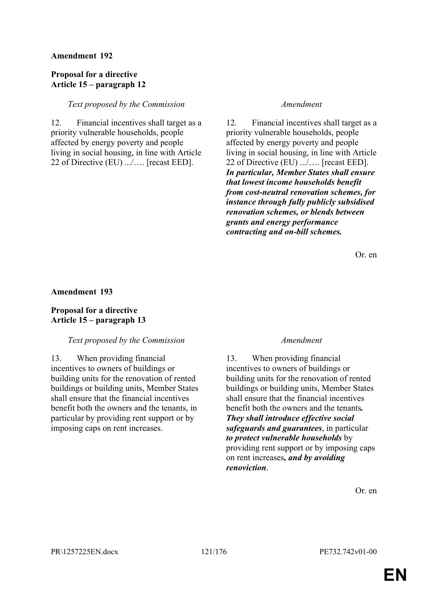# **Proposal for a directive Article 15 – paragraph 12**

# *Text proposed by the Commission Amendment*

12. Financial incentives shall target as a priority vulnerable households, people affected by energy poverty and people living in social housing, in line with Article 22 of Directive (EU) .../…. [recast EED].

12. Financial incentives shall target as a priority vulnerable households, people affected by energy poverty and people living in social housing, in line with Article 22 of Directive (EU) .../…. [recast EED]. *In particular, Member States shall ensure that lowest income households benefit from cost-neutral renovation schemes, for instance through fully publicly subsidised renovation schemes, or blends between grants and energy performance contracting and on-bill schemes.* 

Or. en

# **Amendment 193**

# **Proposal for a directive Article 15 – paragraph 13**

# *Text proposed by the Commission Amendment*

13. When providing financial incentives to owners of buildings or building units for the renovation of rented buildings or building units, Member States shall ensure that the financial incentives benefit both the owners and the tenants, in particular by providing rent support or by imposing caps on rent increases.

13. When providing financial incentives to owners of buildings or building units for the renovation of rented buildings or building units, Member States shall ensure that the financial incentives benefit both the owners and the tenants*. They shall introduce effective social safeguards and guarantees*, in particular *to protect vulnerable households* by providing rent support or by imposing caps on rent increases*, and by avoiding renoviction*.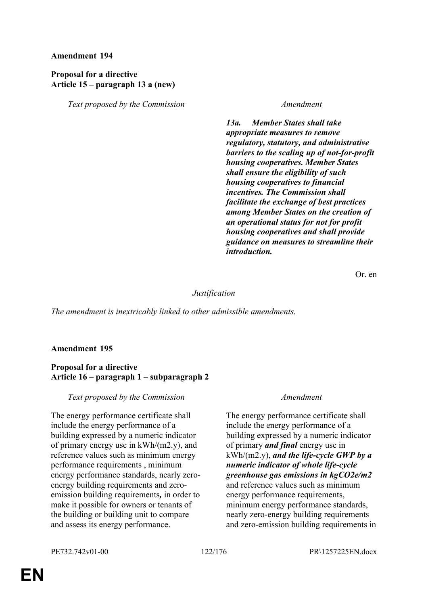# **Proposal for a directive Article 15 – paragraph 13 a (new)**

*Text proposed by the Commission Amendment*

*13a. Member States shall take appropriate measures to remove regulatory, statutory, and administrative barriers to the scaling up of not-for-profit housing cooperatives. Member States shall ensure the eligibility of such housing cooperatives to financial incentives. The Commission shall facilitate the exchange of best practices among Member States on the creation of an operational status for not for profit housing cooperatives and shall provide guidance on measures to streamline their introduction.*

Or. en

### *Justification*

*The amendment is inextricably linked to other admissible amendments.*

# **Amendment 195**

# **Proposal for a directive Article 16 – paragraph 1 – subparagraph 2**

*Text proposed by the Commission Amendment*

The energy performance certificate shall include the energy performance of a building expressed by a numeric indicator of primary energy use in kWh/(m2.y), and reference values such as minimum energy performance requirements , minimum energy performance standards, nearly zeroenergy building requirements and zeroemission building requirements*,* in order to make it possible for owners or tenants of the building or building unit to compare and assess its energy performance.

The energy performance certificate shall include the energy performance of a building expressed by a numeric indicator of primary *and final* energy use in kWh/(m2.y), *and the life-cycle GWP by a numeric indicator of whole life-cycle greenhouse gas emissions in kgCO2e/m2* and reference values such as minimum energy performance requirements, minimum energy performance standards, nearly zero-energy building requirements and zero-emission building requirements in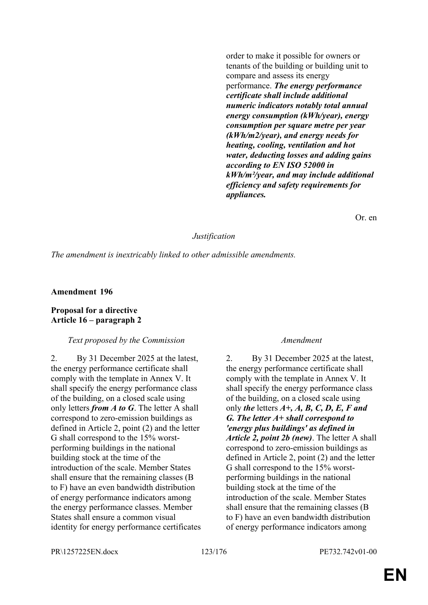order to make it possible for owners or tenants of the building or building unit to compare and assess its energy performance. *The energy performance certificate shall include additional numeric indicators notably total annual energy consumption (kWh/year), energy consumption per square metre per year (kWh/m2/year), and energy needs for heating, cooling, ventilation and hot water, deducting losses and adding gains according to EN ISO 52000 in kWh/m²/year, and may include additional efficiency and safety requirements for appliances.*

Or. en

### *Justification*

*The amendment is inextricably linked to other admissible amendments.*

### **Amendment 196**

### **Proposal for a directive Article 16 – paragraph 2**

### *Text proposed by the Commission Amendment*

2. By 31 December 2025 at the latest, the energy performance certificate shall comply with the template in Annex V. It shall specify the energy performance class of the building, on a closed scale using only letters *from A to G*. The letter A shall correspond to zero-emission buildings as defined in Article 2, point (2) and the letter G shall correspond to the 15% worstperforming buildings in the national building stock at the time of the introduction of the scale. Member States shall ensure that the remaining classes (B to F) have an even bandwidth distribution of energy performance indicators among the energy performance classes. Member States shall ensure a common visual identity for energy performance certificates

2. By 31 December 2025 at the latest, the energy performance certificate shall comply with the template in Annex V. It shall specify the energy performance class of the building, on a closed scale using only *the* letters *A+, A, B, C, D, E, F and G. The letter A+ shall correspond to 'energy plus buildings' as defined in Article 2, point 2b (new)*. The letter A shall correspond to zero-emission buildings as defined in Article 2, point (2) and the letter G shall correspond to the 15% worstperforming buildings in the national building stock at the time of the introduction of the scale. Member States shall ensure that the remaining classes (B to F) have an even bandwidth distribution of energy performance indicators among

PR\1257225EN.docx 123/176 PE732.742v01-00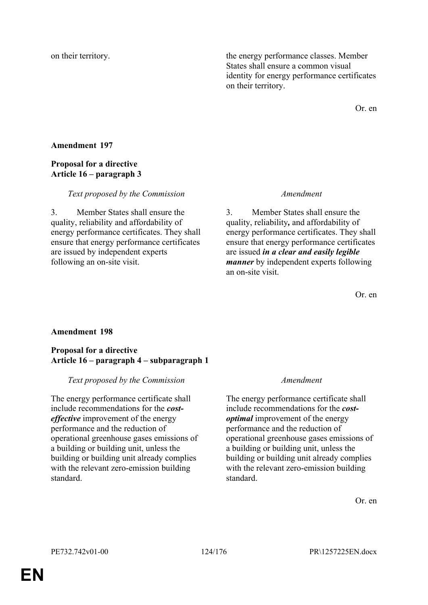on their territory. the energy performance classes. Member States shall ensure a common visual identity for energy performance certificates on their territory.

Or. en

# **Amendment 197**

# **Proposal for a directive Article 16 – paragraph 3**

### *Text proposed by the Commission Amendment*

3. Member States shall ensure the quality, reliability and affordability of energy performance certificates. They shall ensure that energy performance certificates are issued by independent experts following an on-site visit.

3. Member States shall ensure the quality, reliability*,* and affordability of energy performance certificates. They shall ensure that energy performance certificates are issued *in a clear and easily legible manner* by independent experts following an on-site visit.

Or. en

# **Amendment 198**

# **Proposal for a directive Article 16 – paragraph 4 – subparagraph 1**

# *Text proposed by the Commission Amendment*

The energy performance certificate shall include recommendations for the *costeffective* improvement of the energy performance and the reduction of operational greenhouse gases emissions of a building or building unit, unless the building or building unit already complies with the relevant zero-emission building standard.

The energy performance certificate shall include recommendations for the *costoptimal* improvement of the energy performance and the reduction of operational greenhouse gases emissions of a building or building unit, unless the building or building unit already complies with the relevant zero-emission building standard.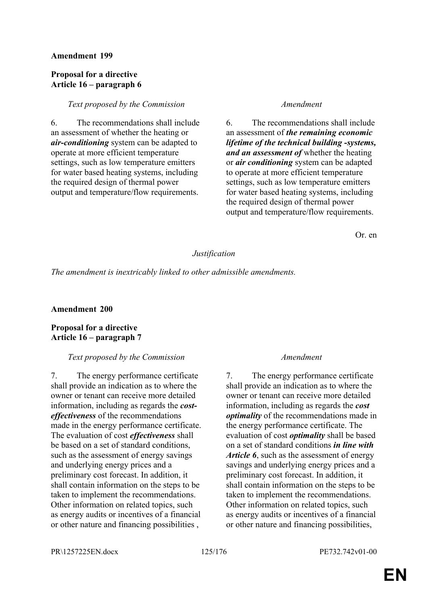# **Proposal for a directive Article 16 – paragraph 6**

# *Text proposed by the Commission Amendment*

6. The recommendations shall include an assessment of whether the heating or *air-conditioning* system can be adapted to operate at more efficient temperature settings, such as low temperature emitters for water based heating systems, including the required design of thermal power output and temperature/flow requirements.

6. The recommendations shall include an assessment of *the remaining economic lifetime of the technical building -systems, and an assessment of* whether the heating or *air conditioning* system can be adapted to operate at more efficient temperature settings, such as low temperature emitters for water based heating systems, including the required design of thermal power output and temperature/flow requirements.

Or. en

# *Justification*

*The amendment is inextricably linked to other admissible amendments.*

# **Amendment 200**

# **Proposal for a directive Article 16 – paragraph 7**

# *Text proposed by the Commission Amendment*

7. The energy performance certificate shall provide an indication as to where the owner or tenant can receive more detailed information, including as regards the *costeffectiveness* of the recommendations made in the energy performance certificate. The evaluation of cost *effectiveness* shall be based on a set of standard conditions, such as the assessment of energy savings and underlying energy prices and a preliminary cost forecast. In addition, it shall contain information on the steps to be taken to implement the recommendations. Other information on related topics, such as energy audits or incentives of a financial or other nature and financing possibilities ,

7. The energy performance certificate shall provide an indication as to where the owner or tenant can receive more detailed information, including as regards the *cost optimality* of the recommendations made in the energy performance certificate. The evaluation of cost *optimality* shall be based on a set of standard conditions *in line with Article 6*, such as the assessment of energy savings and underlying energy prices and a preliminary cost forecast. In addition, it shall contain information on the steps to be taken to implement the recommendations. Other information on related topics, such as energy audits or incentives of a financial or other nature and financing possibilities,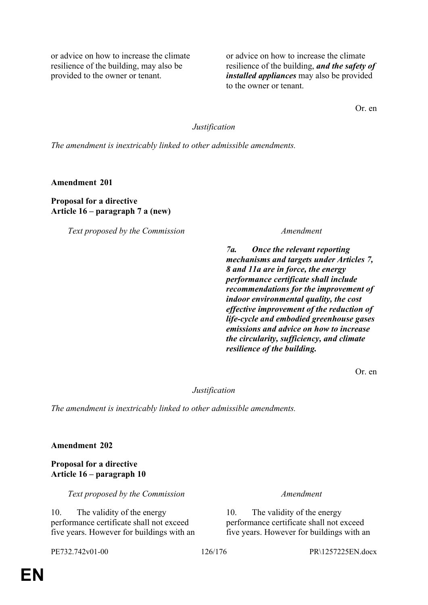or advice on how to increase the climate resilience of the building, may also be provided to the owner or tenant.

or advice on how to increase the climate resilience of the building, *and the safety of installed appliances* may also be provided to the owner or tenant.

Or. en

*Justification*

*The amendment is inextricably linked to other admissible amendments.*

**Amendment 201**

**Proposal for a directive Article 16 – paragraph 7 a (new)**

*Text proposed by the Commission Amendment*

*7a. Once the relevant reporting mechanisms and targets under Articles 7, 8 and 11a are in force, the energy performance certificate shall include recommendations for the improvement of indoor environmental quality, the cost effective improvement of the reduction of life-cycle and embodied greenhouse gases emissions and advice on how to increase the circularity, sufficiency, and climate resilience of the building.*

Or. en

*Justification*

*The amendment is inextricably linked to other admissible amendments.*

**Amendment 202**

**Proposal for a directive Article 16 – paragraph 10**

*Text proposed by the Commission Amendment*

10. The validity of the energy performance certificate shall not exceed five years. However for buildings with an

10. The validity of the energy performance certificate shall not exceed five years. However for buildings with an

PE732.742v01-00 126/176 PR\1257225EN.docx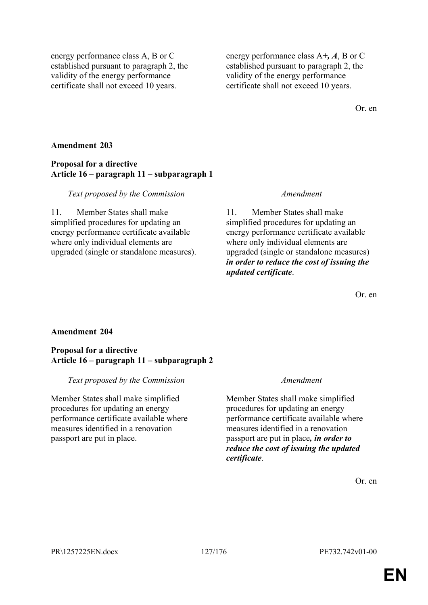energy performance class A, B or C established pursuant to paragraph 2, the validity of the energy performance certificate shall not exceed 10 years.

energy performance class A*+, A*, B or C established pursuant to paragraph 2, the validity of the energy performance certificate shall not exceed 10 years.

Or. en

# **Amendment 203**

# **Proposal for a directive Article 16 – paragraph 11 – subparagraph 1**

### *Text proposed by the Commission Amendment*

11. Member States shall make simplified procedures for updating an energy performance certificate available where only individual elements are upgraded (single or standalone measures).

11. Member States shall make simplified procedures for updating an energy performance certificate available where only individual elements are upgraded (single or standalone measures) *in order to reduce the cost of issuing the updated certificate*.

Or. en

# **Amendment 204**

# **Proposal for a directive Article 16 – paragraph 11 – subparagraph 2**

# *Text proposed by the Commission Amendment*

Member States shall make simplified procedures for updating an energy performance certificate available where measures identified in a renovation passport are put in place.

Member States shall make simplified procedures for updating an energy performance certificate available where measures identified in a renovation passport are put in place*, in order to reduce the cost of issuing the updated certificate*.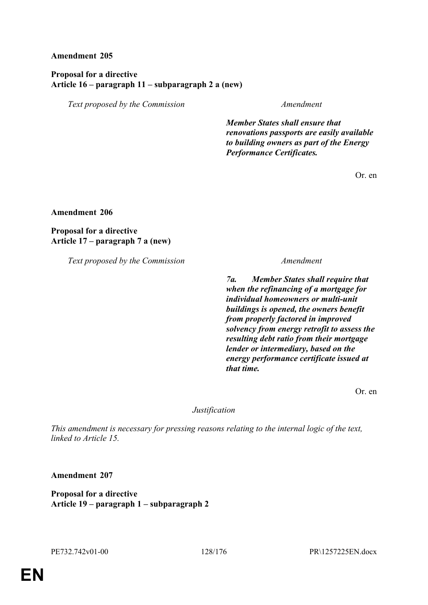# **Proposal for a directive Article 16 – paragraph 11 – subparagraph 2 a (new)**

*Text proposed by the Commission Amendment*

*Member States shall ensure that renovations passports are easily available to building owners as part of the Energy Performance Certificates.*

Or. en

**Amendment 206**

**Proposal for a directive Article 17 – paragraph 7 a (new)**

*Text proposed by the Commission Amendment*

*7a. Member States shall require that when the refinancing of a mortgage for individual homeowners or multi-unit buildings is opened, the owners benefit from properly factored in improved solvency from energy retrofit to assess the resulting debt ratio from their mortgage lender or intermediary, based on the energy performance certificate issued at that time.*

Or. en

# *Justification*

*This amendment is necessary for pressing reasons relating to the internal logic of the text, linked to Article 15.*

**Amendment 207**

**Proposal for a directive Article 19 – paragraph 1 – subparagraph 2**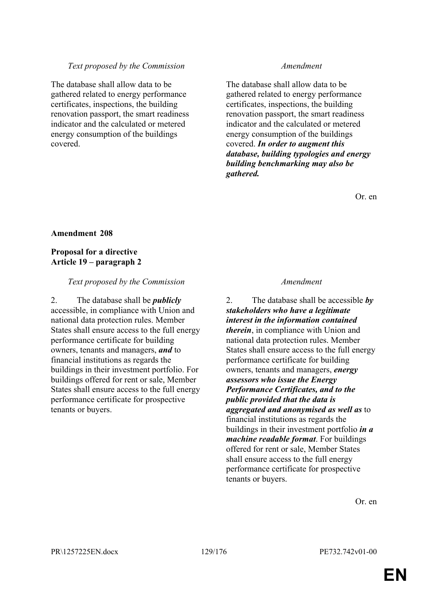# *Text proposed by the Commission Amendment*

The database shall allow data to be gathered related to energy performance certificates, inspections, the building renovation passport, the smart readiness indicator and the calculated or metered energy consumption of the buildings covered.

The database shall allow data to be gathered related to energy performance certificates, inspections, the building renovation passport, the smart readiness indicator and the calculated or metered energy consumption of the buildings covered. *In order to augment this database, building typologies and energy building benchmarking may also be gathered.*

Or. en

# **Amendment 208**

# **Proposal for a directive Article 19 – paragraph 2**

# *Text proposed by the Commission Amendment*

2. The database shall be *publicly* accessible, in compliance with Union and national data protection rules. Member States shall ensure access to the full energy performance certificate for building owners, tenants and managers, *and* to financial institutions as regards the buildings in their investment portfolio. For buildings offered for rent or sale, Member States shall ensure access to the full energy performance certificate for prospective tenants or buyers.

2. The database shall be accessible *by stakeholders who have a legitimate interest in the information contained therein*, in compliance with Union and national data protection rules. Member States shall ensure access to the full energy performance certificate for building owners, tenants and managers, *energy assessors who issue the Energy Performance Certificates, and to the public provided that the data is aggregated and anonymised as well as* to financial institutions as regards the buildings in their investment portfolio *in a machine readable format*. For buildings offered for rent or sale, Member States shall ensure access to the full energy performance certificate for prospective tenants or buyers.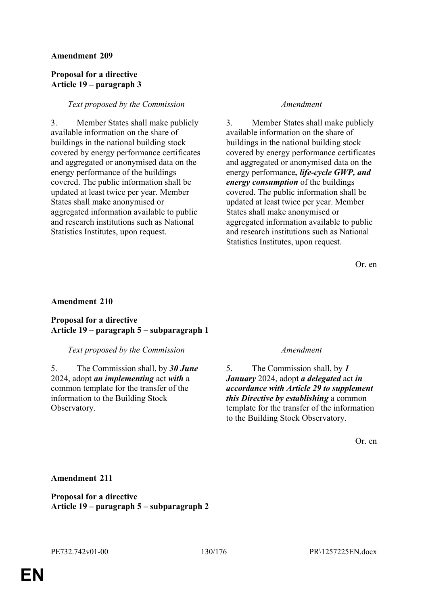# **Proposal for a directive Article 19 – paragraph 3**

# *Text proposed by the Commission Amendment*

3. Member States shall make publicly available information on the share of buildings in the national building stock covered by energy performance certificates and aggregated or anonymised data on the energy performance of the buildings covered. The public information shall be updated at least twice per year. Member States shall make anonymised or aggregated information available to public and research institutions such as National Statistics Institutes, upon request.

3. Member States shall make publicly available information on the share of buildings in the national building stock covered by energy performance certificates and aggregated or anonymised data on the energy performance*, life-cycle GWP, and energy consumption* of the buildings covered. The public information shall be updated at least twice per year. Member States shall make anonymised or aggregated information available to public and research institutions such as National Statistics Institutes, upon request.

Or. en

# **Amendment 210**

# **Proposal for a directive Article 19 – paragraph 5 – subparagraph 1**

# *Text proposed by the Commission Amendment*

5. The Commission shall, by *30 June* 2024, adopt *an implementing* act *with* a common template for the transfer of the information to the Building Stock Observatory.

5. The Commission shall, by *1 January* 2024, adopt *a delegated* act *in accordance with Article 29 to supplement this Directive by establishing* a common template for the transfer of the information to the Building Stock Observatory.

Or. en

# **Amendment 211**

**Proposal for a directive Article 19 – paragraph 5 – subparagraph 2**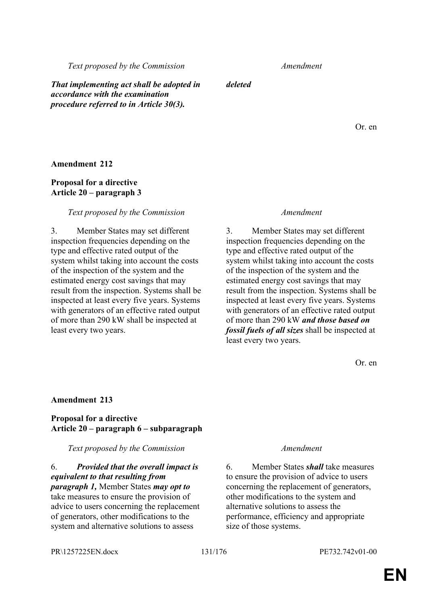**Proposal for a directive**

**Amendment 212**

### **Article 20 – paragraph 3**

### *Text proposed by the Commission Amendment*

3. Member States may set different inspection frequencies depending on the type and effective rated output of the system whilst taking into account the costs of the inspection of the system and the estimated energy cost savings that may result from the inspection. Systems shall be inspected at least every five years. Systems with generators of an effective rated output of more than 290 kW shall be inspected at least every two years.

3. Member States may set different inspection frequencies depending on the type and effective rated output of the system whilst taking into account the costs of the inspection of the system and the estimated energy cost savings that may result from the inspection. Systems shall be inspected at least every five years. Systems with generators of an effective rated output of more than 290 kW *and those based on fossil fuels of all sizes* shall be inspected at least every two years.

Or. en

### **Amendment 213**

### **Proposal for a directive Article 20 – paragraph 6 – subparagraph**

### *Text proposed by the Commission Amendment*

6. *Provided that the overall impact is equivalent to that resulting from paragraph 1,* Member States *may opt to* take measures to ensure the provision of advice to users concerning the replacement of generators, other modifications to the system and alternative solutions to assess

6. Member States *shall* take measures to ensure the provision of advice to users concerning the replacement of generators, other modifications to the system and alternative solutions to assess the performance, efficiency and appropriate size of those systems.

PR\1257225EN.docx 131/176 PE732.742v01-00

*Text proposed by the Commission Amendment*

*That implementing act shall be adopted in accordance with the examination procedure referred to in Article 30(3).*

*deleted*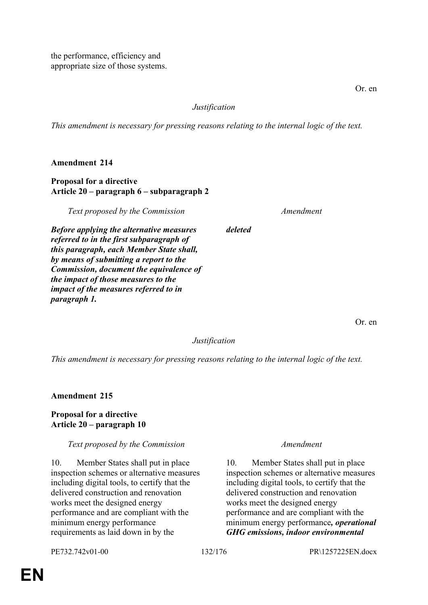the performance, efficiency and appropriate size of those systems.

# *Justification*

*This amendment is necessary for pressing reasons relating to the internal logic of the text.*

**Amendment 214**

# **Proposal for a directive Article 20 – paragraph 6 – subparagraph 2**

*Text proposed by the Commission Amendment*

*Before applying the alternative measures referred to in the first subparagraph of this paragraph, each Member State shall, by means of submitting a report to the Commission, document the equivalence of the impact of those measures to the impact of the measures referred to in paragraph 1.*

Or. en

*Justification*

*deleted*

*This amendment is necessary for pressing reasons relating to the internal logic of the text.*

**Amendment 215**

**Proposal for a directive Article 20 – paragraph 10**

# *Text proposed by the Commission Amendment*

10. Member States shall put in place inspection schemes or alternative measures including digital tools, to certify that the delivered construction and renovation works meet the designed energy performance and are compliant with the minimum energy performance requirements as laid down in by the

10. Member States shall put in place inspection schemes or alternative measures including digital tools, to certify that the delivered construction and renovation works meet the designed energy performance and are compliant with the minimum energy performance*, operational GHG emissions, indoor environmental*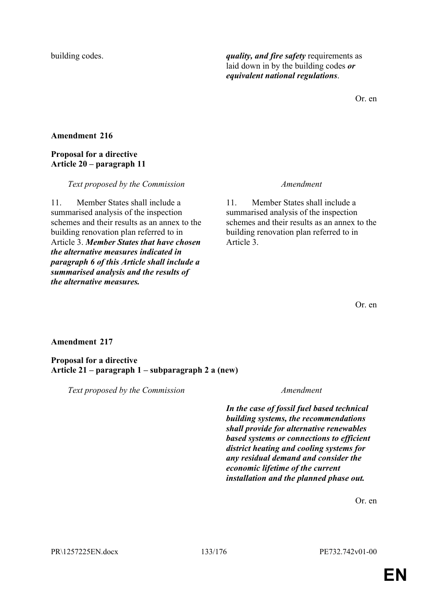PR\1257225EN.docx 133/176 PE732.742v01-00

# **EN**

**Amendment 217**

*the alternative measures.*

**Proposal for a directive Article 21 – paragraph 1 – subparagraph 2 a (new)**

*Text proposed by the Commission Amendment*

*Text proposed by the Commission Amendment*

11. Member States shall include a summarised analysis of the inspection schemes and their results as an annex to the building renovation plan referred to in Article 3.

Or. en

building codes. *quality, and fire safety* requirements as laid down in by the building codes *or equivalent national regulations*.

**Amendment 216**

**Proposal for a directive Article 20 – paragraph 11**

11. Member States shall include a summarised analysis of the inspection schemes and their results as an annex to the building renovation plan referred to in Article 3. *Member States that have chosen the alternative measures indicated in paragraph 6 of this Article shall include a summarised analysis and the results of* 

*In the case of fossil fuel based technical building systems, the recommendations shall provide for alternative renewables based systems or connections to efficient district heating and cooling systems for any residual demand and consider the economic lifetime of the current installation and the planned phase out.*

Or. en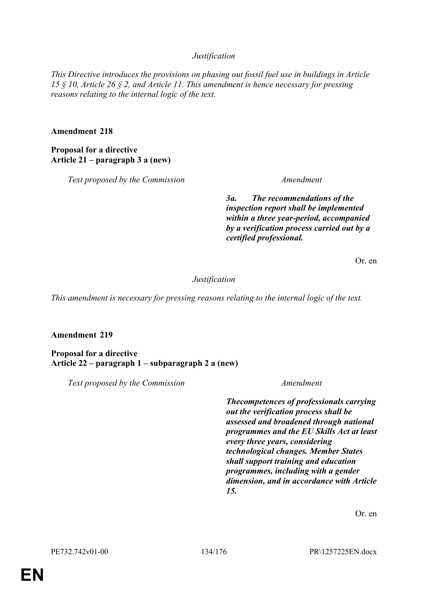# *Justification*

*This Directive introduces the provisions on phasing out fossil fuel use in buildings in Article 15 § 10, Article 26 § 2, and Article 11. This amendment is hence necessary for pressing reasons relating to the internal logic of the text.*

### **Amendment 218**

**Proposal for a directive Article 21 – paragraph 3 a (new)**

*Text proposed by the Commission Amendment*

*3a. The recommendations of the inspection report shall be implemented within a three year-period, accompanied by a verification process carried out by a certified professional.*

Or. en

### *Justification*

*This amendment is necessary for pressing reasons relating to the internal logic of the text.*

# **Amendment 219**

**Proposal for a directive Article 22 – paragraph 1 – subparagraph 2 a (new)**

*Text proposed by the Commission Amendment*

*Thecompetences of professionals carrying out the verification process shall be assessed and broadened through national programmes and the EU Skills Act at least every three years, considering technological changes. Member States shall support training and education programmes, including with a gender dimension, and in accordance with Article 15.*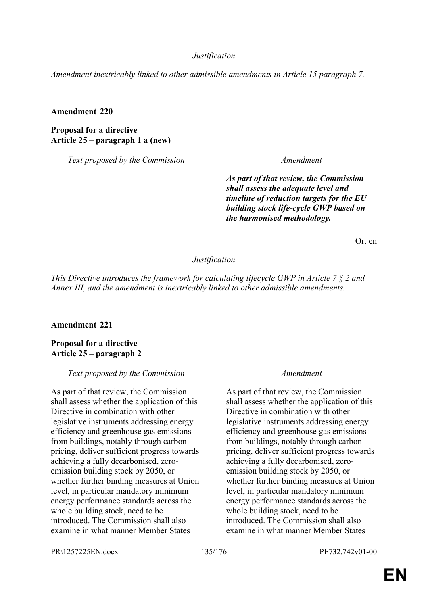### *Justification*

*Amendment inextricably linked to other admissible amendments in Article 15 paragraph 7.*

### **Amendment 220**

**Proposal for a directive Article 25 – paragraph 1 a (new)**

*Text proposed by the Commission Amendment*

*As part of that review, the Commission shall assess the adequate level and timeline of reduction targets for the EU building stock life-cycle GWP based on the harmonised methodology.*

Or. en

### *Justification*

*This Directive introduces the framework for calculating lifecycle GWP in Article 7 § 2 and Annex III, and the amendment is inextricably linked to other admissible amendments.*

# **Amendment 221**

**Proposal for a directive Article 25 – paragraph 2**

### *Text proposed by the Commission Amendment*

As part of that review, the Commission shall assess whether the application of this Directive in combination with other legislative instruments addressing energy efficiency and greenhouse gas emissions from buildings, notably through carbon pricing, deliver sufficient progress towards achieving a fully decarbonised, zeroemission building stock by 2050, or whether further binding measures at Union level, in particular mandatory minimum energy performance standards across the whole building stock, need to be introduced. The Commission shall also examine in what manner Member States

As part of that review, the Commission shall assess whether the application of this Directive in combination with other legislative instruments addressing energy efficiency and greenhouse gas emissions from buildings, notably through carbon pricing, deliver sufficient progress towards achieving a fully decarbonised, zeroemission building stock by 2050, or whether further binding measures at Union level, in particular mandatory minimum energy performance standards across the whole building stock, need to be introduced. The Commission shall also examine in what manner Member States

PR\1257225EN.docx 135/176 PE732.742v01-00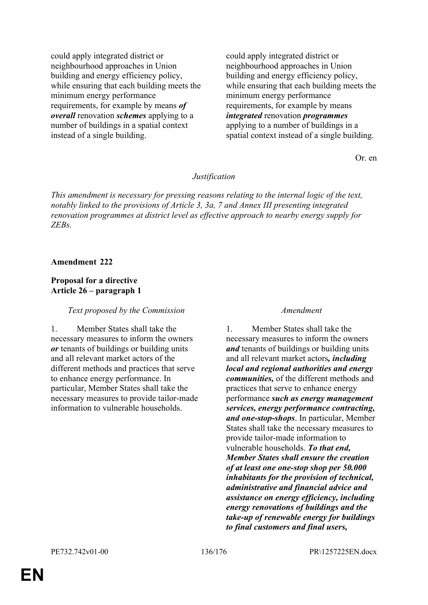could apply integrated district or neighbourhood approaches in Union building and energy efficiency policy, while ensuring that each building meets the minimum energy performance requirements, for example by means *of overall* renovation *schemes* applying to a number of buildings in a spatial context instead of a single building.

could apply integrated district or neighbourhood approaches in Union building and energy efficiency policy, while ensuring that each building meets the minimum energy performance requirements, for example by means *integrated* renovation *programmes* applying to a number of buildings in a spatial context instead of a single building.

Or. en

### *Justification*

*This amendment is necessary for pressing reasons relating to the internal logic of the text, notably linked to the provisions of Article 3, 3a, 7 and Annex III presenting integrated renovation programmes at district level as effective approach to nearby energy supply for ZEBs.*

### **Amendment 222**

# **Proposal for a directive Article 26 – paragraph 1**

# *Text proposed by the Commission Amendment*

1. Member States shall take the necessary measures to inform the owners *or* tenants of buildings or building units and all relevant market actors of the different methods and practices that serve to enhance energy performance. In particular, Member States shall take the necessary measures to provide tailor-made information to vulnerable households.

1. Member States shall take the necessary measures to inform the owners *and* tenants of buildings or building units and all relevant market actors*, including local and regional authorities and energy communities,* of the different methods and practices that serve to enhance energy performance *such as energy management services, energy performance contracting, and one-stop-shops*. In particular, Member States shall take the necessary measures to provide tailor-made information to vulnerable households. *To that end, Member States shall ensure the creation of at least one one-stop shop per 50.000 inhabitants for the provision of technical, administrative and financial advice and assistance on energy efficiency, including energy renovations of buildings and the take-up of renewable energy for buildings to final customers and final users,*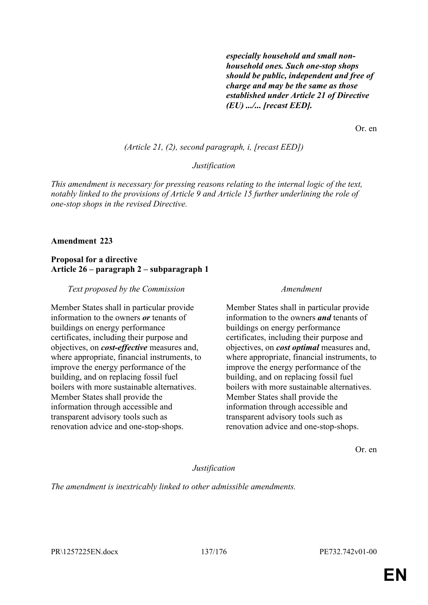*especially household and small nonhousehold ones. Such one-stop shops should be public, independent and free of charge and may be the same as those established under Article 21 of Directive (EU) .../... [recast EED].*

Or. en

### *(Article 21, (2), second paragraph, i, [recast EED])*

### *Justification*

*This amendment is necessary for pressing reasons relating to the internal logic of the text, notably linked to the provisions of Article 9 and Article 15 further underlining the role of one-stop shops in the revised Directive.*

### **Amendment 223**

### **Proposal for a directive Article 26 – paragraph 2 – subparagraph 1**

### *Text proposed by the Commission Amendment*

Member States shall in particular provide information to the owners *or* tenants of buildings on energy performance certificates, including their purpose and objectives, on *cost-effective* measures and, where appropriate, financial instruments, to improve the energy performance of the building, and on replacing fossil fuel boilers with more sustainable alternatives. Member States shall provide the information through accessible and transparent advisory tools such as renovation advice and one-stop-shops.

Member States shall in particular provide information to the owners *and* tenants of buildings on energy performance certificates, including their purpose and objectives, on *cost optimal* measures and, where appropriate, financial instruments, to improve the energy performance of the building, and on replacing fossil fuel boilers with more sustainable alternatives. Member States shall provide the information through accessible and transparent advisory tools such as renovation advice and one-stop-shops.

Or. en

### *Justification*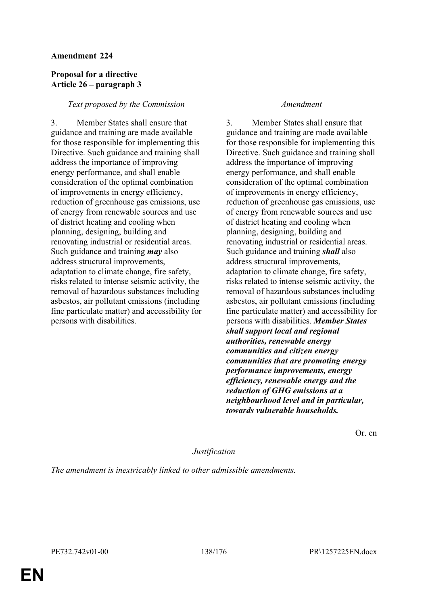# **Proposal for a directive Article 26 – paragraph 3**

# *Text proposed by the Commission Amendment*

3. Member States shall ensure that guidance and training are made available for those responsible for implementing this Directive. Such guidance and training shall address the importance of improving energy performance, and shall enable consideration of the optimal combination of improvements in energy efficiency, reduction of greenhouse gas emissions, use of energy from renewable sources and use of district heating and cooling when planning, designing, building and renovating industrial or residential areas. Such guidance and training *may* also address structural improvements, adaptation to climate change, fire safety, risks related to intense seismic activity, the removal of hazardous substances including asbestos, air pollutant emissions (including fine particulate matter) and accessibility for persons with disabilities.

3. Member States shall ensure that guidance and training are made available for those responsible for implementing this Directive. Such guidance and training shall address the importance of improving energy performance, and shall enable consideration of the optimal combination of improvements in energy efficiency, reduction of greenhouse gas emissions, use of energy from renewable sources and use of district heating and cooling when planning, designing, building and renovating industrial or residential areas. Such guidance and training *shall* also address structural improvements, adaptation to climate change, fire safety, risks related to intense seismic activity, the removal of hazardous substances including asbestos, air pollutant emissions (including fine particulate matter) and accessibility for persons with disabilities. *Member States shall support local and regional authorities, renewable energy communities and citizen energy communities that are promoting energy performance improvements, energy efficiency, renewable energy and the reduction of GHG emissions at a neighbourhood level and in particular, towards vulnerable households.*

Or. en

### *Justification*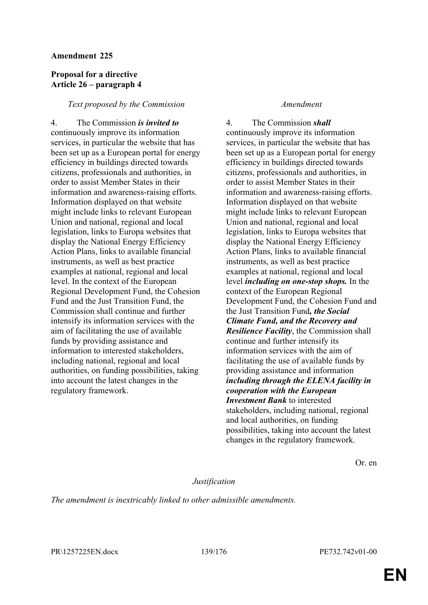# **Proposal for a directive Article 26 – paragraph 4**

# *Text proposed by the Commission Amendment*

4. The Commission *is invited to* continuously improve its information services, in particular the website that has been set up as a European portal for energy efficiency in buildings directed towards citizens, professionals and authorities, in order to assist Member States in their information and awareness-raising efforts. Information displayed on that website might include links to relevant European Union and national, regional and local legislation, links to Europa websites that display the National Energy Efficiency Action Plans, links to available financial instruments, as well as best practice examples at national, regional and local level. In the context of the European Regional Development Fund, the Cohesion Fund and the Just Transition Fund, the Commission shall continue and further intensify its information services with the aim of facilitating the use of available funds by providing assistance and information to interested stakeholders, including national, regional and local authorities, on funding possibilities, taking into account the latest changes in the regulatory framework.

4. The Commission *shall* continuously improve its information services, in particular the website that has been set up as a European portal for energy efficiency in buildings directed towards citizens, professionals and authorities, in order to assist Member States in their information and awareness-raising efforts. Information displayed on that website might include links to relevant European Union and national, regional and local legislation, links to Europa websites that display the National Energy Efficiency Action Plans, links to available financial instruments, as well as best practice examples at national, regional and local level *including on one-stop shops.* In the context of the European Regional Development Fund, the Cohesion Fund and the Just Transition Fund*, the Social Climate Fund, and the Recovery and Resilience Facility*, the Commission shall continue and further intensify its information services with the aim of facilitating the use of available funds by providing assistance and information *including through the ELENA facility in cooperation with the European Investment Bank* to interested stakeholders, including national, regional and local authorities, on funding possibilities, taking into account the latest changes in the regulatory framework.

Or. en

# *Justification*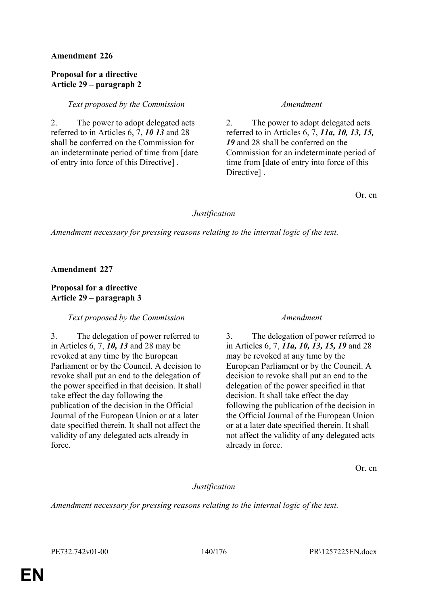# **Proposal for a directive Article 29 – paragraph 2**

*Text proposed by the Commission Amendment*

2. The power to adopt delegated acts referred to in Articles 6, 7, *10 13* and 28 shall be conferred on the Commission for an indeterminate period of time from [date of entry into force of this Directive] .

2. The power to adopt delegated acts referred to in Articles 6, 7, *11a, 10, 13, 15, 19* and 28 shall be conferred on the Commission for an indeterminate period of time from [date of entry into force of this Directive<sub>1</sub>.

Or. en

# *Justification*

*Amendment necessary for pressing reasons relating to the internal logic of the text.*

**Amendment 227**

# **Proposal for a directive Article 29 – paragraph 3**

# *Text proposed by the Commission Amendment*

3. The delegation of power referred to in Articles 6, 7, *10, 13* and 28 may be revoked at any time by the European Parliament or by the Council. A decision to revoke shall put an end to the delegation of the power specified in that decision. It shall take effect the day following the publication of the decision in the Official Journal of the European Union or at a later date specified therein. It shall not affect the validity of any delegated acts already in force.

3. The delegation of power referred to in Articles 6, 7, *11a, 10, 13, 15, 19* and 28 may be revoked at any time by the European Parliament or by the Council. A decision to revoke shall put an end to the delegation of the power specified in that decision. It shall take effect the day following the publication of the decision in the Official Journal of the European Union or at a later date specified therein. It shall not affect the validity of any delegated acts already in force.

Or. en

# *Justification*

*Amendment necessary for pressing reasons relating to the internal logic of the text.*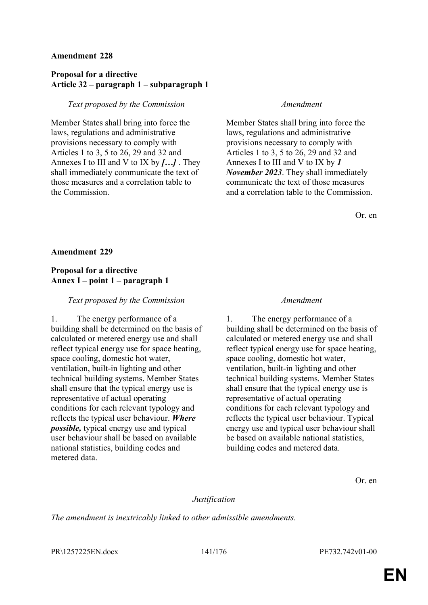# **Proposal for a directive Article 32 – paragraph 1 – subparagraph 1**

# *Text proposed by the Commission Amendment*

Member States shall bring into force the laws, regulations and administrative provisions necessary to comply with Articles 1 to 3, 5 to 26, 29 and 32 and Annexes I to III and V to IX by *[…]* . They shall immediately communicate the text of those measures and a correlation table to the Commission.

Member States shall bring into force the laws, regulations and administrative provisions necessary to comply with Articles 1 to 3, 5 to 26, 29 and 32 and Annexes I to III and V to IX by *1 November 2023*. They shall immediately communicate the text of those measures and a correlation table to the Commission.

Or. en

# **Amendment 229**

# **Proposal for a directive Annex I – point 1 – paragraph 1**

### *Text proposed by the Commission Amendment*

1. The energy performance of a building shall be determined on the basis of calculated or metered energy use and shall reflect typical energy use for space heating, space cooling, domestic hot water, ventilation, built-in lighting and other technical building systems. Member States shall ensure that the typical energy use is representative of actual operating conditions for each relevant typology and reflects the typical user behaviour. *Where possible,* typical energy use and typical user behaviour shall be based on available national statistics, building codes and metered data.

1. The energy performance of a building shall be determined on the basis of calculated or metered energy use and shall reflect typical energy use for space heating, space cooling, domestic hot water, ventilation, built-in lighting and other technical building systems. Member States shall ensure that the typical energy use is representative of actual operating conditions for each relevant typology and reflects the typical user behaviour. Typical energy use and typical user behaviour shall be based on available national statistics, building codes and metered data.

Or. en

# *Justification*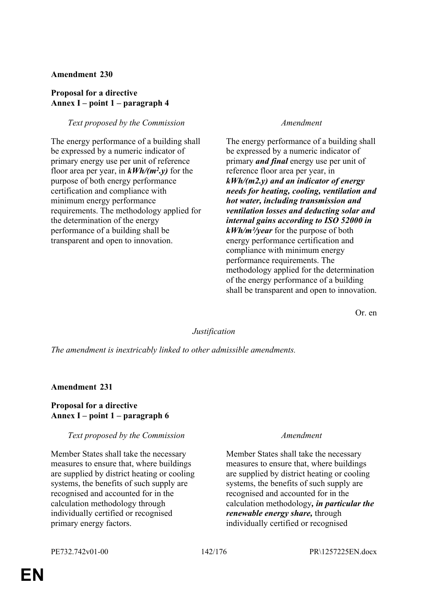# **Proposal for a directive Annex I – point 1 – paragraph 4**

# *Text proposed by the Commission Amendment*

The energy performance of a building shall be expressed by a numeric indicator of primary energy use per unit of reference floor area per year, in *kWh/(m<sup>2</sup> .y)* for the purpose of both energy performance certification and compliance with minimum energy performance requirements. The methodology applied for the determination of the energy performance of a building shall be transparent and open to innovation.

The energy performance of a building shall be expressed by a numeric indicator of primary *and final* energy use per unit of reference floor area per year, in *kWh/(m2.y) and an indicator of energy needs for heating, cooling, ventilation and hot water, including transmission and ventilation losses and deducting solar and internal gains according to ISO 52000 in kWh/m²/year* for the purpose of both energy performance certification and compliance with minimum energy performance requirements. The methodology applied for the determination of the energy performance of a building shall be transparent and open to innovation.

Or. en

# *Justification*

*The amendment is inextricably linked to other admissible amendments.*

# **Amendment 231**

# **Proposal for a directive Annex I – point 1 – paragraph 6**

# *Text proposed by the Commission Amendment*

Member States shall take the necessary measures to ensure that, where buildings are supplied by district heating or cooling systems, the benefits of such supply are recognised and accounted for in the calculation methodology through individually certified or recognised primary energy factors.

Member States shall take the necessary measures to ensure that, where buildings are supplied by district heating or cooling systems, the benefits of such supply are recognised and accounted for in the calculation methodology*, in particular the renewable energy share,* through individually certified or recognised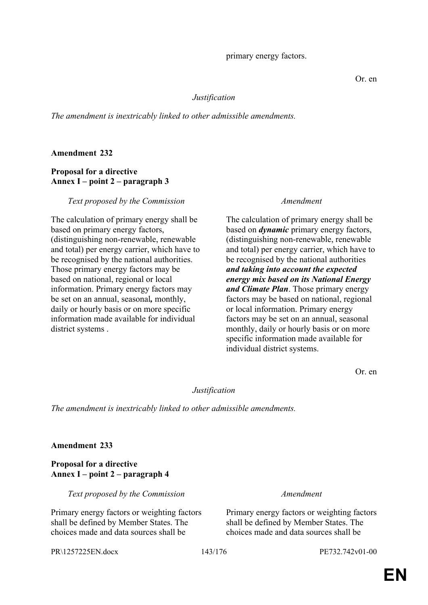PR\1257225EN.docx 143/176 PE732.742v01-00

# **EN**

### *Justification*

*The amendment is inextricably linked to other admissible amendments.*

# **Amendment 232**

# **Proposal for a directive Annex I – point 2 – paragraph 3**

*Text proposed by the Commission Amendment*

The calculation of primary energy shall be based on primary energy factors, (distinguishing non-renewable, renewable and total) per energy carrier, which have to be recognised by the national authorities. Those primary energy factors may be based on national, regional or local information. Primary energy factors may be set on an annual, seasonal*,* monthly, daily or hourly basis or on more specific information made available for individual district systems.

The calculation of primary energy shall be based on *dynamic* primary energy factors, (distinguishing non-renewable, renewable and total) per energy carrier, which have to be recognised by the national authorities *and taking into account the expected energy mix based on its National Energy and Climate Plan*. Those primary energy factors may be based on national, regional or local information. Primary energy factors may be set on an annual, seasonal monthly, daily or hourly basis or on more specific information made available for individual district systems.

Or. en

# *Justification*

*The amendment is inextricably linked to other admissible amendments.*

# **Amendment 233**

# **Proposal for a directive Annex I – point 2 – paragraph 4**

*Text proposed by the Commission Amendment*

Primary energy factors or weighting factors shall be defined by Member States. The choices made and data sources shall be

Primary energy factors or weighting factors shall be defined by Member States. The choices made and data sources shall be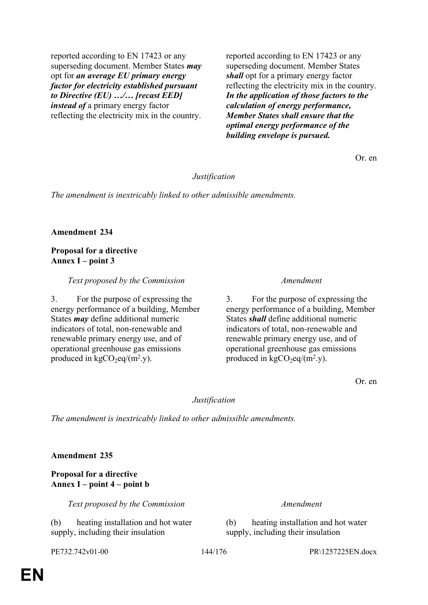reported according to EN 17423 or any superseding document. Member States *may* opt for *an average EU primary energy factor for electricity established pursuant to Directive (EU) …/… [recast EED] instead of* a primary energy factor reflecting the electricity mix in the country. reported according to EN 17423 or any superseding document. Member States *shall* opt for a primary energy factor reflecting the electricity mix in the country. *In the application of those factors to the calculation of energy performance, Member States shall ensure that the optimal energy performance of the building envelope is pursued.*

Or. en

## *Justification*

*The amendment is inextricably linked to other admissible amendments.*

### **Amendment 234**

# **Proposal for a directive Annex I – point 3**

### *Text proposed by the Commission Amendment*

3. For the purpose of expressing the energy performance of a building, Member States *may* define additional numeric indicators of total, non-renewable and renewable primary energy use, and of operational greenhouse gas emissions produced in  $kgCO_2$ eq/(m<sup>2</sup>.y).

3. For the purpose of expressing the energy performance of a building, Member States *shall* define additional numeric indicators of total, non-renewable and renewable primary energy use, and of operational greenhouse gas emissions produced in  $kgCO_2eq/(m^2.y)$ .

Or. en

# *Justification*

*The amendment is inextricably linked to other admissible amendments.*

**Amendment 235**

**Proposal for a directive Annex I – point 4 – point b**

*Text proposed by the Commission Amendment*

(b) heating installation and hot water supply, including their insulation

(b) heating installation and hot water supply, including their insulation

PE732.742v01-00 144/176 PR\1257225EN.docx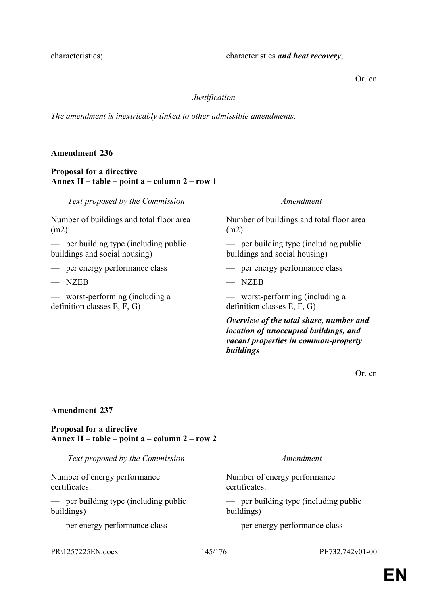Or. en

#### *Justification*

*The amendment is inextricably linked to other admissible amendments.*

### **Amendment 236**

### **Proposal for a directive Annex II – table – point a – column 2 – row 1**

*Text proposed by the Commission Amendment*

Number of buildings and total floor area (m2):

— per building type (including public buildings and social housing)

- 
- $-$  NZEB  $-$  NZEB
- worst-performing (including a definition classes E, F, G)

Number of buildings and total floor area (m2):

— per building type (including public buildings and social housing)

— per energy performance class — per energy performance class

— worst-performing (including a definition classes E, F, G)

*Overview of the total share, number and location of unoccupied buildings, and vacant properties in common-property buildings*

Or. en

### **Amendment 237**

### **Proposal for a directive Annex II – table – point a – column 2 – row 2**

*Text proposed by the Commission Amendment* Number of energy performance certificates: Number of energy performance certificates: — per building type (including public buildings) — per building type (including public buildings) — per energy performance class — per energy performance class

PR\1257225EN.docx 145/176 PE732.742v01-00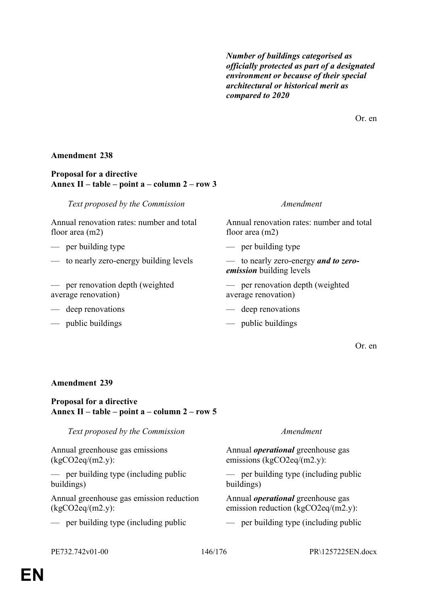*Number of buildings categorised as officially protected as part of a designated environment or because of their special architectural or historical merit as compared to 2020*

Or. en

### **Amendment 238**

#### **Proposal for a directive Annex II – table – point a – column 2 – row 3**

*Text proposed by the Commission Amendment*

Annual renovation rates: number and total floor area (m2)

- per building type per building type
- to nearly zero-energy building levels to nearly zero-energy *and to zero-*
- per renovation depth (weighted average renovation)
- deep renovations deep renovations
- public buildings public buildings

Annual renovation rates: number and total floor area (m2)

*emission* building levels

— per renovation depth (weighted average renovation)

- 
- 

Or. en

#### **Amendment 239**

### **Proposal for a directive Annex II – table – point a – column 2 – row 5**

| Text proposed by the Commission          | Amendment                                |
|------------------------------------------|------------------------------------------|
| Annual greenhouse gas emissions          | Annual <i>operational</i> greenhouse gas |
| (kgCO2eq/(m2.y):                         | emissions ( $kgCO2eq/(m2.y)$ :           |
| - per building type (including public    | - per building type (including public    |
| buildings)                               | buildings)                               |
| Annual greenhouse gas emission reduction | Annual <i>operational</i> greenhouse gas |
| (kgCO2eq/(m2.y):                         | emission reduction $(kgCO2eq/(m2.y))$ :  |
| - per building type (including public    | - per building type (including public    |
|                                          |                                          |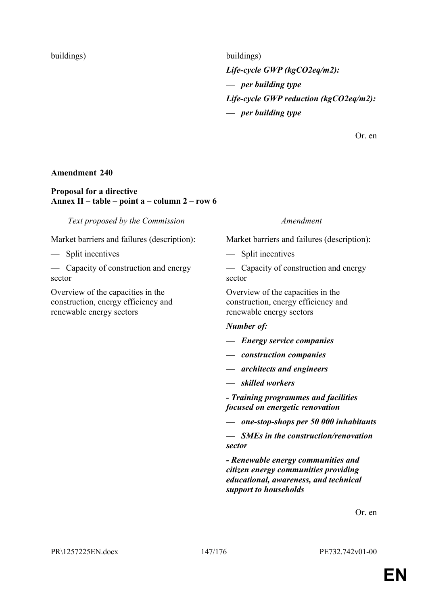buildings) buildings *Life-cycle GWP (kgCO2eq/m2): — per building type Life-cycle GWP reduction (kgCO2eq/m2): — per building type*

Or. en

#### **Amendment 240**

#### **Proposal for a directive Annex II – table – point a – column 2 – row 6**

*Text proposed by the Commission Amendment*

#### — Split incentives — Split incentives

— Capacity of construction and energy sector

Overview of the capacities in the construction, energy efficiency and renewable energy sectors

Market barriers and failures (description): Market barriers and failures (description):

— Capacity of construction and energy sector

Overview of the capacities in the construction, energy efficiency and renewable energy sectors

#### *Number of:*

*— Energy service companies*

- *construction companies*
- *architects and engineers*
- *skilled workers*
- *Training programmes and facilities focused on energetic renovation*
- *one-stop-shops per 50 000 inhabitants*

*— SMEs in the construction/renovation sector*

*- Renewable energy communities and citizen energy communities providing educational, awareness, and technical support to households*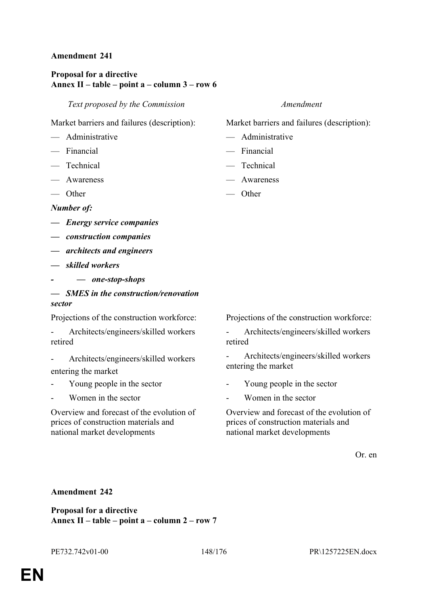# **Proposal for a directive Annex II – table – point a – column 3 – row 6**

*Text proposed by the Commission Amendment*

Market barriers and failures (description): Market barriers and failures (description):

- Administrative Administrative
- Financial Financial
- Technical Technical
- 
- $\overline{\phantom{a}}$  Other  $\overline{\phantom{a}}$  Other

*Number of:*

- *Energy service companies*
- *construction companies*
- *architects and engineers*
- *skilled workers*
- *— one-stop-shops*
- *SMES in the construction/renovation sector*

- Architects/engineers/skilled workers retired

- Architects/engineers/skilled workers entering the market
- Young people in the sector Young people in the sector
- 

Overview and forecast of the evolution of prices of construction materials and national market developments

- 
- 
- 
- Awareness Awareness
	-

Projections of the construction workforce: Projections of the construction workforce:

- Architects/engineers/skilled workers retired

- Architects/engineers/skilled workers entering the market

- 
- Women in the sector Theorem  $\sim$  Women in the sector

Overview and forecast of the evolution of prices of construction materials and national market developments

Or. en

#### **Amendment 242**

**Proposal for a directive Annex II – table – point a – column 2 – row 7**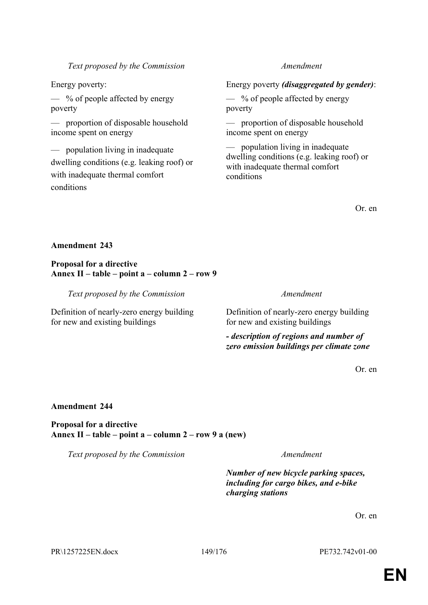PR\1257225EN.docx 149/176 PE732.742v01-00

### *Text proposed by the Commission Amendment*

 $\frac{1}{2}$  % of people affected by energy poverty

— proportion of disposable household income spent on energy

— population living in inadequate dwelling conditions (e.g. leaking roof) or with inadequate thermal comfort conditions

# Energy poverty: Energy poverty *(disaggregated by gender)*:

 $\frac{1}{2}$  % of people affected by energy poverty

— proportion of disposable household income spent on energy

— population living in inadequate dwelling conditions (e.g. leaking roof) or with inadequate thermal comfort conditions

Or. en

### **Amendment 243**

**Proposal for a directive Annex II – table – point a – column 2 – row 9**

*Text proposed by the Commission Amendment*

Definition of nearly-zero energy building for new and existing buildings

Definition of nearly-zero energy building for new and existing buildings

*- description of regions and number of zero emission buildings per climate zone*

Or. en

#### **Amendment 244**

**Proposal for a directive Annex II – table – point a – column 2 – row 9 a (new)**

*Text proposed by the Commission Amendment*

*Number of new bicycle parking spaces, including for cargo bikes, and e-bike charging stations*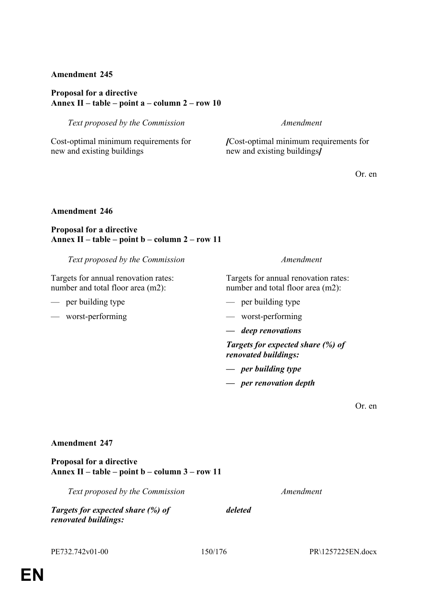### **Proposal for a directive Annex II – table – point a – column 2 – row 10**

*Text proposed by the Commission Amendment*

Cost-optimal minimum requirements for new and existing buildings

*[*Cost-optimal minimum requirements for new and existing buildings*]*

Or. en

#### **Amendment 246**

### **Proposal for a directive Annex II – table – point b – column 2 – row 11**

*Text proposed by the Commission Amendment*

Targets for annual renovation rates: number and total floor area (m2):

- 
- worst-performing worst-performing

Targets for annual renovation rates: number and total floor area (m2):

- per building type per building type
	-
	- *deep renovations*

*Targets for expected share (%) of renovated buildings:*

- *per building type*
- *per renovation depth*

Or. en

#### **Amendment 247**

**Proposal for a directive Annex II – table – point b – column 3 – row 11**

*Text proposed by the Commission Amendment*

*Targets for expected share (%) of* 

*deleted*

*renovated buildings:*

PE732.742v01-00 150/176 PR\1257225EN.docx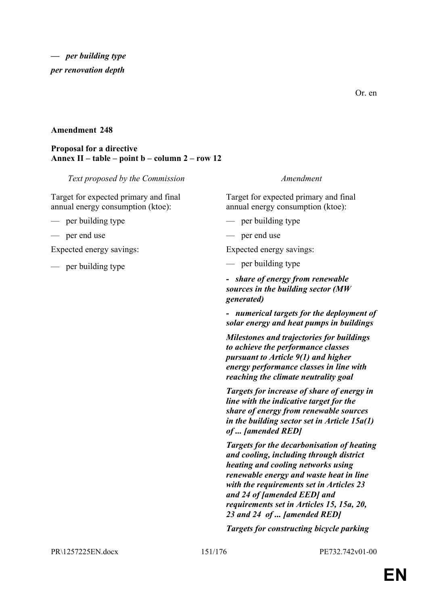Or. en

### **Amendment 248**

### **Proposal for a directive Annex II – table – point b – column 2 – row 12**

*Text proposed by the Commission Amendment*

Target for expected primary and final annual energy consumption (ktoe):

— per building type — per building type

— per end use — per end use

Expected energy savings: Expected energy savings:

— per building type — per building type

Target for expected primary and final annual energy consumption (ktoe):

- 
- 

*- share of energy from renewable sources in the building sector (MW generated)*

*- numerical targets for the deployment of solar energy and heat pumps in buildings*

*Milestones and trajectories for buildings to achieve the performance classes pursuant to Article 9(1) and higher energy performance classes in line with reaching the climate neutrality goal*

*Targets for increase of share of energy in line with the indicative target for the share of energy from renewable sources in the building sector set in Article 15a(1) of ... [amended RED]*

*Targets for the decarbonisation of heating and cooling, including through district heating and cooling networks using renewable energy and waste heat in line with the requirements set in Articles 23 and 24 of [amended EED] and requirements set in Articles 15, 15a, 20, 23 and 24 of ... [amended RED]*

*Targets for constructing bicycle parking* 

PR\1257225EN.docx 151/176 PE732.742v01-00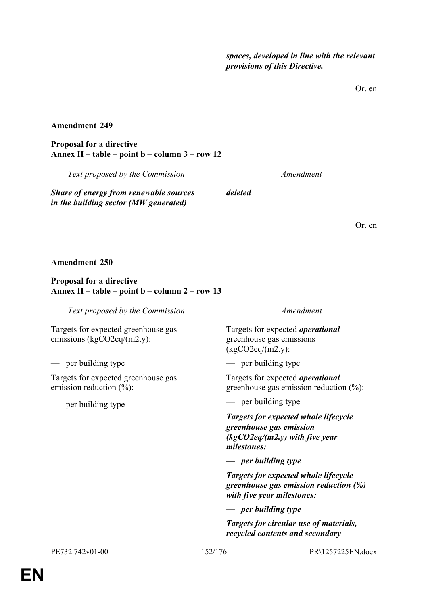*spaces, developed in line with the relevant provisions of this Directive.*

Or. en

#### **Amendment 249**

**Proposal for a directive Annex II – table – point b – column 3 – row 12**

*Text proposed by the Commission Amendment*

*Share of energy from renewable sources in the building sector (MW generated)*

Or. en

#### **Amendment 250**

#### **Proposal for a directive Annex II – table – point b – column 2 – row 13**

*Text proposed by the Commission Amendment*

Targets for expected greenhouse gas emissions (kgCO2eq/(m2.y):

— per building type — per building type

Targets for expected greenhouse gas emission reduction  $(\% )$ :

— per building type — per building type

Targets for expected *operational* greenhouse gas emissions (kgCO2eq/(m2.y):

*deleted*

Targets for expected *operational* greenhouse gas emission reduction (%):

*Targets for expected whole lifecycle greenhouse gas emission (kgCO2eq/(m2.y) with five year milestones:*

*— per building type*

*Targets for expected whole lifecycle greenhouse gas emission reduction (%) with five year milestones:*

*— per building type*

*Targets for circular use of materials, recycled contents and secondary*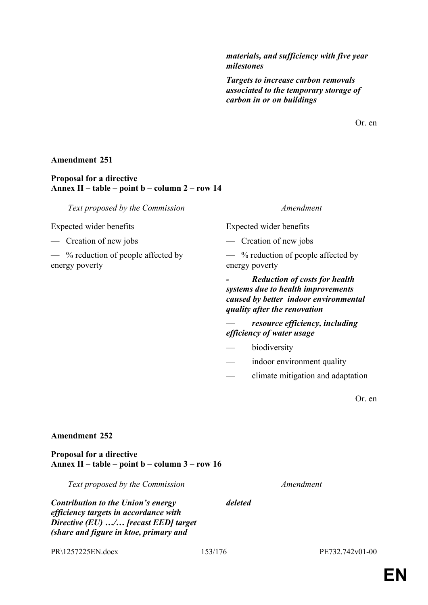*materials, and sufficiency with five year milestones*

*Targets to increase carbon removals associated to the temporary storage of carbon in or on buildings*

Or. en

#### **Amendment 251**

### **Proposal for a directive Annex II – table – point b – column 2 – row 14**

*Text proposed by the Commission Amendment*

Expected wider benefits Expected wider benefits

— Creation of new jobs — Creation of new jobs

— % reduction of people affected by energy poverty

— % reduction of people affected by energy poverty

*- Reduction of costs for health systems due to health improvements caused by better indoor environmental quality after the renovation*

*— resource efficiency, including efficiency of water usage*

- biodiversity
- indoor environment quality
- climate mitigation and adaptation

Or. en

#### **Amendment 252**

**Proposal for a directive Annex II – table – point b – column 3 – row 16**

*Text proposed by the Commission Amendment*

*Contribution to the Union's energy efficiency targets in accordance with Directive (EU) …/… [recast EED] target (share and figure in ktoe, primary and* 

PR\1257225EN.docx 153/176 PE732.742v01-00

*deleted*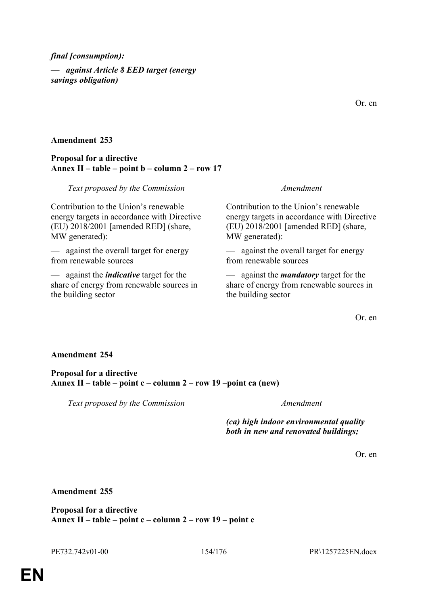*final [consumption): — against Article 8 EED target (energy savings obligation)*

Or. en

#### **Amendment 253**

#### **Proposal for a directive Annex II – table – point b – column 2 – row 17**

#### *Text proposed by the Commission Amendment*

Contribution to the Union's renewable energy targets in accordance with Directive (EU) 2018/2001 [amended RED] (share, MW generated):

— against the overall target for energy from renewable sources

— against the *indicative* target for the share of energy from renewable sources in the building sector

Contribution to the Union's renewable energy targets in accordance with Directive (EU) 2018/2001 [amended RED] (share, MW generated):

— against the overall target for energy from renewable sources

— against the *mandatory* target for the share of energy from renewable sources in the building sector

Or. en

#### **Amendment 254**

**Proposal for a directive Annex II – table – point c – column 2 – row 19 –point ca (new)**

*Text proposed by the Commission Amendment*

*(ca) high indoor environmental quality both in new and renovated buildings;*

Or. en

**Amendment 255**

**Proposal for a directive Annex II – table – point c – column 2 – row 19 – point e**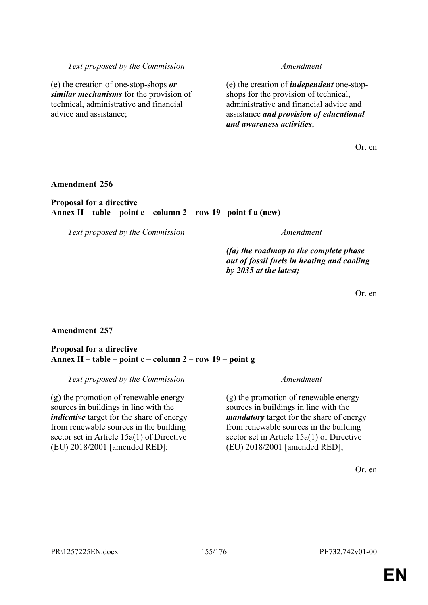# **EN**

*Text proposed by the Commission Amendment*

(e) the creation of one-stop-shops *or similar mechanisms* for the provision of technical, administrative and financial advice and assistance;

(e) the creation of *independent* one-stopshops for the provision of technical, administrative and financial advice and assistance *and provision of educational and awareness activities*;

Or. en

#### **Amendment 256**

#### **Proposal for a directive Annex II – table – point c – column 2 – row 19 –point f a (new)**

*Text proposed by the Commission Amendment*

# *(fa) the roadmap to the complete phase out of fossil fuels in heating and cooling by 2035 at the latest;*

Or. en

### **Amendment 257**

### **Proposal for a directive Annex II – table – point c – column 2 – row 19 – point g**

*Text proposed by the Commission Amendment*

(g) the promotion of renewable energy sources in buildings in line with the *indicative* target for the share of energy from renewable sources in the building sector set in Article 15a(1) of Directive (EU) 2018/2001 [amended RED];

(g) the promotion of renewable energy sources in buildings in line with the *mandatory* target for the share of energy from renewable sources in the building sector set in Article 15a(1) of Directive (EU) 2018/2001 [amended RED];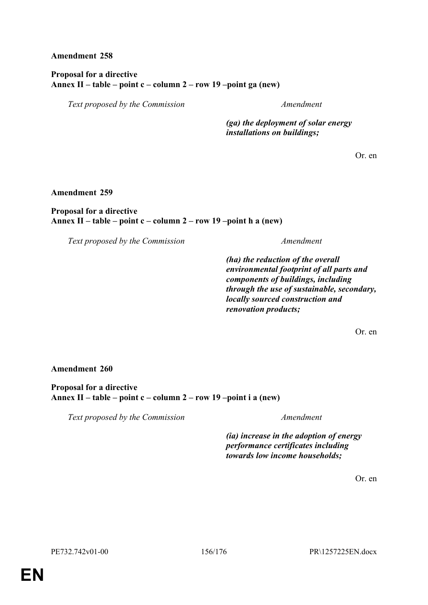**Proposal for a directive Annex II – table – point c – column 2 – row 19 –point ga (new)**

*Text proposed by the Commission Amendment*

*(ga) the deployment of solar energy installations on buildings;*

Or. en

**Amendment 259**

#### **Proposal for a directive Annex II – table – point c – column 2 – row 19 –point h a (new)**

*Text proposed by the Commission Amendment*

*(ha) the reduction of the overall environmental footprint of all parts and components of buildings, including through the use of sustainable, secondary, locally sourced construction and renovation products;*

Or. en

**Amendment 260**

**Proposal for a directive Annex II – table – point c – column 2 – row 19 –point i a (new)**

*Text proposed by the Commission Amendment*

*(ia) increase in the adoption of energy performance certificates including towards low income households;*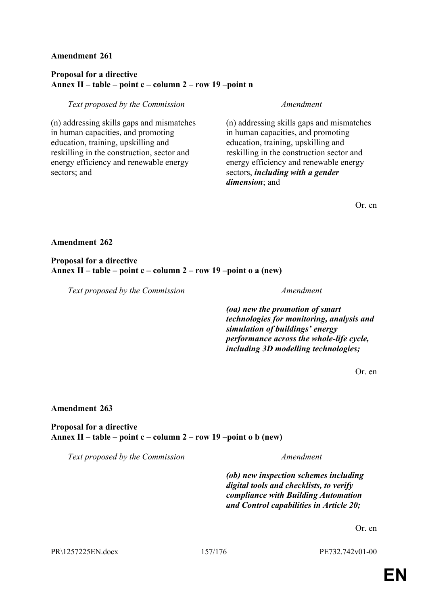### **Proposal for a directive Annex II – table – point c – column 2 – row 19 –point n**

#### *Text proposed by the Commission Amendment*

(n) addressing skills gaps and mismatches in human capacities, and promoting education, training, upskilling and reskilling in the construction, sector and energy efficiency and renewable energy sectors; and

(n) addressing skills gaps and mismatches in human capacities, and promoting education, training, upskilling and reskilling in the construction sector and energy efficiency and renewable energy sectors, *including with a gender dimension*; and

Or. en

#### **Amendment 262**

**Proposal for a directive Annex II – table – point c – column 2 – row 19 –point o a (new)**

*Text proposed by the Commission Amendment*

*(oa) new the promotion of smart technologies for monitoring, analysis and simulation of buildings' energy performance across the whole-life cycle, including 3D modelling technologies;*

Or. en

#### **Amendment 263**

**Proposal for a directive Annex II – table – point c – column 2 – row 19 –point o b (new)**

*Text proposed by the Commission Amendment*

*(ob) new inspection schemes including digital tools and checklists, to verify compliance with Building Automation and Control capabilities in Article 20;*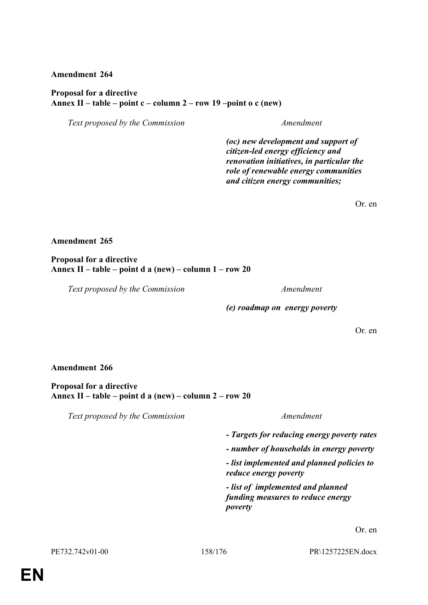#### **Proposal for a directive Annex II – table – point c – column 2 – row 19 –point o c (new)**

*Text proposed by the Commission Amendment*

*(oc) new development and support of citizen-led energy efficiency and renovation initiatives, in particular the role of renewable energy communities and citizen energy communities;*

Or. en

#### **Amendment 265**

**Proposal for a directive Annex II – table – point d a (new) – column 1 – row 20**

*Text proposed by the Commission Amendment*

*(e) roadmap on energy poverty*

Or. en

#### **Amendment 266**

**Proposal for a directive Annex II – table – point d a (new) – column 2 – row 20**

*Text proposed by the Commission Amendment*

*- Targets for reducing energy poverty rates*

*- number of households in energy poverty*

*- list implemented and planned policies to reduce energy poverty*

*- list of implemented and planned funding measures to reduce energy poverty*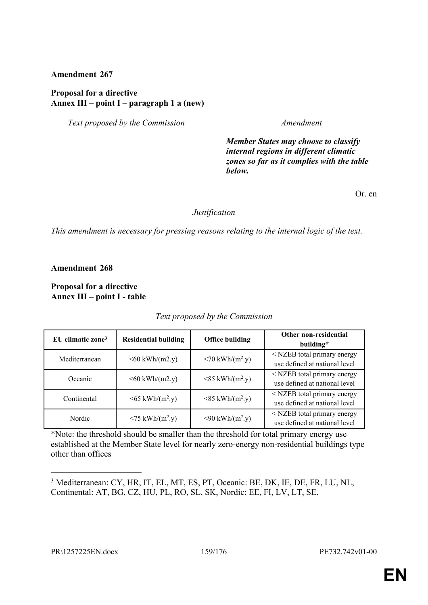#### **Proposal for a directive Annex III – point I – paragraph 1 a (new)**

*Text proposed by the Commission Amendment*

*Member States may choose to classify internal regions in different climatic zones so far as it complies with the table below.*

Or. en

#### *Justification*

*This amendment is necessary for pressing reasons relating to the internal logic of the text.*

**Amendment 268**

**Proposal for a directive Annex III – point I - table**

| EU climatic zone <sup>3</sup> | <b>Residential building</b>       | <b>Office building</b>                  | Other non-residential<br>building*                             |
|-------------------------------|-----------------------------------|-----------------------------------------|----------------------------------------------------------------|
| Mediterranean                 | $<$ 60 kWh/(m2.y)                 | $<$ 70 kWh/(m <sup>2</sup> .y)          | < NZEB total primary energy<br>use defined at national level   |
| Oceanic                       | $<$ 60 kWh/(m2.y)                 | $<$ 85 kWh/(m <sup>2</sup> .y)          | $<$ NZEB total primary energy<br>use defined at national level |
| Continental                   | $\leq 65$ kWh/(m <sup>2</sup> .y) | $<$ 85 kWh/(m <sup>2</sup> .y)          | $<$ NZEB total primary energy<br>use defined at national level |
| Nordic                        | $<$ 75 kWh/(m <sup>2</sup> .y)    | $\langle 90 \text{ kWh/(m².y)} \rangle$ | $<$ NZEB total primary energy<br>use defined at national level |

#### *Text proposed by the Commission*

\*Note: the threshold should be smaller than the threshold for total primary energy use established at the Member State level for nearly zero-energy non-residential buildings type other than offices

 $\overline{\phantom{a}}$  , where  $\overline{\phantom{a}}$ 

<sup>3</sup> Mediterranean: CY, HR, IT, EL, MT, ES, PT, Oceanic: BE, DK, IE, DE, FR, LU, NL, Continental: AT, BG, CZ, HU, PL, RO, SL, SK, Nordic: EE, FI, LV, LT, SE.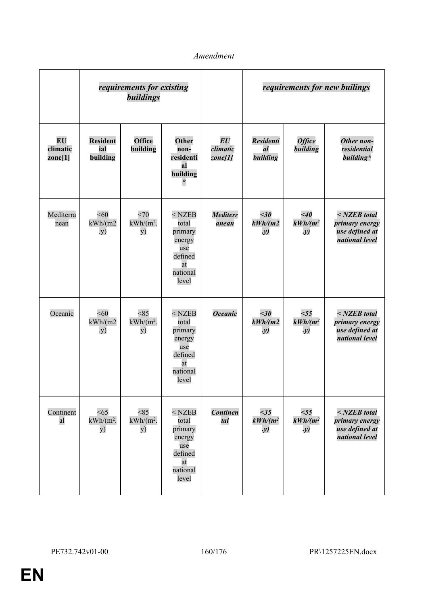|                                  |                                    | requirements for existing<br>buildings |                                                                                     |                                                       | requirements for new builings      |                                   |                                                                    |
|----------------------------------|------------------------------------|----------------------------------------|-------------------------------------------------------------------------------------|-------------------------------------------------------|------------------------------------|-----------------------------------|--------------------------------------------------------------------|
| <b>EU</b><br>climatic<br>zone[1] | <b>Resident</b><br>ial<br>building | Office<br>building                     | Other<br>non-<br>residenti<br>al<br>building<br>$\ast$                              | $\boldsymbol{E}\boldsymbol{U}$<br>climatic<br>zone[1] | <b>Residenti</b><br>al<br>building | <b>Office</b><br>building         | Other non-<br>residential<br>building*                             |
| Mediterra<br>nean                | < 60<br>kWh/(m2)<br>.y)            | <70<br>$kWh/(m^2)$ .<br>y)             | $<$ NZEB<br>total<br>primary<br>energy<br>use<br>defined<br>at<br>national<br>level | <b>Mediterr</b><br>anean                              | $<$ 30<br>kWh/(m2)<br>$\cdot y)$   | $\leq 40$<br>$kWh/(m^2)$<br>. y)  | $NZEB$ total<br>primary energy<br>use defined at<br>national level |
| Oceanic                          | < 60<br>kWh/(m2)<br>.y)            | < 85<br>$kWh/(m^2)$ .<br>y)            | $<$ NZEB<br>total<br>primary<br>energy<br>use<br>defined<br>at<br>national<br>level | <b>Oceanic</b>                                        | $<$ 30<br>kWh/(m2)<br>.y)          | $<$ 55<br>$kWh/(m^2)$<br>. y)     | $NZEB$ total<br>primary energy<br>use defined at<br>national level |
| Continent<br>al                  | <65<br>$kWh/(m^2)$ .<br>y)         | < 85<br>$kWh/(m^2)$ .<br>y)            | $<$ NZEB<br>total<br>primary<br>energy<br>use<br>defined<br>at<br>national<br>level | <b>Continen</b><br>tal                                | <35<br>$kWh/(m^2)$<br>$\cdot y)$   | $55$<br>$kWh/(m^2)$<br>$\cdot y)$ | $NZEB$ total<br>primary energy<br>use defined at<br>national level |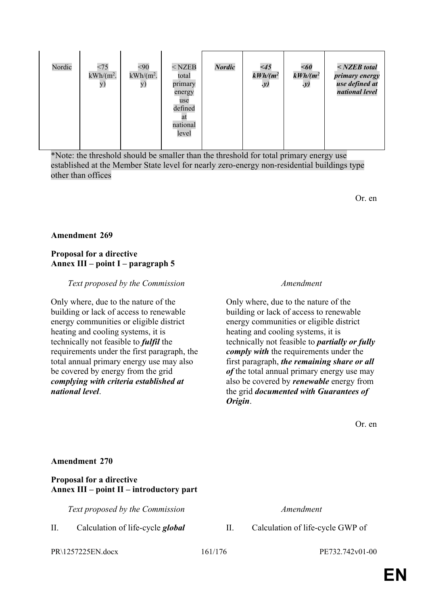| Nordic | <75<br>$kWh/(m^2)$ .<br>y) | < 90<br>$kWh/(m^2)$ .<br>y) | $<$ NZEB<br>total<br>primary<br>energy<br>use<br>defined<br>at<br>national<br>level | <b>Nordic</b> | $\leq 45$<br>$kWh/(m^2)$<br>.y) | $<$ 60<br>$kWh/(m^2)$<br>.y) | $NZEB$ total<br>primary energy<br>use defined at<br>national level |
|--------|----------------------------|-----------------------------|-------------------------------------------------------------------------------------|---------------|---------------------------------|------------------------------|--------------------------------------------------------------------|
|        |                            |                             |                                                                                     |               |                                 |                              |                                                                    |

\*Note: the threshold should be smaller than the threshold for total primary energy use established at the Member State level for nearly zero-energy non-residential buildings type other than offices

Or. en

### **Amendment 269**

 $\mathbf{I}$ 

 $\mathbf{I}$ 

 $\overline{1}$ 

### **Proposal for a directive Annex III – point I – paragraph 5**

#### *Text proposed by the Commission Amendment*

Only where, due to the nature of the building or lack of access to renewable energy communities or eligible district heating and cooling systems, it is technically not feasible to *fulfil* the requirements under the first paragraph, the total annual primary energy use may also be covered by energy from the grid *complying with criteria established at national level*.

Only where, due to the nature of the building or lack of access to renewable energy communities or eligible district heating and cooling systems, it is technically not feasible to *partially or fully comply with* the requirements under the first paragraph, *the remaining share or all of* the total annual primary energy use may also be covered by *renewable* energy from the grid *documented with Guarantees of Origin*.

Or. en

#### **Amendment 270**

#### **Proposal for a directive Annex III – point II – introductory part**

*Text proposed by the Commission Amendment*

PR\1257225EN.docx 161/176 PE732.742v01-00

II. Calculation of life-cycle *global* II. Calculation of life-cycle GWP of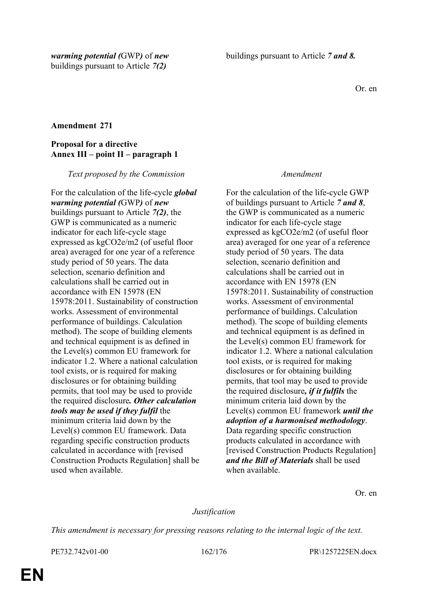Or. en

### **Amendment 271**

### **Proposal for a directive Annex III – point II – paragraph 1**

*Text proposed by the Commission Amendment*

For the calculation of the life-cycle *global warming potential (*GWP*)* of *new* buildings pursuant to Article *7(2)*, the GWP is communicated as a numeric indicator for each life-cycle stage expressed as kgCO2e/m2 (of useful floor area) averaged for one year of a reference study period of 50 years. The data selection, scenario definition and calculations shall be carried out in accordance with EN 15978 (EN 15978:2011. Sustainability of construction works. Assessment of environmental performance of buildings. Calculation method). The scope of building elements and technical equipment is as defined in the Level(s) common EU framework for indicator 1.2. Where a national calculation tool exists, or is required for making disclosures or for obtaining building permits, that tool may be used to provide the required disclosure*. Other calculation tools may be used if they fulfil* the minimum criteria laid down by the Level(s) common EU framework. Data regarding specific construction products calculated in accordance with [revised Construction Products Regulation] shall be used when available.

For the calculation of the life-cycle GWP of buildings pursuant to Article *7 and 8*, the GWP is communicated as a numeric indicator for each life-cycle stage expressed as kgCO2e/m2 (of useful floor area) averaged for one year of a reference study period of 50 years. The data selection, scenario definition and calculations shall be carried out in accordance with EN 15978 (EN 15978:2011. Sustainability of construction works. Assessment of environmental performance of buildings. Calculation method). The scope of building elements and technical equipment is as defined in the Level(s) common EU framework for indicator 1.2. Where a national calculation tool exists, or is required for making disclosures or for obtaining building permits, that tool may be used to provide the required disclosure*, if it fulfils* the minimum criteria laid down by the Level(s) common EU framework *until the adoption of a harmonised methodology*. Data regarding specific construction products calculated in accordance with [revised Construction Products Regulation] *and the Bill of Materials* shall be used when available.

Or. en

### *Justification*

*This amendment is necessary for pressing reasons relating to the internal logic of the text.*

PE732.742v01-00 162/176 PR\1257225EN.docx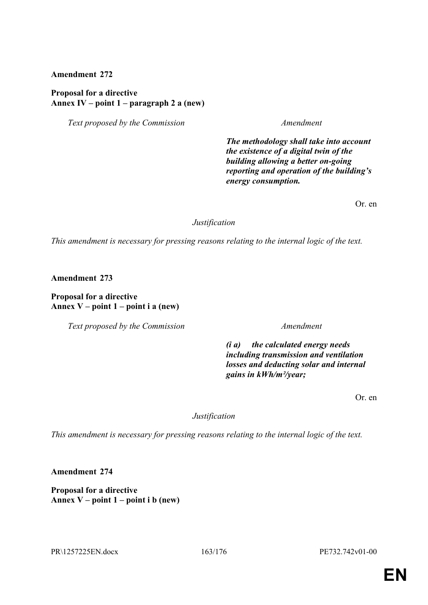#### **Proposal for a directive Annex IV – point 1 – paragraph 2 a (new)**

*Text proposed by the Commission Amendment*

*The methodology shall take into account the existence of a digital twin of the building allowing a better on-going reporting and operation of the building's energy consumption.*

Or. en

*Justification*

*This amendment is necessary for pressing reasons relating to the internal logic of the text.*

**Amendment 273**

**Proposal for a directive Annex V – point 1 – point i a (new)**

*Text proposed by the Commission Amendment*

*(i a) the calculated energy needs including transmission and ventilation losses and deducting solar and internal gains in kWh/m²/year;*

Or. en

*Justification*

*This amendment is necessary for pressing reasons relating to the internal logic of the text.*

**Amendment 274**

**Proposal for a directive Annex V – point 1 – point i b (new)**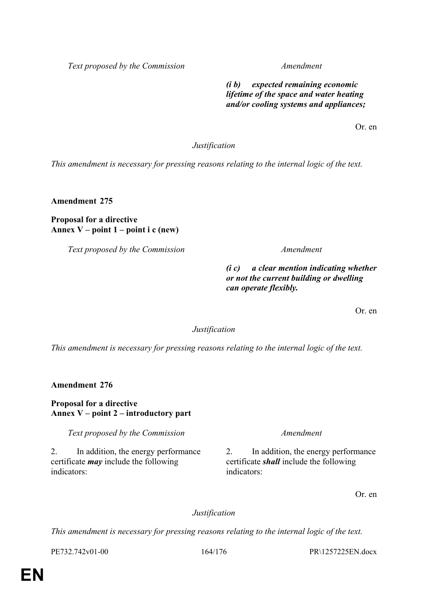*Text proposed by the Commission Amendment*

*(i b) expected remaining economic lifetime of the space and water heating and/or cooling systems and appliances;*

Or. en

*Justification*

*This amendment is necessary for pressing reasons relating to the internal logic of the text.*

**Amendment 275**

**Proposal for a directive Annex V – point 1 – point i c (new)**

*Text proposed by the Commission Amendment*

*(i c) a clear mention indicating whether or not the current building or dwelling can operate flexibly.*

Or. en

*Justification*

*This amendment is necessary for pressing reasons relating to the internal logic of the text.*

**Amendment 276**

### **Proposal for a directive Annex V – point 2 – introductory part**

*Text proposed by the Commission Amendment*

2. In addition, the energy performance certificate *may* include the following indicators:

2. In addition, the energy performance certificate *shall* include the following indicators:

Or. en

### *Justification*

*This amendment is necessary for pressing reasons relating to the internal logic of the text.*

PE732.742v01-00 164/176 PR\1257225EN.docx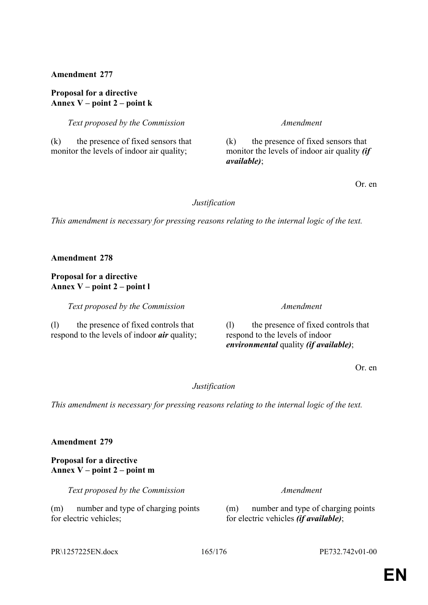#### **Proposal for a directive Annex V – point 2 – point k**

*Text proposed by the Commission Amendment*

#### (k) the presence of fixed sensors that monitor the levels of indoor air quality;

(k) the presence of fixed sensors that monitor the levels of indoor air quality *(if available)*;

Or. en

### *Justification*

*This amendment is necessary for pressing reasons relating to the internal logic of the text.*

**Amendment 278**

**Proposal for a directive Annex V – point 2 – point l**

*Text proposed by the Commission Amendment*

(l) the presence of fixed controls that respond to the levels of indoor *air* quality;

(l) the presence of fixed controls that respond to the levels of indoor *environmental* quality *(if available)*;

Or. en

### *Justification*

*This amendment is necessary for pressing reasons relating to the internal logic of the text.*

**Amendment 279**

### **Proposal for a directive Annex V – point 2 – point m**

*Text proposed by the Commission Amendment*

(m) number and type of charging points for electric vehicles;

(m) number and type of charging points for electric vehicles *(if available)*;

PE732.742v01-00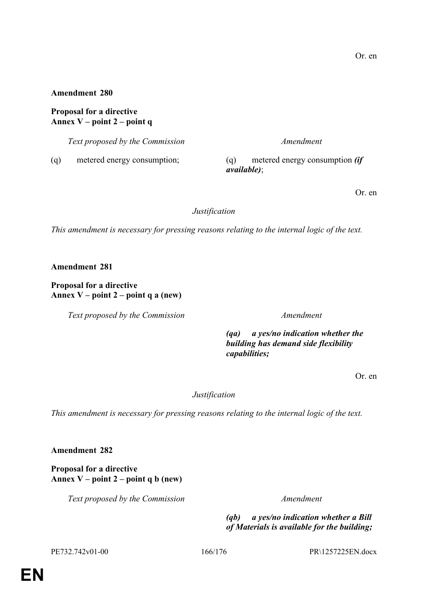**Proposal for a directive Annex V – point 2 – point q**

*Text proposed by the Commission Amendment*

(q) metered energy consumption; (q) metered energy consumption *(if available)*;

Or. en

*Justification*

*This amendment is necessary for pressing reasons relating to the internal logic of the text.*

**Amendment 281**

**Proposal for a directive Annex V – point 2 – point q a (new)**

*Text proposed by the Commission Amendment*

*(qa) a yes/no indication whether the building has demand side flexibility capabilities;*

Or. en

*Justification*

*This amendment is necessary for pressing reasons relating to the internal logic of the text.*

**Amendment 282**

**Proposal for a directive Annex V – point 2 – point q b (new)**

*Text proposed by the Commission Amendment*

*(qb) a yes/no indication whether a Bill of Materials is available for the building;*

PE732.742v01-00 166/176 PR\1257225EN.docx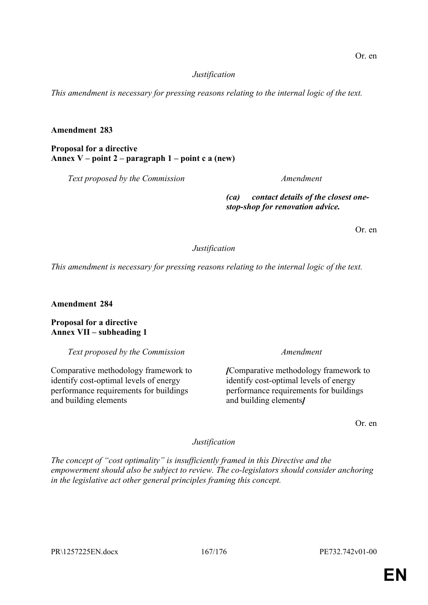### *Justification*

*This amendment is necessary for pressing reasons relating to the internal logic of the text.*

### **Amendment 283**

**Proposal for a directive Annex V – point 2 – paragraph 1 – point c a (new)**

*Text proposed by the Commission Amendment*

*(ca) contact details of the closest onestop-shop for renovation advice.*

Or. en

*Justification*

*This amendment is necessary for pressing reasons relating to the internal logic of the text.*

**Amendment 284**

**Proposal for a directive Annex VII – subheading 1**

*Text proposed by the Commission Amendment*

Comparative methodology framework to identify cost-optimal levels of energy performance requirements for buildings and building elements

*[*Comparative methodology framework to identify cost-optimal levels of energy performance requirements for buildings and building elements*]*

Or. en

*Justification*

*The concept of "cost optimality" is insufficiently framed in this Directive and the empowerment should also be subject to review. The co-legislators should consider anchoring in the legislative act other general principles framing this concept.*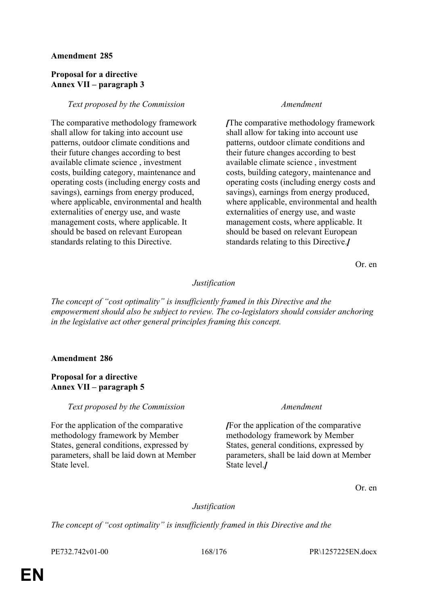#### **Proposal for a directive Annex VII – paragraph 3**

#### *Text proposed by the Commission Amendment*

The comparative methodology framework shall allow for taking into account use patterns, outdoor climate conditions and their future changes according to best available climate science , investment costs, building category, maintenance and operating costs (including energy costs and savings), earnings from energy produced, where applicable, environmental and health externalities of energy use, and waste management costs, where applicable. It should be based on relevant European standards relating to this Directive.

*[*The comparative methodology framework shall allow for taking into account use patterns, outdoor climate conditions and their future changes according to best available climate science , investment costs, building category, maintenance and operating costs (including energy costs and savings), earnings from energy produced, where applicable, environmental and health externalities of energy use, and waste management costs, where applicable. It should be based on relevant European standards relating to this Directive.*]*

Or. en

#### *Justification*

*The concept of "cost optimality" is insufficiently framed in this Directive and the empowerment should also be subject to review. The co-legislators should consider anchoring in the legislative act other general principles framing this concept.*

#### **Amendment 286**

### **Proposal for a directive Annex VII – paragraph 5**

*Text proposed by the Commission Amendment*

For the application of the comparative methodology framework by Member States, general conditions, expressed by parameters, shall be laid down at Member State level.

*[*For the application of the comparative methodology framework by Member States, general conditions, expressed by parameters, shall be laid down at Member State level.*]*

Or. en

#### *Justification*

*The concept of "cost optimality" is insufficiently framed in this Directive and the* 

PE732.742v01-00 168/176 PR\1257225EN.docx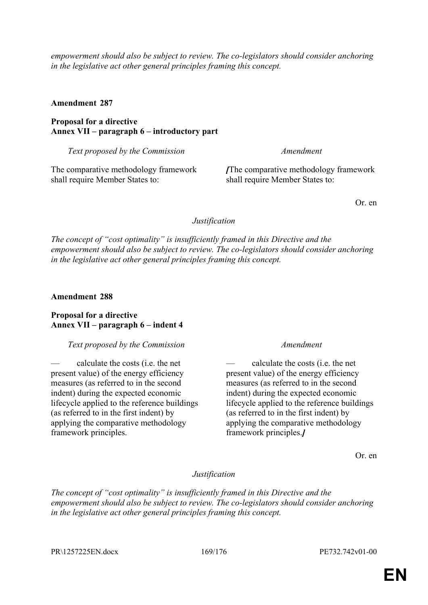*empowerment should also be subject to review. The co-legislators should consider anchoring in the legislative act other general principles framing this concept.*

**Amendment 287**

**Proposal for a directive Annex VII – paragraph 6 – introductory part**

*Text proposed by the Commission Amendment*

The comparative methodology framework shall require Member States to:

*[*The comparative methodology framework shall require Member States to:

Or. en

*Justification*

*The concept of "cost optimality" is insufficiently framed in this Directive and the empowerment should also be subject to review. The co-legislators should consider anchoring in the legislative act other general principles framing this concept.*

**Amendment 288**

**Proposal for a directive Annex VII – paragraph 6 – indent 4**

*Text proposed by the Commission Amendment*

— calculate the costs (i.e. the net present value) of the energy efficiency measures (as referred to in the second indent) during the expected economic lifecycle applied to the reference buildings (as referred to in the first indent) by applying the comparative methodology framework principles.

— calculate the costs (i.e. the net present value) of the energy efficiency measures (as referred to in the second indent) during the expected economic lifecycle applied to the reference buildings (as referred to in the first indent) by applying the comparative methodology framework principles.*]*

Or. en

### *Justification*

*The concept of "cost optimality" is insufficiently framed in this Directive and the empowerment should also be subject to review. The co-legislators should consider anchoring in the legislative act other general principles framing this concept.*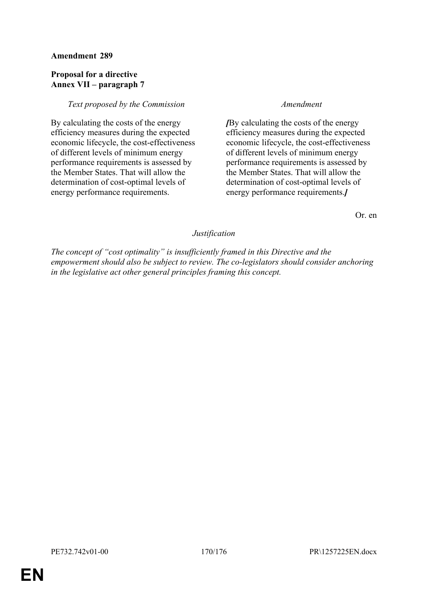### **Proposal for a directive Annex VII – paragraph 7**

### *Text proposed by the Commission Amendment*

By calculating the costs of the energy efficiency measures during the expected economic lifecycle, the cost-effectiveness of different levels of minimum energy performance requirements is assessed by the Member States. That will allow the determination of cost-optimal levels of energy performance requirements.

*[*By calculating the costs of the energy efficiency measures during the expected economic lifecycle, the cost-effectiveness of different levels of minimum energy performance requirements is assessed by the Member States. That will allow the determination of cost-optimal levels of energy performance requirements.*]*

Or. en

### *Justification*

*The concept of "cost optimality" is insufficiently framed in this Directive and the empowerment should also be subject to review. The co-legislators should consider anchoring in the legislative act other general principles framing this concept.*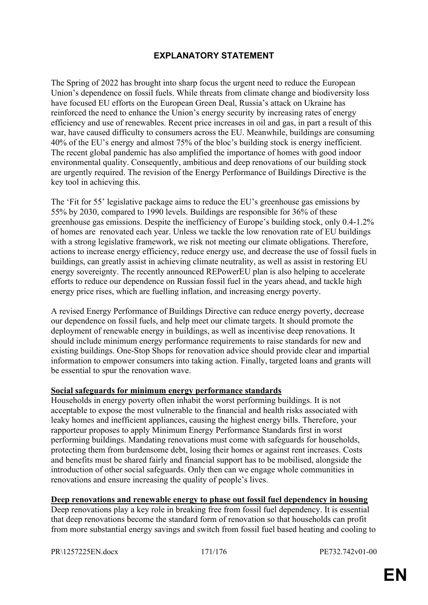# **EXPLANATORY STATEMENT**

The Spring of 2022 has brought into sharp focus the urgent need to reduce the European Union's dependence on fossil fuels. While threats from climate change and biodiversity loss have focused EU efforts on the European Green Deal, Russia's attack on Ukraine has reinforced the need to enhance the Union's energy security by increasing rates of energy efficiency and use of renewables. Recent price increases in oil and gas, in part a result of this war, have caused difficulty to consumers across the EU. Meanwhile, buildings are consuming 40% of the EU's energy and almost 75% of the bloc's building stock is energy inefficient. The recent global pandemic has also amplified the importance of homes with good indoor environmental quality. Consequently, ambitious and deep renovations of our building stock are urgently required. The revision of the Energy Performance of Buildings Directive is the key tool in achieving this.

The 'Fit for 55' legislative package aims to reduce the EU's greenhouse gas emissions by 55% by 2030, compared to 1990 levels. Buildings are responsible for 36% of these greenhouse gas emissions. Despite the inefficiency of Europe's building stock, only 0.4-1.2% of homes are renovated each year. Unless we tackle the low renovation rate of EU buildings with a strong legislative framework, we risk not meeting our climate obligations. Therefore, actions to increase energy efficiency, reduce energy use, and decrease the use of fossil fuels in buildings, can greatly assist in achieving climate neutrality, as well as assist in restoring EU energy sovereignty. The recently announced REPowerEU plan is also helping to accelerate efforts to reduce our dependence on Russian fossil fuel in the years ahead, and tackle high energy price rises, which are fuelling inflation, and increasing energy poverty.

A revised Energy Performance of Buildings Directive can reduce energy poverty, decrease our dependence on fossil fuels, and help meet our climate targets. It should promote the deployment of renewable energy in buildings, as well as incentivise deep renovations. It should include minimum energy performance requirements to raise standards for new and existing buildings. One-Stop Shops for renovation advice should provide clear and impartial information to empower consumers into taking action. Finally, targeted loans and grants will be essential to spur the renovation wave.

#### **Social safeguards for minimum energy performance standards**

Households in energy poverty often inhabit the worst performing buildings. It is not acceptable to expose the most vulnerable to the financial and health risks associated with leaky homes and inefficient appliances, causing the highest energy bills. Therefore, your rapporteur proposes to apply Minimum Energy Performance Standards first in worst performing buildings. Mandating renovations must come with safeguards for households, protecting them from burdensome debt, losing their homes or against rent increases. Costs and benefits must be shared fairly and financial support has to be mobilised, alongside the introduction of other social safeguards. Only then can we engage whole communities in renovations and ensure increasing the quality of people's lives.

#### **Deep renovations and renewable energy to phase out fossil fuel dependency in housing**

Deep renovations play a key role in breaking free from fossil fuel dependency. It is essential that deep renovations become the standard form of renovation so that households can profit from more substantial energy savings and switch from fossil fuel based heating and cooling to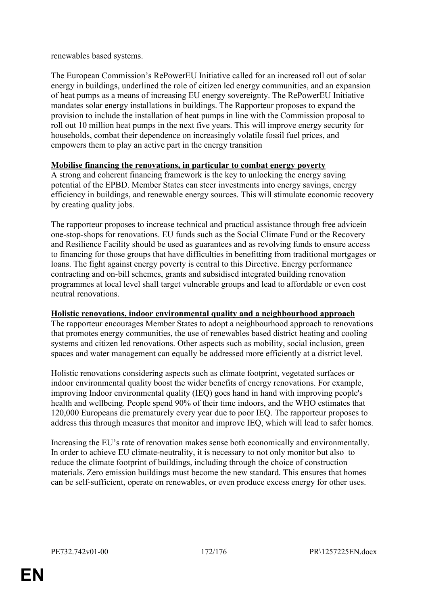renewables based systems.

The European Commission's RePowerEU Initiative called for an increased roll out of solar energy in buildings, underlined the role of citizen led energy communities, and an expansion of heat pumps as a means of increasing EU energy sovereignty. The RePowerEU Initiative mandates solar energy installations in buildings. The Rapporteur proposes to expand the provision to include the installation of heat pumps in line with the Commission proposal to roll out 10 million heat pumps in the next five years. This will improve energy security for households, combat their dependence on increasingly volatile fossil fuel prices, and empowers them to play an active part in the energy transition

### **Mobilise financing the renovations, in particular to combat energy poverty**

A strong and coherent financing framework is the key to unlocking the energy saving potential of the EPBD. Member States can steer investments into energy savings, energy efficiency in buildings, and renewable energy sources. This will stimulate economic recovery by creating quality jobs.

The rapporteur proposes to increase technical and practical assistance through free advicein one-stop-shops for renovations. EU funds such as the Social Climate Fund or the Recovery and Resilience Facility should be used as guarantees and as revolving funds to ensure access to financing for those groups that have difficulties in benefitting from traditional mortgages or loans. The fight against energy poverty is central to this Directive. Energy performance contracting and on-bill schemes, grants and subsidised integrated building renovation programmes at local level shall target vulnerable groups and lead to affordable or even cost neutral renovations.

### **Holistic renovations, indoor environmental quality and a neighbourhood approach**

The rapporteur encourages Member States to adopt a neighbourhood approach to renovations that promotes energy communities, the use of renewables based district heating and cooling systems and citizen led renovations. Other aspects such as mobility, social inclusion, green spaces and water management can equally be addressed more efficiently at a district level.

Holistic renovations considering aspects such as climate footprint, vegetated surfaces or indoor environmental quality boost the wider benefits of energy renovations. For example, improving Indoor environmental quality (IEQ) goes hand in hand with improving people's health and wellbeing. People spend 90% of their time indoors, and the WHO estimates that 120,000 Europeans die prematurely every year due to poor IEQ. The rapporteur proposes to address this through measures that monitor and improve IEQ, which will lead to safer homes.

Increasing the EU's rate of renovation makes sense both economically and environmentally. In order to achieve EU climate-neutrality, it is necessary to not only monitor but also to reduce the climate footprint of buildings, including through the choice of construction materials. Zero emission buildings must become the new standard. This ensures that homes can be self-sufficient, operate on renewables, or even produce excess energy for other uses.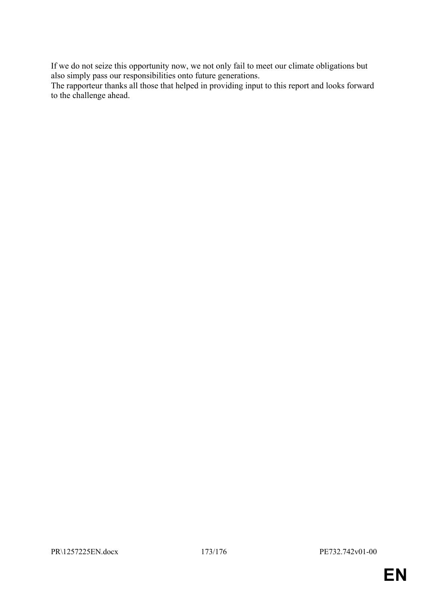If we do not seize this opportunity now, we not only fail to meet our climate obligations but also simply pass our responsibilities onto future generations.

The rapporteur thanks all those that helped in providing input to this report and looks forward to the challenge ahead.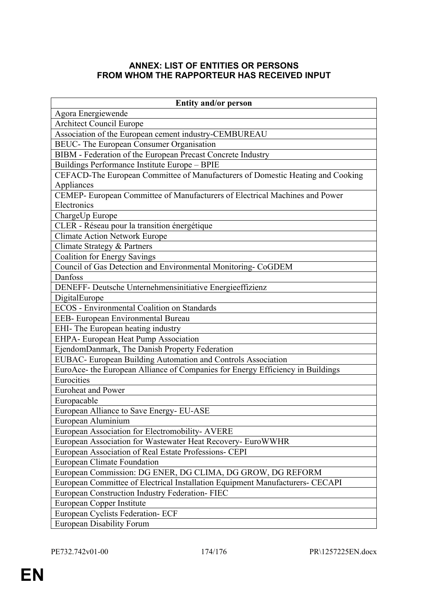# **ANNEX: LIST OF ENTITIES OR PERSONS FROM WHOM THE RAPPORTEUR HAS RECEIVED INPUT**

| <b>Entity and/or person</b>                                                    |
|--------------------------------------------------------------------------------|
| Agora Energiewende                                                             |
| <b>Architect Council Europe</b>                                                |
| Association of the European cement industry-CEMBUREAU                          |
| BEUC- The European Consumer Organisation                                       |
| BIBM - Federation of the European Precast Concrete Industry                    |
| Buildings Performance Institute Europe - BPIE                                  |
| CEFACD-The European Committee of Manufacturers of Domestic Heating and Cooking |
| Appliances                                                                     |
| CEMEP- European Committee of Manufacturers of Electrical Machines and Power    |
| Electronics                                                                    |
| ChargeUp Europe                                                                |
| CLER - Réseau pour la transition énergétique                                   |
| <b>Climate Action Network Europe</b>                                           |
| Climate Strategy & Partners                                                    |
| <b>Coalition for Energy Savings</b>                                            |
| Council of Gas Detection and Environmental Monitoring-CoGDEM                   |
| Danfoss                                                                        |
| DENEFF- Deutsche Unternehmensinitiative Energieeffizienz                       |
| DigitalEurope                                                                  |
| <b>ECOS</b> - Environmental Coalition on Standards                             |
| EEB- European Environmental Bureau                                             |
| EHI- The European heating industry                                             |
| EHPA- European Heat Pump Association                                           |
| EjendomDanmark, The Danish Property Federation                                 |
| EUBAC- European Building Automation and Controls Association                   |
| EuroAce- the European Alliance of Companies for Energy Efficiency in Buildings |
| Eurocities                                                                     |
| <b>Euroheat and Power</b>                                                      |
| Europacable                                                                    |
| European Alliance to Save Energy- EU-ASE                                       |
| European Aluminium                                                             |
| European Association for Electromobility-AVERE                                 |
| European Association for Wastewater Heat Recovery- EuroWWHR                    |
| European Association of Real Estate Professions- CEPI                          |
| <b>European Climate Foundation</b>                                             |
| European Commission: DG ENER, DG CLIMA, DG GROW, DG REFORM                     |
| European Committee of Electrical Installation Equipment Manufacturers- CECAPI  |
| European Construction Industry Federation-FIEC                                 |
| European Copper Institute                                                      |
| <b>European Cyclists Federation- ECF</b>                                       |
| <b>European Disability Forum</b>                                               |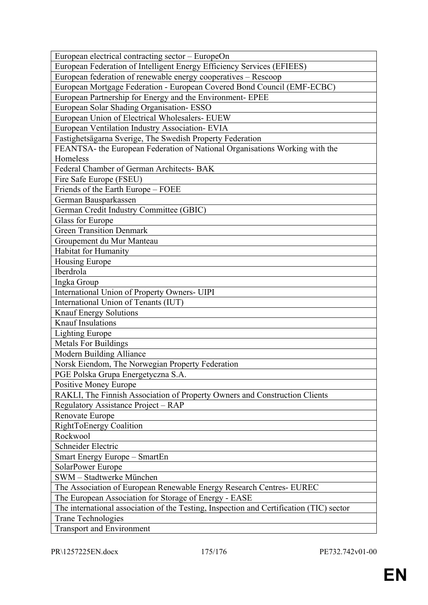| European electrical contracting sector – EuropeOn                                       |
|-----------------------------------------------------------------------------------------|
| European Federation of Intelligent Energy Efficiency Services (EFIEES)                  |
| European federation of renewable energy cooperatives - Rescoop                          |
| European Mortgage Federation - European Covered Bond Council (EMF-ECBC)                 |
| European Partnership for Energy and the Environment- EPEE                               |
| European Solar Shading Organisation-ESSO                                                |
| European Union of Electrical Wholesalers- EUEW                                          |
| European Ventilation Industry Association- EVIA                                         |
| Fastighetsägarna Sverige, The Swedish Property Federation                               |
| FEANTSA- the European Federation of National Organisations Working with the             |
| Homeless                                                                                |
| Federal Chamber of German Architects- BAK                                               |
| Fire Safe Europe (FSEU)                                                                 |
| Friends of the Earth Europe - FOEE                                                      |
| German Bausparkassen                                                                    |
| German Credit Industry Committee (GBIC)                                                 |
| Glass for Europe                                                                        |
| <b>Green Transition Denmark</b>                                                         |
| Groupement du Mur Manteau                                                               |
| Habitat for Humanity                                                                    |
| <b>Housing Europe</b>                                                                   |
| Iberdrola                                                                               |
| Ingka Group                                                                             |
| International Union of Property Owners- UIPI                                            |
| International Union of Tenants (IUT)                                                    |
| <b>Knauf Energy Solutions</b>                                                           |
| <b>Knauf Insulations</b>                                                                |
| <b>Lighting Europe</b>                                                                  |
| <b>Metals For Buildings</b>                                                             |
| Modern Building Alliance                                                                |
| Norsk Eiendom, The Norwegian Property Federation                                        |
| PGE Polska Grupa Energetyczna S.A.                                                      |
| Positive Money Europe                                                                   |
| RAKLI, The Finnish Association of Property Owners and Construction Clients              |
| Regulatory Assistance Project – RAP                                                     |
| Renovate Europe                                                                         |
| RightToEnergy Coalition                                                                 |
| Rockwool                                                                                |
| Schneider Electric                                                                      |
| Smart Energy Europe - SmartEn                                                           |
| SolarPower Europe                                                                       |
| SWM - Stadtwerke München                                                                |
| The Association of European Renewable Energy Research Centres- EUREC                    |
| The European Association for Storage of Energy - EASE                                   |
| The international association of the Testing, Inspection and Certification (TIC) sector |
| <b>Trane Technologies</b>                                                               |
| <b>Transport and Environment</b>                                                        |